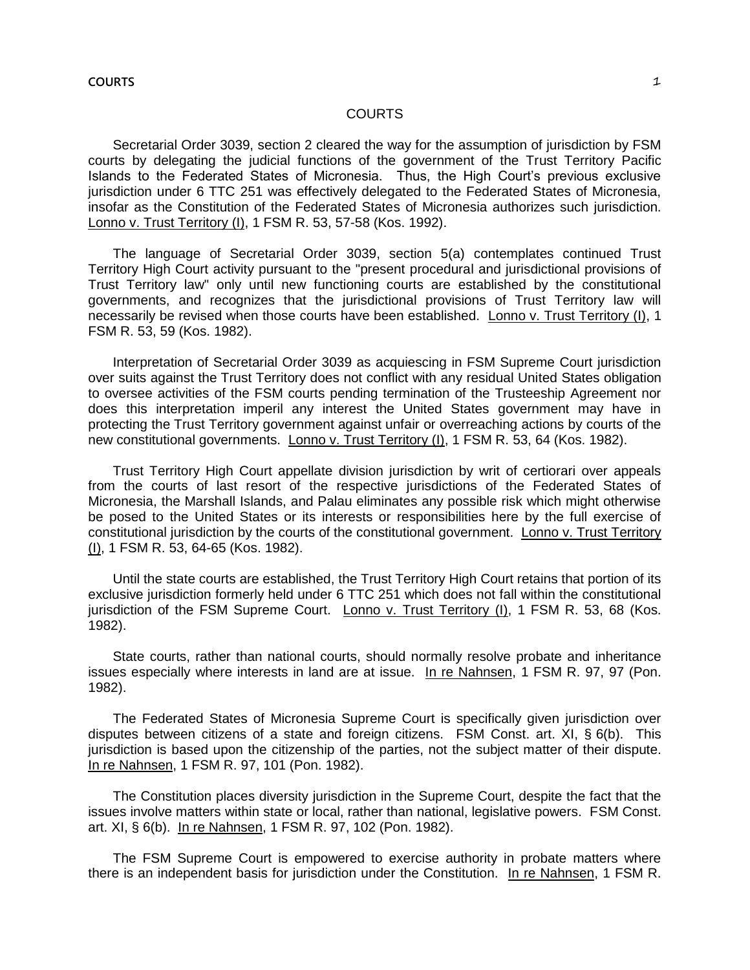## COURTS

Secretarial Order 3039, section 2 cleared the way for the assumption of jurisdiction by FSM courts by delegating the judicial functions of the government of the Trust Territory Pacific Islands to the Federated States of Micronesia. Thus, the High Court's previous exclusive jurisdiction under 6 TTC 251 was effectively delegated to the Federated States of Micronesia, insofar as the Constitution of the Federated States of Micronesia authorizes such jurisdiction. Lonno v. Trust Territory (I), 1 FSM R. 53, 57-58 (Kos. 1992).

The language of Secretarial Order 3039, section 5(a) contemplates continued Trust Territory High Court activity pursuant to the "present procedural and jurisdictional provisions of Trust Territory law" only until new functioning courts are established by the constitutional governments, and recognizes that the jurisdictional provisions of Trust Territory law will necessarily be revised when those courts have been established. Lonno v. Trust Territory (I), 1 FSM R. 53, 59 (Kos. 1982).

Interpretation of Secretarial Order 3039 as acquiescing in FSM Supreme Court jurisdiction over suits against the Trust Territory does not conflict with any residual United States obligation to oversee activities of the FSM courts pending termination of the Trusteeship Agreement nor does this interpretation imperil any interest the United States government may have in protecting the Trust Territory government against unfair or overreaching actions by courts of the new constitutional governments. Lonno v. Trust Territory (I), 1 FSM R. 53, 64 (Kos. 1982).

Trust Territory High Court appellate division jurisdiction by writ of certiorari over appeals from the courts of last resort of the respective jurisdictions of the Federated States of Micronesia, the Marshall Islands, and Palau eliminates any possible risk which might otherwise be posed to the United States or its interests or responsibilities here by the full exercise of constitutional jurisdiction by the courts of the constitutional government. Lonno v. Trust Territory (I), 1 FSM R. 53, 64-65 (Kos. 1982).

Until the state courts are established, the Trust Territory High Court retains that portion of its exclusive jurisdiction formerly held under 6 TTC 251 which does not fall within the constitutional jurisdiction of the FSM Supreme Court. Lonno v. Trust Territory (I), 1 FSM R. 53, 68 (Kos. 1982).

State courts, rather than national courts, should normally resolve probate and inheritance issues especially where interests in land are at issue. In re Nahnsen, 1 FSM R. 97, 97 (Pon. 1982).

The Federated States of Micronesia Supreme Court is specifically given jurisdiction over disputes between citizens of a state and foreign citizens. FSM Const. art. XI, § 6(b). This jurisdiction is based upon the citizenship of the parties, not the subject matter of their dispute. In re Nahnsen, 1 FSM R. 97, 101 (Pon. 1982).

The Constitution places diversity jurisdiction in the Supreme Court, despite the fact that the issues involve matters within state or local, rather than national, legislative powers. FSM Const. art. XI, § 6(b). In re Nahnsen, 1 FSM R. 97, 102 (Pon. 1982).

The FSM Supreme Court is empowered to exercise authority in probate matters where there is an independent basis for jurisdiction under the Constitution. In re Nahnsen, 1 FSM R.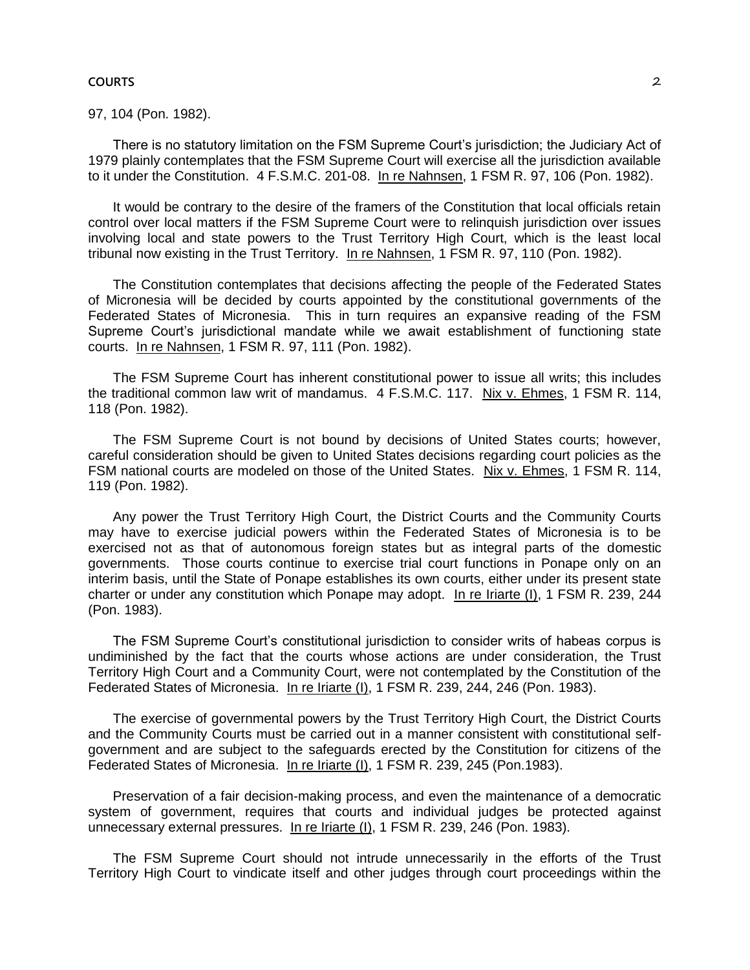#### **COURTS** 2

97, 104 (Pon. 1982).

There is no statutory limitation on the FSM Supreme Court's jurisdiction; the Judiciary Act of 1979 plainly contemplates that the FSM Supreme Court will exercise all the jurisdiction available to it under the Constitution. 4 F.S.M.C. 201-08. In re Nahnsen, 1 FSM R. 97, 106 (Pon. 1982).

It would be contrary to the desire of the framers of the Constitution that local officials retain control over local matters if the FSM Supreme Court were to relinquish jurisdiction over issues involving local and state powers to the Trust Territory High Court, which is the least local tribunal now existing in the Trust Territory. In re Nahnsen, 1 FSM R. 97, 110 (Pon. 1982).

The Constitution contemplates that decisions affecting the people of the Federated States of Micronesia will be decided by courts appointed by the constitutional governments of the Federated States of Micronesia. This in turn requires an expansive reading of the FSM Supreme Court's jurisdictional mandate while we await establishment of functioning state courts. In re Nahnsen, 1 FSM R. 97, 111 (Pon. 1982).

The FSM Supreme Court has inherent constitutional power to issue all writs; this includes the traditional common law writ of mandamus. 4 F.S.M.C. 117. Nix v. Ehmes, 1 FSM R. 114, 118 (Pon. 1982).

The FSM Supreme Court is not bound by decisions of United States courts; however, careful consideration should be given to United States decisions regarding court policies as the FSM national courts are modeled on those of the United States. Nix v. Ehmes, 1 FSM R. 114, 119 (Pon. 1982).

Any power the Trust Territory High Court, the District Courts and the Community Courts may have to exercise judicial powers within the Federated States of Micronesia is to be exercised not as that of autonomous foreign states but as integral parts of the domestic governments. Those courts continue to exercise trial court functions in Ponape only on an interim basis, until the State of Ponape establishes its own courts, either under its present state charter or under any constitution which Ponape may adopt. In re Iriarte (I), 1 FSM R. 239, 244 (Pon. 1983).

The FSM Supreme Court's constitutional jurisdiction to consider writs of habeas corpus is undiminished by the fact that the courts whose actions are under consideration, the Trust Territory High Court and a Community Court, were not contemplated by the Constitution of the Federated States of Micronesia. In re Iriarte (I), 1 FSM R. 239, 244, 246 (Pon. 1983).

The exercise of governmental powers by the Trust Territory High Court, the District Courts and the Community Courts must be carried out in a manner consistent with constitutional selfgovernment and are subject to the safeguards erected by the Constitution for citizens of the Federated States of Micronesia. In re Iriarte (I), 1 FSM R. 239, 245 (Pon.1983).

Preservation of a fair decision-making process, and even the maintenance of a democratic system of government, requires that courts and individual judges be protected against unnecessary external pressures. In re Iriarte (I), 1 FSM R. 239, 246 (Pon. 1983).

The FSM Supreme Court should not intrude unnecessarily in the efforts of the Trust Territory High Court to vindicate itself and other judges through court proceedings within the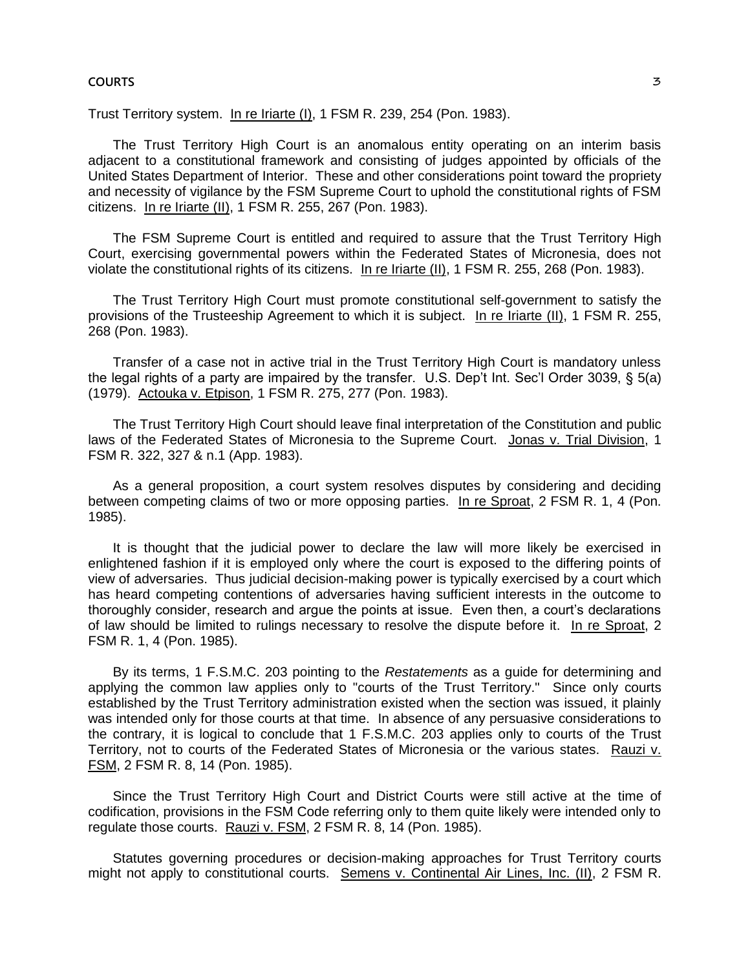#### **COURTS 2018 2018 2019 20:00 20:00 20:00 20:00 20:00 20:00 20:00 20:00 20:00 20:00 20:00 20:00 20:00 20:00 20:00 20:00 20:00 20:00 20:00 20:00 20:00 20:00 20:00 20:00 20:00 20:00 20:00 20:00 20:00 20:00 20:00 20:00 20:00 2**

Trust Territory system. In re Iriarte (I), 1 FSM R. 239, 254 (Pon. 1983).

The Trust Territory High Court is an anomalous entity operating on an interim basis adjacent to a constitutional framework and consisting of judges appointed by officials of the United States Department of Interior. These and other considerations point toward the propriety and necessity of vigilance by the FSM Supreme Court to uphold the constitutional rights of FSM citizens. In re Iriarte (II), 1 FSM R. 255, 267 (Pon. 1983).

The FSM Supreme Court is entitled and required to assure that the Trust Territory High Court, exercising governmental powers within the Federated States of Micronesia, does not violate the constitutional rights of its citizens. In re Iriarte (II), 1 FSM R. 255, 268 (Pon. 1983).

The Trust Territory High Court must promote constitutional self-government to satisfy the provisions of the Trusteeship Agreement to which it is subject. In re Iriarte (II), 1 FSM R. 255, 268 (Pon. 1983).

Transfer of a case not in active trial in the Trust Territory High Court is mandatory unless the legal rights of a party are impaired by the transfer. U.S. Dep't Int. Sec'l Order 3039, § 5(a) (1979). Actouka v. Etpison, 1 FSM R. 275, 277 (Pon. 1983).

The Trust Territory High Court should leave final interpretation of the Constitution and public laws of the Federated States of Micronesia to the Supreme Court. Jonas v. Trial Division, 1 FSM R. 322, 327 & n.1 (App. 1983).

As a general proposition, a court system resolves disputes by considering and deciding between competing claims of two or more opposing parties. In re Sproat, 2 FSM R. 1, 4 (Pon. 1985).

It is thought that the judicial power to declare the law will more likely be exercised in enlightened fashion if it is employed only where the court is exposed to the differing points of view of adversaries. Thus judicial decision-making power is typically exercised by a court which has heard competing contentions of adversaries having sufficient interests in the outcome to thoroughly consider, research and argue the points at issue. Even then, a court's declarations of law should be limited to rulings necessary to resolve the dispute before it. In re Sproat, 2 FSM R. 1, 4 (Pon. 1985).

By its terms, 1 F.S.M.C. 203 pointing to the *Restatements* as a guide for determining and applying the common law applies only to "courts of the Trust Territory." Since only courts established by the Trust Territory administration existed when the section was issued, it plainly was intended only for those courts at that time. In absence of any persuasive considerations to the contrary, it is logical to conclude that 1 F.S.M.C. 203 applies only to courts of the Trust Territory, not to courts of the Federated States of Micronesia or the various states. Rauzi v. FSM, 2 FSM R. 8, 14 (Pon. 1985).

Since the Trust Territory High Court and District Courts were still active at the time of codification, provisions in the FSM Code referring only to them quite likely were intended only to regulate those courts. Rauzi v. FSM, 2 FSM R. 8, 14 (Pon. 1985).

Statutes governing procedures or decision-making approaches for Trust Territory courts might not apply to constitutional courts. Semens v. Continental Air Lines, Inc. (II), 2 FSM R.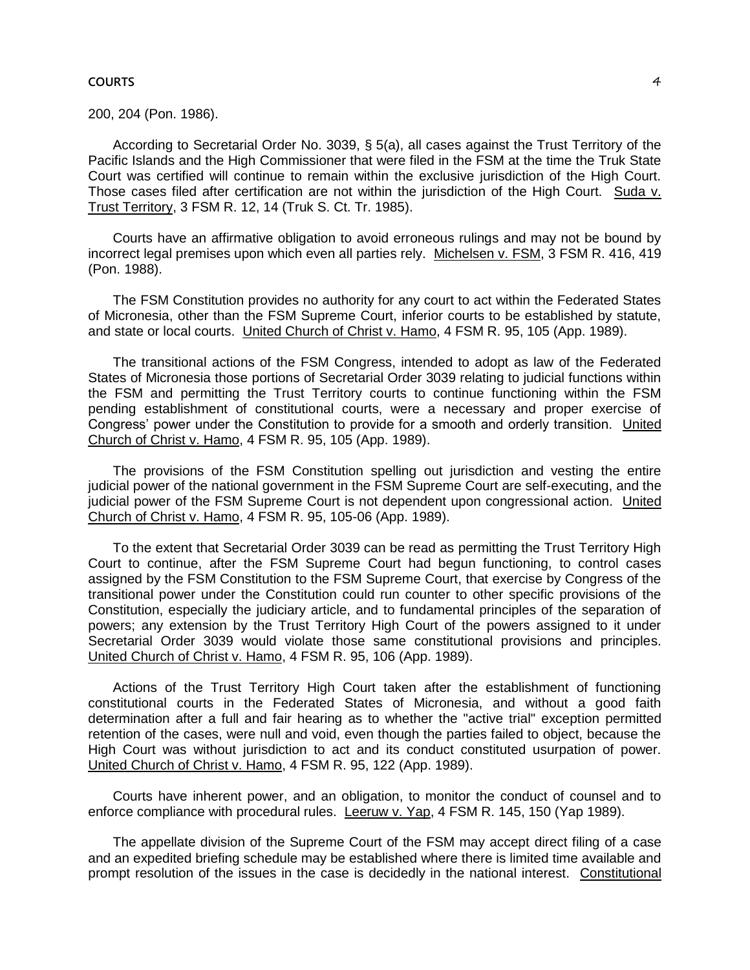#### **COURTS** 4

200, 204 (Pon. 1986).

According to Secretarial Order No. 3039, § 5(a), all cases against the Trust Territory of the Pacific Islands and the High Commissioner that were filed in the FSM at the time the Truk State Court was certified will continue to remain within the exclusive jurisdiction of the High Court. Those cases filed after certification are not within the jurisdiction of the High Court. Suda v. Trust Territory, 3 FSM R. 12, 14 (Truk S. Ct. Tr. 1985).

Courts have an affirmative obligation to avoid erroneous rulings and may not be bound by incorrect legal premises upon which even all parties rely. Michelsen v. FSM, 3 FSM R. 416, 419 (Pon. 1988).

The FSM Constitution provides no authority for any court to act within the Federated States of Micronesia, other than the FSM Supreme Court, inferior courts to be established by statute, and state or local courts. United Church of Christ v. Hamo, 4 FSM R. 95, 105 (App. 1989).

The transitional actions of the FSM Congress, intended to adopt as law of the Federated States of Micronesia those portions of Secretarial Order 3039 relating to judicial functions within the FSM and permitting the Trust Territory courts to continue functioning within the FSM pending establishment of constitutional courts, were a necessary and proper exercise of Congress' power under the Constitution to provide for a smooth and orderly transition. United Church of Christ v. Hamo, 4 FSM R. 95, 105 (App. 1989).

The provisions of the FSM Constitution spelling out jurisdiction and vesting the entire judicial power of the national government in the FSM Supreme Court are self-executing, and the judicial power of the FSM Supreme Court is not dependent upon congressional action. United Church of Christ v. Hamo, 4 FSM R. 95, 105-06 (App. 1989).

To the extent that Secretarial Order 3039 can be read as permitting the Trust Territory High Court to continue, after the FSM Supreme Court had begun functioning, to control cases assigned by the FSM Constitution to the FSM Supreme Court, that exercise by Congress of the transitional power under the Constitution could run counter to other specific provisions of the Constitution, especially the judiciary article, and to fundamental principles of the separation of powers; any extension by the Trust Territory High Court of the powers assigned to it under Secretarial Order 3039 would violate those same constitutional provisions and principles. United Church of Christ v. Hamo, 4 FSM R. 95, 106 (App. 1989).

Actions of the Trust Territory High Court taken after the establishment of functioning constitutional courts in the Federated States of Micronesia, and without a good faith determination after a full and fair hearing as to whether the "active trial" exception permitted retention of the cases, were null and void, even though the parties failed to object, because the High Court was without jurisdiction to act and its conduct constituted usurpation of power. United Church of Christ v. Hamo, 4 FSM R. 95, 122 (App. 1989).

Courts have inherent power, and an obligation, to monitor the conduct of counsel and to enforce compliance with procedural rules. Leeruw v. Yap, 4 FSM R. 145, 150 (Yap 1989).

The appellate division of the Supreme Court of the FSM may accept direct filing of a case and an expedited briefing schedule may be established where there is limited time available and prompt resolution of the issues in the case is decidedly in the national interest. Constitutional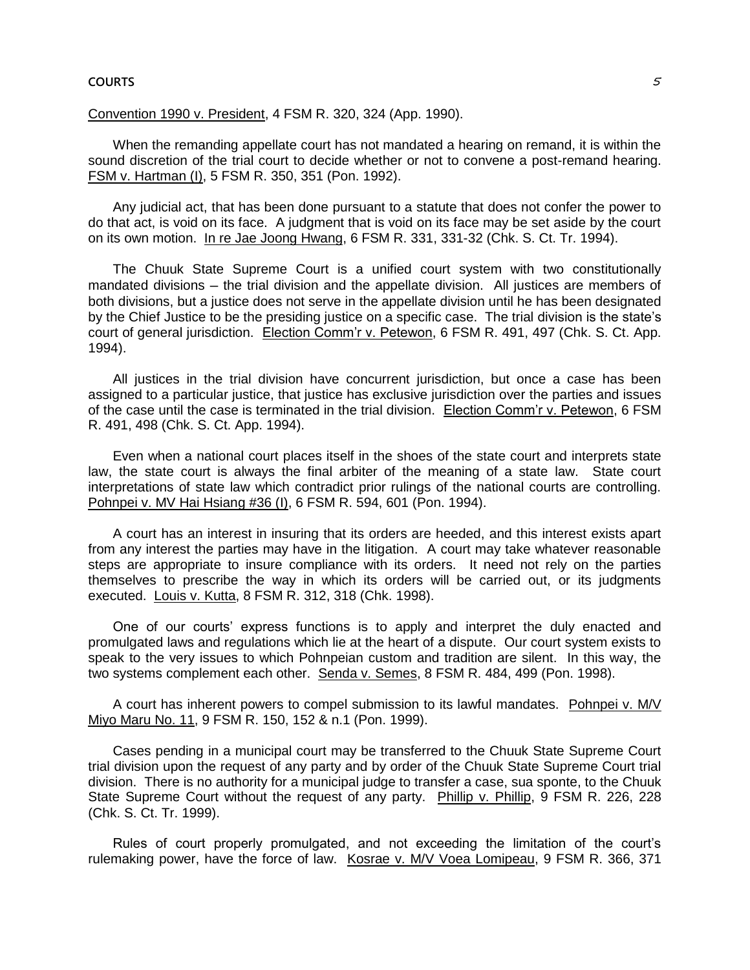#### **COURTS Example 2** and the court of the court of the court of the court of the court of the court of the court of the court of the court of the court of the court of the court of the court of the court of the court of the

# Convention 1990 v. President, 4 FSM R. 320, 324 (App. 1990).

When the remanding appellate court has not mandated a hearing on remand, it is within the sound discretion of the trial court to decide whether or not to convene a post-remand hearing. FSM v. Hartman (I), 5 FSM R. 350, 351 (Pon. 1992).

Any judicial act, that has been done pursuant to a statute that does not confer the power to do that act, is void on its face. A judgment that is void on its face may be set aside by the court on its own motion. In re Jae Joong Hwang, 6 FSM R. 331, 331-32 (Chk. S. Ct. Tr. 1994).

The Chuuk State Supreme Court is a unified court system with two constitutionally mandated divisions — the trial division and the appellate division. All justices are members of both divisions, but a justice does not serve in the appellate division until he has been designated by the Chief Justice to be the presiding justice on a specific case. The trial division is the state's court of general jurisdiction. Election Comm'r v. Petewon, 6 FSM R. 491, 497 (Chk. S. Ct. App. 1994).

All justices in the trial division have concurrent jurisdiction, but once a case has been assigned to a particular justice, that justice has exclusive jurisdiction over the parties and issues of the case until the case is terminated in the trial division. Election Comm'r v. Petewon, 6 FSM R. 491, 498 (Chk. S. Ct. App. 1994).

Even when a national court places itself in the shoes of the state court and interprets state law, the state court is always the final arbiter of the meaning of a state law. State court interpretations of state law which contradict prior rulings of the national courts are controlling. Pohnpei v. MV Hai Hsiang #36 (I), 6 FSM R. 594, 601 (Pon. 1994).

A court has an interest in insuring that its orders are heeded, and this interest exists apart from any interest the parties may have in the litigation. A court may take whatever reasonable steps are appropriate to insure compliance with its orders. It need not rely on the parties themselves to prescribe the way in which its orders will be carried out, or its judgments executed. Louis v. Kutta, 8 FSM R. 312, 318 (Chk. 1998).

One of our courts' express functions is to apply and interpret the duly enacted and promulgated laws and regulations which lie at the heart of a dispute. Our court system exists to speak to the very issues to which Pohnpeian custom and tradition are silent. In this way, the two systems complement each other. Senda v. Semes, 8 FSM R. 484, 499 (Pon. 1998).

A court has inherent powers to compel submission to its lawful mandates. Pohnpei v. M/V Miyo Maru No. 11, 9 FSM R. 150, 152 & n.1 (Pon. 1999).

Cases pending in a municipal court may be transferred to the Chuuk State Supreme Court trial division upon the request of any party and by order of the Chuuk State Supreme Court trial division. There is no authority for a municipal judge to transfer a case, sua sponte, to the Chuuk State Supreme Court without the request of any party. Phillip v. Phillip, 9 FSM R. 226, 228 (Chk. S. Ct. Tr. 1999).

Rules of court properly promulgated, and not exceeding the limitation of the court's rulemaking power, have the force of law. Kosrae v. M/V Voea Lomipeau, 9 FSM R. 366, 371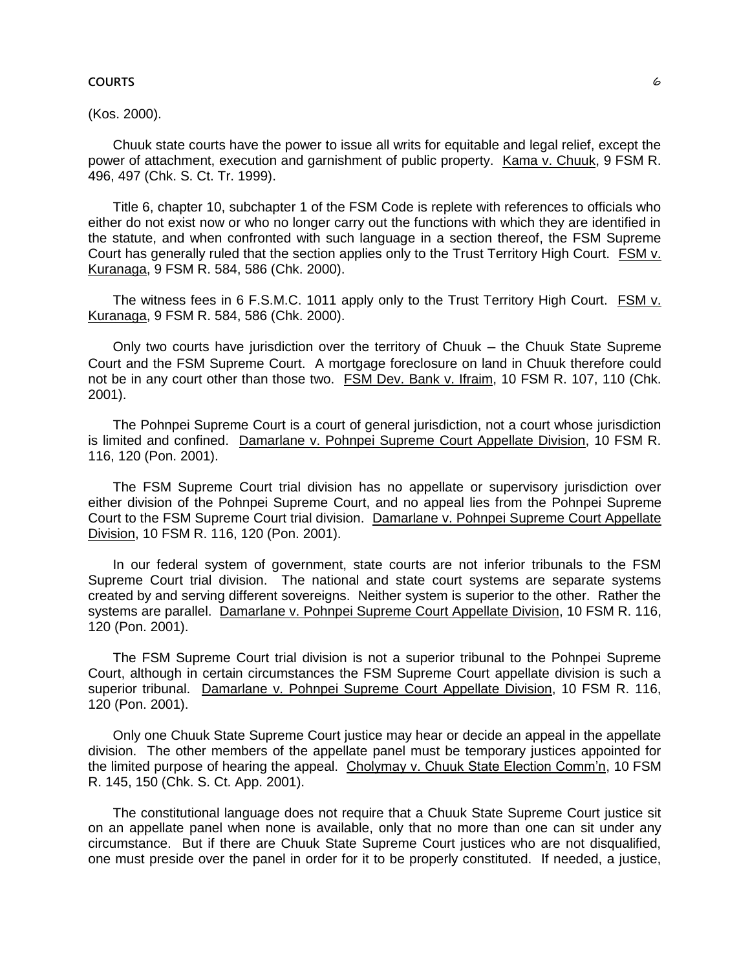### **COURTS 6**

## (Kos. 2000).

Chuuk state courts have the power to issue all writs for equitable and legal relief, except the power of attachment, execution and garnishment of public property. Kama v. Chuuk, 9 FSM R. 496, 497 (Chk. S. Ct. Tr. 1999).

Title 6, chapter 10, subchapter 1 of the FSM Code is replete with references to officials who either do not exist now or who no longer carry out the functions with which they are identified in the statute, and when confronted with such language in a section thereof, the FSM Supreme Court has generally ruled that the section applies only to the Trust Territory High Court. FSM v. Kuranaga, 9 FSM R. 584, 586 (Chk. 2000).

The witness fees in 6 F.S.M.C. 1011 apply only to the Trust Territory High Court. FSM v. Kuranaga, 9 FSM R. 584, 586 (Chk. 2000).

Only two courts have jurisdiction over the territory of Chuuk — the Chuuk State Supreme Court and the FSM Supreme Court. A mortgage foreclosure on land in Chuuk therefore could not be in any court other than those two. FSM Dev. Bank v. Ifraim, 10 FSM R. 107, 110 (Chk. 2001).

The Pohnpei Supreme Court is a court of general jurisdiction, not a court whose jurisdiction is limited and confined. Damarlane v. Pohnpei Supreme Court Appellate Division, 10 FSM R. 116, 120 (Pon. 2001).

The FSM Supreme Court trial division has no appellate or supervisory jurisdiction over either division of the Pohnpei Supreme Court, and no appeal lies from the Pohnpei Supreme Court to the FSM Supreme Court trial division. Damarlane v. Pohnpei Supreme Court Appellate Division, 10 FSM R. 116, 120 (Pon. 2001).

In our federal system of government, state courts are not inferior tribunals to the FSM Supreme Court trial division. The national and state court systems are separate systems created by and serving different sovereigns. Neither system is superior to the other. Rather the systems are parallel. Damarlane v. Pohnpei Supreme Court Appellate Division, 10 FSM R. 116, 120 (Pon. 2001).

The FSM Supreme Court trial division is not a superior tribunal to the Pohnpei Supreme Court, although in certain circumstances the FSM Supreme Court appellate division is such a superior tribunal. Damarlane v. Pohnpei Supreme Court Appellate Division, 10 FSM R. 116, 120 (Pon. 2001).

Only one Chuuk State Supreme Court justice may hear or decide an appeal in the appellate division. The other members of the appellate panel must be temporary justices appointed for the limited purpose of hearing the appeal. Cholymay v. Chuuk State Election Comm'n, 10 FSM R. 145, 150 (Chk. S. Ct. App. 2001).

The constitutional language does not require that a Chuuk State Supreme Court justice sit on an appellate panel when none is available, only that no more than one can sit under any circumstance. But if there are Chuuk State Supreme Court justices who are not disqualified, one must preside over the panel in order for it to be properly constituted. If needed, a justice,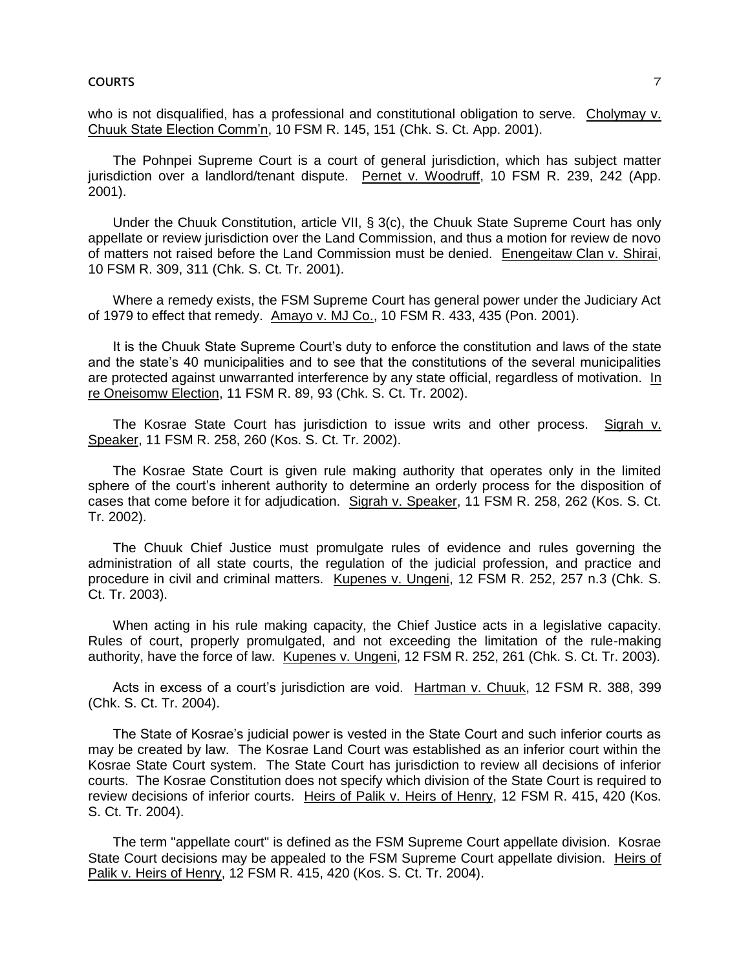who is not disqualified, has a professional and constitutional obligation to serve. Cholymay v. Chuuk State Election Comm'n, 10 FSM R. 145, 151 (Chk. S. Ct. App. 2001).

The Pohnpei Supreme Court is a court of general jurisdiction, which has subject matter jurisdiction over a landlord/tenant dispute. Pernet v. Woodruff, 10 FSM R. 239, 242 (App. 2001).

Under the Chuuk Constitution, article VII, § 3(c), the Chuuk State Supreme Court has only appellate or review jurisdiction over the Land Commission, and thus a motion for review de novo of matters not raised before the Land Commission must be denied. Enengeitaw Clan v. Shirai, 10 FSM R. 309, 311 (Chk. S. Ct. Tr. 2001).

Where a remedy exists, the FSM Supreme Court has general power under the Judiciary Act of 1979 to effect that remedy. Amayo v. MJ Co., 10 FSM R. 433, 435 (Pon. 2001).

It is the Chuuk State Supreme Court's duty to enforce the constitution and laws of the state and the state's 40 municipalities and to see that the constitutions of the several municipalities are protected against unwarranted interference by any state official, regardless of motivation. In re Oneisomw Election, 11 FSM R. 89, 93 (Chk. S. Ct. Tr. 2002).

The Kosrae State Court has jurisdiction to issue writs and other process. Sigrah v. Speaker, 11 FSM R. 258, 260 (Kos. S. Ct. Tr. 2002).

The Kosrae State Court is given rule making authority that operates only in the limited sphere of the court's inherent authority to determine an orderly process for the disposition of cases that come before it for adjudication. Sigrah v. Speaker, 11 FSM R. 258, 262 (Kos. S. Ct. Tr. 2002).

The Chuuk Chief Justice must promulgate rules of evidence and rules governing the administration of all state courts, the regulation of the judicial profession, and practice and procedure in civil and criminal matters. Kupenes v. Ungeni, 12 FSM R. 252, 257 n.3 (Chk. S. Ct. Tr. 2003).

When acting in his rule making capacity, the Chief Justice acts in a legislative capacity. Rules of court, properly promulgated, and not exceeding the limitation of the rule-making authority, have the force of law. Kupenes v. Ungeni, 12 FSM R. 252, 261 (Chk. S. Ct. Tr. 2003).

Acts in excess of a court's jurisdiction are void. Hartman v. Chuuk, 12 FSM R. 388, 399 (Chk. S. Ct. Tr. 2004).

The State of Kosrae's judicial power is vested in the State Court and such inferior courts as may be created by law. The Kosrae Land Court was established as an inferior court within the Kosrae State Court system. The State Court has jurisdiction to review all decisions of inferior courts. The Kosrae Constitution does not specify which division of the State Court is required to review decisions of inferior courts. Heirs of Palik v. Heirs of Henry, 12 FSM R. 415, 420 (Kos. S. Ct. Tr. 2004).

The term "appellate court" is defined as the FSM Supreme Court appellate division. Kosrae State Court decisions may be appealed to the FSM Supreme Court appellate division. Heirs of Palik v. Heirs of Henry, 12 FSM R. 415, 420 (Kos. S. Ct. Tr. 2004).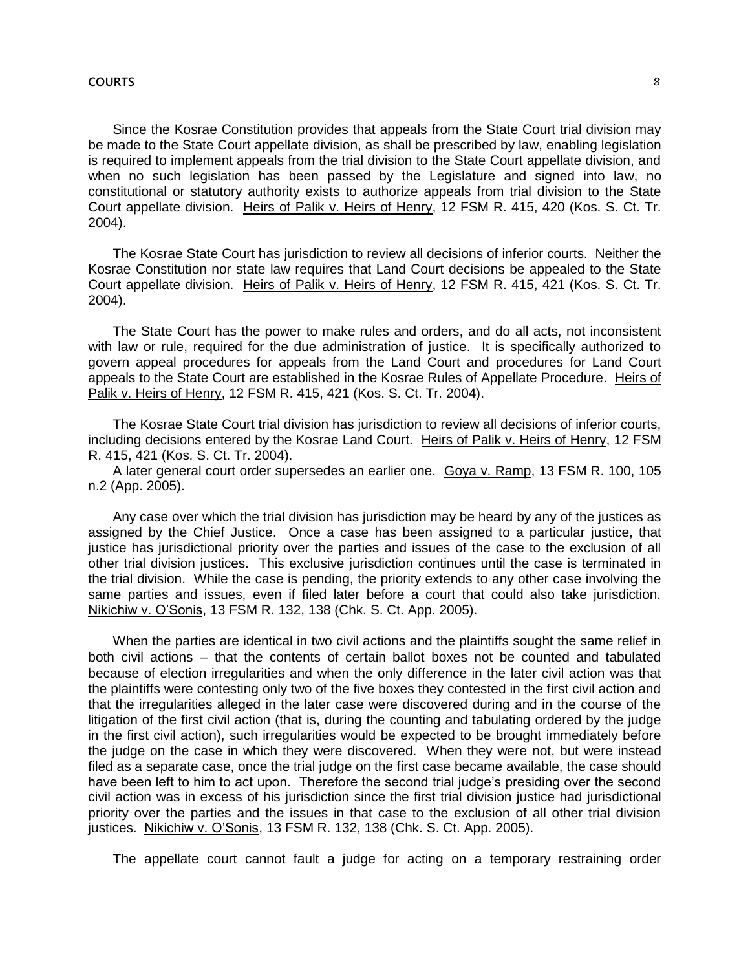#### **COURTS** 8

Since the Kosrae Constitution provides that appeals from the State Court trial division may be made to the State Court appellate division, as shall be prescribed by law, enabling legislation is required to implement appeals from the trial division to the State Court appellate division, and when no such legislation has been passed by the Legislature and signed into law, no constitutional or statutory authority exists to authorize appeals from trial division to the State Court appellate division. Heirs of Palik v. Heirs of Henry, 12 FSM R. 415, 420 (Kos. S. Ct. Tr. 2004).

The Kosrae State Court has jurisdiction to review all decisions of inferior courts. Neither the Kosrae Constitution nor state law requires that Land Court decisions be appealed to the State Court appellate division. Heirs of Palik v. Heirs of Henry, 12 FSM R. 415, 421 (Kos. S. Ct. Tr. 2004).

The State Court has the power to make rules and orders, and do all acts, not inconsistent with law or rule, required for the due administration of justice. It is specifically authorized to govern appeal procedures for appeals from the Land Court and procedures for Land Court appeals to the State Court are established in the Kosrae Rules of Appellate Procedure. Heirs of Palik v. Heirs of Henry, 12 FSM R. 415, 421 (Kos. S. Ct. Tr. 2004).

The Kosrae State Court trial division has jurisdiction to review all decisions of inferior courts, including decisions entered by the Kosrae Land Court. Heirs of Palik v. Heirs of Henry, 12 FSM R. 415, 421 (Kos. S. Ct. Tr. 2004).

A later general court order supersedes an earlier one. Goya v. Ramp, 13 FSM R. 100, 105 n.2 (App. 2005).

Any case over which the trial division has jurisdiction may be heard by any of the justices as assigned by the Chief Justice. Once a case has been assigned to a particular justice, that justice has jurisdictional priority over the parties and issues of the case to the exclusion of all other trial division justices. This exclusive jurisdiction continues until the case is terminated in the trial division. While the case is pending, the priority extends to any other case involving the same parties and issues, even if filed later before a court that could also take jurisdiction. Nikichiw v. O'Sonis, 13 FSM R. 132, 138 (Chk. S. Ct. App. 2005).

When the parties are identical in two civil actions and the plaintiffs sought the same relief in both civil actions ─ that the contents of certain ballot boxes not be counted and tabulated because of election irregularities and when the only difference in the later civil action was that the plaintiffs were contesting only two of the five boxes they contested in the first civil action and that the irregularities alleged in the later case were discovered during and in the course of the litigation of the first civil action (that is, during the counting and tabulating ordered by the judge in the first civil action), such irregularities would be expected to be brought immediately before the judge on the case in which they were discovered. When they were not, but were instead filed as a separate case, once the trial judge on the first case became available, the case should have been left to him to act upon. Therefore the second trial judge's presiding over the second civil action was in excess of his jurisdiction since the first trial division justice had jurisdictional priority over the parties and the issues in that case to the exclusion of all other trial division justices. Nikichiw v. O'Sonis, 13 FSM R. 132, 138 (Chk. S. Ct. App. 2005).

The appellate court cannot fault a judge for acting on a temporary restraining order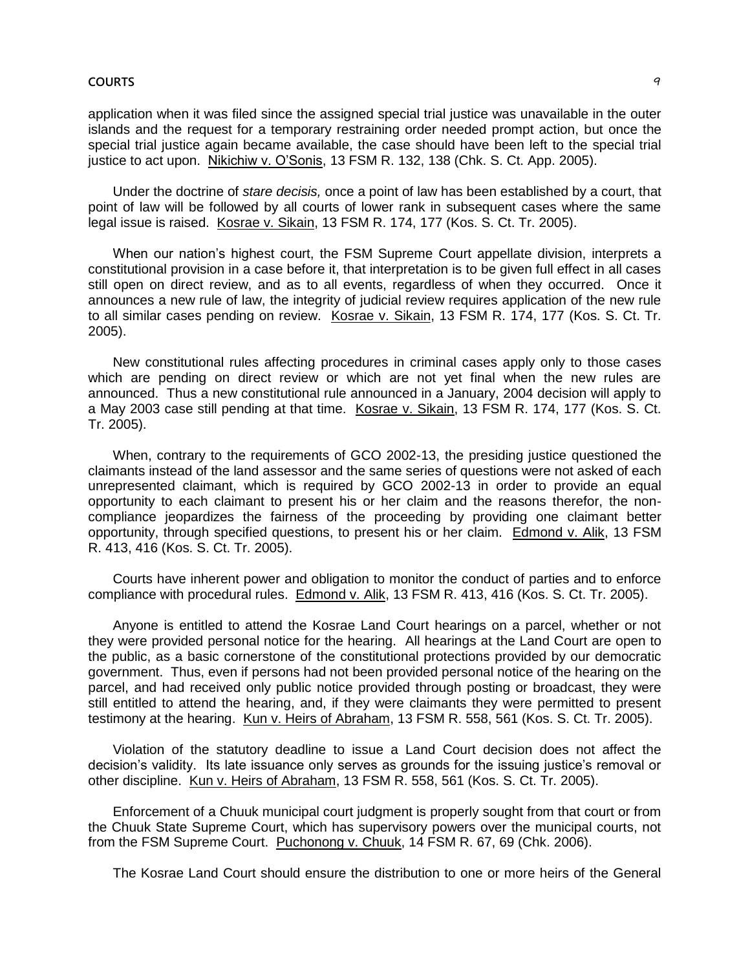application when it was filed since the assigned special trial justice was unavailable in the outer islands and the request for a temporary restraining order needed prompt action, but once the special trial justice again became available, the case should have been left to the special trial justice to act upon. Nikichiw v. O'Sonis, 13 FSM R. 132, 138 (Chk. S. Ct. App. 2005).

Under the doctrine of *stare decisis,* once a point of law has been established by a court, that point of law will be followed by all courts of lower rank in subsequent cases where the same legal issue is raised. Kosrae v. Sikain, 13 FSM R. 174, 177 (Kos. S. Ct. Tr. 2005).

When our nation's highest court, the FSM Supreme Court appellate division, interprets a constitutional provision in a case before it, that interpretation is to be given full effect in all cases still open on direct review, and as to all events, regardless of when they occurred. Once it announces a new rule of law, the integrity of judicial review requires application of the new rule to all similar cases pending on review. Kosrae v. Sikain, 13 FSM R. 174, 177 (Kos. S. Ct. Tr. 2005).

New constitutional rules affecting procedures in criminal cases apply only to those cases which are pending on direct review or which are not yet final when the new rules are announced. Thus a new constitutional rule announced in a January, 2004 decision will apply to a May 2003 case still pending at that time. Kosrae v. Sikain, 13 FSM R. 174, 177 (Kos. S. Ct. Tr. 2005).

When, contrary to the requirements of GCO 2002-13, the presiding justice questioned the claimants instead of the land assessor and the same series of questions were not asked of each unrepresented claimant, which is required by GCO 2002-13 in order to provide an equal opportunity to each claimant to present his or her claim and the reasons therefor, the noncompliance jeopardizes the fairness of the proceeding by providing one claimant better opportunity, through specified questions, to present his or her claim. Edmond v. Alik, 13 FSM R. 413, 416 (Kos. S. Ct. Tr. 2005).

Courts have inherent power and obligation to monitor the conduct of parties and to enforce compliance with procedural rules. Edmond v. Alik, 13 FSM R. 413, 416 (Kos. S. Ct. Tr. 2005).

Anyone is entitled to attend the Kosrae Land Court hearings on a parcel, whether or not they were provided personal notice for the hearing. All hearings at the Land Court are open to the public, as a basic cornerstone of the constitutional protections provided by our democratic government. Thus, even if persons had not been provided personal notice of the hearing on the parcel, and had received only public notice provided through posting or broadcast, they were still entitled to attend the hearing, and, if they were claimants they were permitted to present testimony at the hearing. Kun v. Heirs of Abraham, 13 FSM R. 558, 561 (Kos. S. Ct. Tr. 2005).

Violation of the statutory deadline to issue a Land Court decision does not affect the decision's validity. Its late issuance only serves as grounds for the issuing justice's removal or other discipline. Kun v. Heirs of Abraham, 13 FSM R. 558, 561 (Kos. S. Ct. Tr. 2005).

Enforcement of a Chuuk municipal court judgment is properly sought from that court or from the Chuuk State Supreme Court, which has supervisory powers over the municipal courts, not from the FSM Supreme Court. Puchonong v. Chuuk, 14 FSM R. 67, 69 (Chk. 2006).

The Kosrae Land Court should ensure the distribution to one or more heirs of the General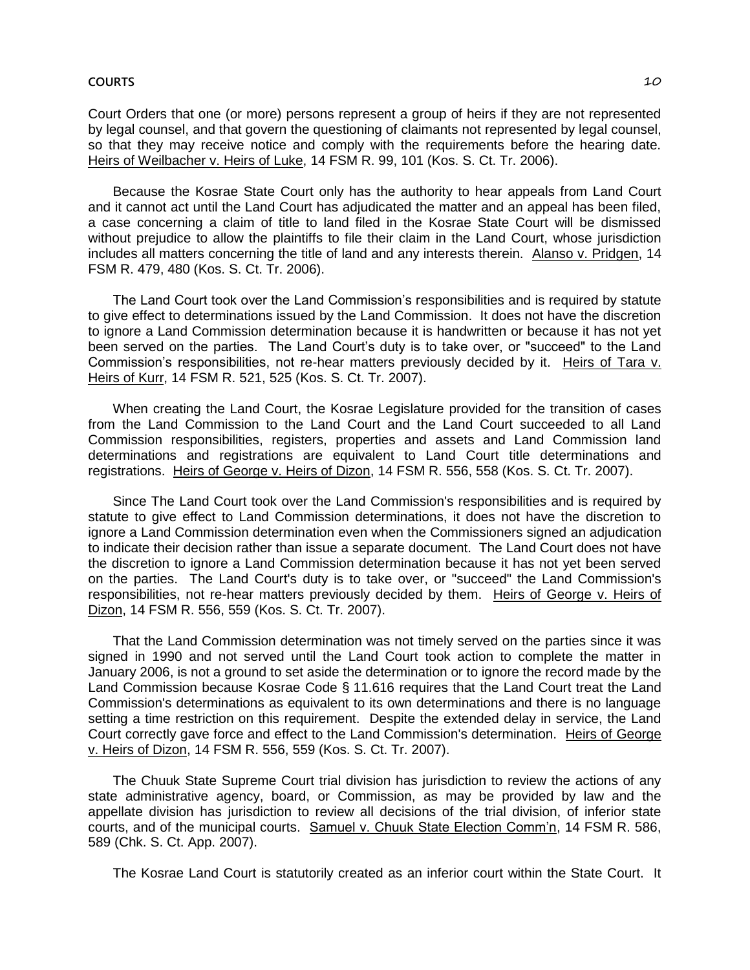#### **COURTS** 2008 **COURTS**

Court Orders that one (or more) persons represent a group of heirs if they are not represented by legal counsel, and that govern the questioning of claimants not represented by legal counsel, so that they may receive notice and comply with the requirements before the hearing date. Heirs of Weilbacher v. Heirs of Luke, 14 FSM R. 99, 101 (Kos. S. Ct. Tr. 2006).

Because the Kosrae State Court only has the authority to hear appeals from Land Court and it cannot act until the Land Court has adjudicated the matter and an appeal has been filed, a case concerning a claim of title to land filed in the Kosrae State Court will be dismissed without prejudice to allow the plaintiffs to file their claim in the Land Court, whose jurisdiction includes all matters concerning the title of land and any interests therein. Alanso v. Pridgen, 14 FSM R. 479, 480 (Kos. S. Ct. Tr. 2006).

The Land Court took over the Land Commission's responsibilities and is required by statute to give effect to determinations issued by the Land Commission. It does not have the discretion to ignore a Land Commission determination because it is handwritten or because it has not yet been served on the parties. The Land Court's duty is to take over, or "succeed" to the Land Commission's responsibilities, not re-hear matters previously decided by it. Heirs of Tara v. Heirs of Kurr, 14 FSM R. 521, 525 (Kos. S. Ct. Tr. 2007).

When creating the Land Court, the Kosrae Legislature provided for the transition of cases from the Land Commission to the Land Court and the Land Court succeeded to all Land Commission responsibilities, registers, properties and assets and Land Commission land determinations and registrations are equivalent to Land Court title determinations and registrations. Heirs of George v. Heirs of Dizon, 14 FSM R. 556, 558 (Kos. S. Ct. Tr. 2007).

Since The Land Court took over the Land Commission's responsibilities and is required by statute to give effect to Land Commission determinations, it does not have the discretion to ignore a Land Commission determination even when the Commissioners signed an adjudication to indicate their decision rather than issue a separate document. The Land Court does not have the discretion to ignore a Land Commission determination because it has not yet been served on the parties. The Land Court's duty is to take over, or "succeed" the Land Commission's responsibilities, not re-hear matters previously decided by them. Heirs of George v. Heirs of Dizon, 14 FSM R. 556, 559 (Kos. S. Ct. Tr. 2007).

That the Land Commission determination was not timely served on the parties since it was signed in 1990 and not served until the Land Court took action to complete the matter in January 2006, is not a ground to set aside the determination or to ignore the record made by the Land Commission because Kosrae Code § 11.616 requires that the Land Court treat the Land Commission's determinations as equivalent to its own determinations and there is no language setting a time restriction on this requirement. Despite the extended delay in service, the Land Court correctly gave force and effect to the Land Commission's determination. Heirs of George v. Heirs of Dizon, 14 FSM R. 556, 559 (Kos. S. Ct. Tr. 2007).

The Chuuk State Supreme Court trial division has jurisdiction to review the actions of any state administrative agency, board, or Commission, as may be provided by law and the appellate division has jurisdiction to review all decisions of the trial division, of inferior state courts, and of the municipal courts. Samuel v. Chuuk State Election Comm'n, 14 FSM R. 586, 589 (Chk. S. Ct. App. 2007).

The Kosrae Land Court is statutorily created as an inferior court within the State Court. It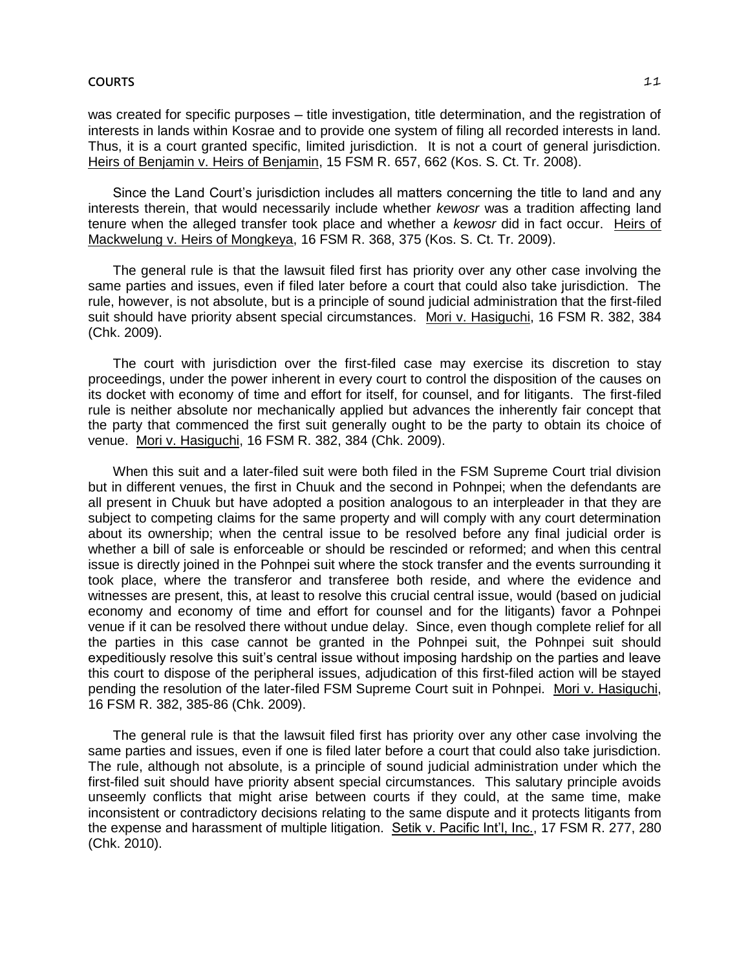was created for specific purposes - title investigation, title determination, and the registration of interests in lands within Kosrae and to provide one system of filing all recorded interests in land. Thus, it is a court granted specific, limited jurisdiction. It is not a court of general jurisdiction. Heirs of Benjamin v. Heirs of Benjamin, 15 FSM R. 657, 662 (Kos. S. Ct. Tr. 2008).

Since the Land Court's jurisdiction includes all matters concerning the title to land and any interests therein, that would necessarily include whether *kewosr* was a tradition affecting land tenure when the alleged transfer took place and whether a *kewosr* did in fact occur. Heirs of Mackwelung v. Heirs of Mongkeya, 16 FSM R. 368, 375 (Kos. S. Ct. Tr. 2009).

The general rule is that the lawsuit filed first has priority over any other case involving the same parties and issues, even if filed later before a court that could also take jurisdiction. The rule, however, is not absolute, but is a principle of sound judicial administration that the first-filed suit should have priority absent special circumstances. Mori v. Hasiguchi, 16 FSM R. 382, 384 (Chk. 2009).

The court with jurisdiction over the first-filed case may exercise its discretion to stay proceedings, under the power inherent in every court to control the disposition of the causes on its docket with economy of time and effort for itself, for counsel, and for litigants. The first-filed rule is neither absolute nor mechanically applied but advances the inherently fair concept that the party that commenced the first suit generally ought to be the party to obtain its choice of venue. Mori v. Hasiguchi, 16 FSM R. 382, 384 (Chk. 2009).

When this suit and a later-filed suit were both filed in the FSM Supreme Court trial division but in different venues, the first in Chuuk and the second in Pohnpei; when the defendants are all present in Chuuk but have adopted a position analogous to an interpleader in that they are subject to competing claims for the same property and will comply with any court determination about its ownership; when the central issue to be resolved before any final judicial order is whether a bill of sale is enforceable or should be rescinded or reformed; and when this central issue is directly joined in the Pohnpei suit where the stock transfer and the events surrounding it took place, where the transferor and transferee both reside, and where the evidence and witnesses are present, this, at least to resolve this crucial central issue, would (based on judicial economy and economy of time and effort for counsel and for the litigants) favor a Pohnpei venue if it can be resolved there without undue delay. Since, even though complete relief for all the parties in this case cannot be granted in the Pohnpei suit, the Pohnpei suit should expeditiously resolve this suit's central issue without imposing hardship on the parties and leave this court to dispose of the peripheral issues, adjudication of this first-filed action will be stayed pending the resolution of the later-filed FSM Supreme Court suit in Pohnpei. Mori v. Hasiguchi, 16 FSM R. 382, 385-86 (Chk. 2009).

The general rule is that the lawsuit filed first has priority over any other case involving the same parties and issues, even if one is filed later before a court that could also take jurisdiction. The rule, although not absolute, is a principle of sound judicial administration under which the first-filed suit should have priority absent special circumstances. This salutary principle avoids unseemly conflicts that might arise between courts if they could, at the same time, make inconsistent or contradictory decisions relating to the same dispute and it protects litigants from the expense and harassment of multiple litigation. Setik v. Pacific Int'l, Inc., 17 FSM R. 277, 280 (Chk. 2010).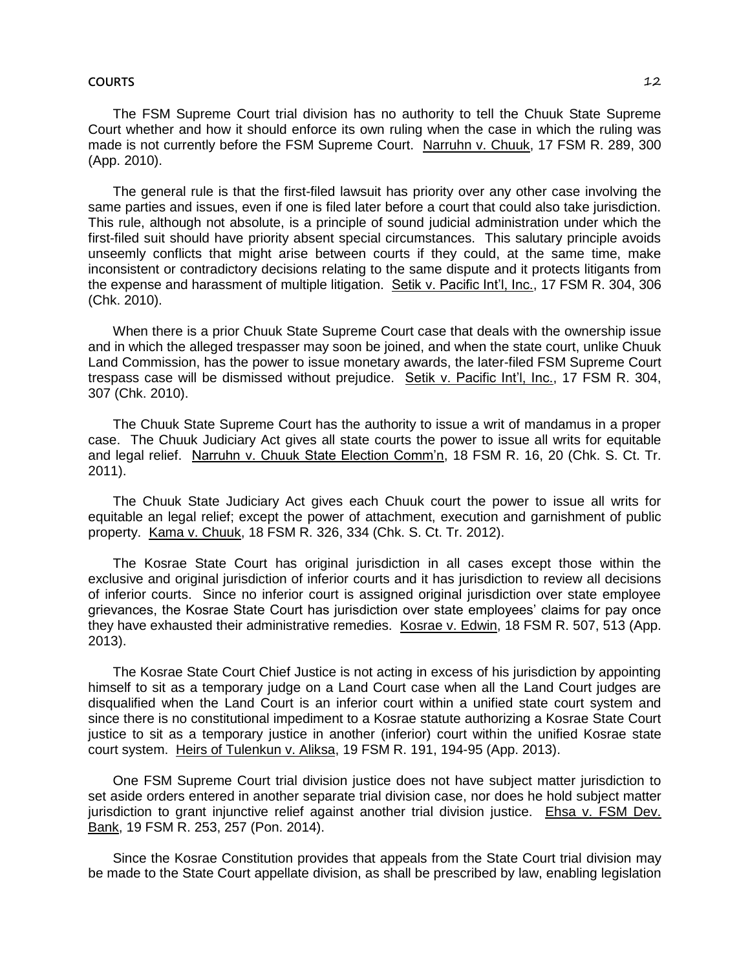#### **COURTS** 12

The FSM Supreme Court trial division has no authority to tell the Chuuk State Supreme Court whether and how it should enforce its own ruling when the case in which the ruling was made is not currently before the FSM Supreme Court. Narruhn v. Chuuk, 17 FSM R. 289, 300 (App. 2010).

The general rule is that the first-filed lawsuit has priority over any other case involving the same parties and issues, even if one is filed later before a court that could also take jurisdiction. This rule, although not absolute, is a principle of sound judicial administration under which the first-filed suit should have priority absent special circumstances. This salutary principle avoids unseemly conflicts that might arise between courts if they could, at the same time, make inconsistent or contradictory decisions relating to the same dispute and it protects litigants from the expense and harassment of multiple litigation. Setik v. Pacific Int'l, Inc., 17 FSM R. 304, 306 (Chk. 2010).

When there is a prior Chuuk State Supreme Court case that deals with the ownership issue and in which the alleged trespasser may soon be joined, and when the state court, unlike Chuuk Land Commission, has the power to issue monetary awards, the later-filed FSM Supreme Court trespass case will be dismissed without prejudice. Setik v. Pacific Int'l, Inc., 17 FSM R. 304, 307 (Chk. 2010).

The Chuuk State Supreme Court has the authority to issue a writ of mandamus in a proper case. The Chuuk Judiciary Act gives all state courts the power to issue all writs for equitable and legal relief. Narruhn v. Chuuk State Election Comm'n, 18 FSM R. 16, 20 (Chk. S. Ct. Tr. 2011).

The Chuuk State Judiciary Act gives each Chuuk court the power to issue all writs for equitable an legal relief; except the power of attachment, execution and garnishment of public property. Kama v. Chuuk, 18 FSM R. 326, 334 (Chk. S. Ct. Tr. 2012).

The Kosrae State Court has original jurisdiction in all cases except those within the exclusive and original jurisdiction of inferior courts and it has jurisdiction to review all decisions of inferior courts. Since no inferior court is assigned original jurisdiction over state employee grievances, the Kosrae State Court has jurisdiction over state employees' claims for pay once they have exhausted their administrative remedies. Kosrae v. Edwin, 18 FSM R. 507, 513 (App. 2013).

The Kosrae State Court Chief Justice is not acting in excess of his jurisdiction by appointing himself to sit as a temporary judge on a Land Court case when all the Land Court judges are disqualified when the Land Court is an inferior court within a unified state court system and since there is no constitutional impediment to a Kosrae statute authorizing a Kosrae State Court justice to sit as a temporary justice in another (inferior) court within the unified Kosrae state court system. Heirs of Tulenkun v. Aliksa, 19 FSM R. 191, 194-95 (App. 2013).

One FSM Supreme Court trial division justice does not have subject matter jurisdiction to set aside orders entered in another separate trial division case, nor does he hold subject matter jurisdiction to grant injunctive relief against another trial division justice. Ehsa v. FSM Dev. Bank, 19 FSM R. 253, 257 (Pon. 2014).

Since the Kosrae Constitution provides that appeals from the State Court trial division may be made to the State Court appellate division, as shall be prescribed by law, enabling legislation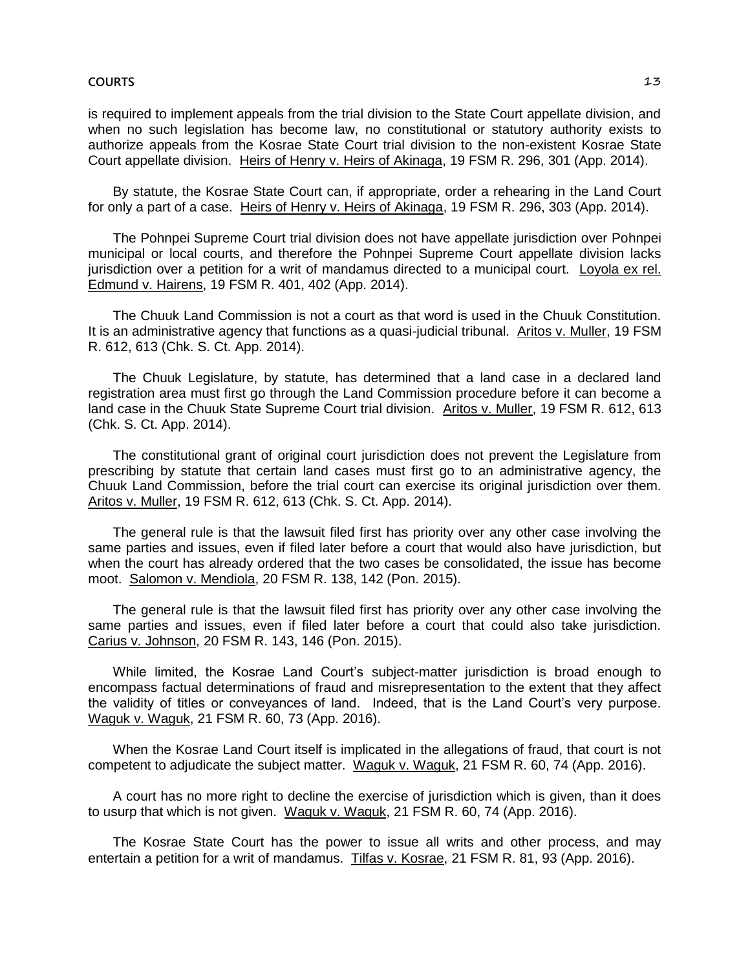is required to implement appeals from the trial division to the State Court appellate division, and when no such legislation has become law, no constitutional or statutory authority exists to authorize appeals from the Kosrae State Court trial division to the non-existent Kosrae State Court appellate division. Heirs of Henry v. Heirs of Akinaga, 19 FSM R. 296, 301 (App. 2014).

By statute, the Kosrae State Court can, if appropriate, order a rehearing in the Land Court for only a part of a case. Heirs of Henry v. Heirs of Akinaga, 19 FSM R. 296, 303 (App. 2014).

The Pohnpei Supreme Court trial division does not have appellate jurisdiction over Pohnpei municipal or local courts, and therefore the Pohnpei Supreme Court appellate division lacks jurisdiction over a petition for a writ of mandamus directed to a municipal court. Loyola ex rel. Edmund v. Hairens, 19 FSM R. 401, 402 (App. 2014).

The Chuuk Land Commission is not a court as that word is used in the Chuuk Constitution. It is an administrative agency that functions as a quasi-judicial tribunal. Aritos v. Muller, 19 FSM R. 612, 613 (Chk. S. Ct. App. 2014).

The Chuuk Legislature, by statute, has determined that a land case in a declared land registration area must first go through the Land Commission procedure before it can become a land case in the Chuuk State Supreme Court trial division. Aritos v. Muller, 19 FSM R. 612, 613 (Chk. S. Ct. App. 2014).

The constitutional grant of original court jurisdiction does not prevent the Legislature from prescribing by statute that certain land cases must first go to an administrative agency, the Chuuk Land Commission, before the trial court can exercise its original jurisdiction over them. Aritos v. Muller, 19 FSM R. 612, 613 (Chk. S. Ct. App. 2014).

The general rule is that the lawsuit filed first has priority over any other case involving the same parties and issues, even if filed later before a court that would also have jurisdiction, but when the court has already ordered that the two cases be consolidated, the issue has become moot. Salomon v. Mendiola, 20 FSM R. 138, 142 (Pon. 2015).

The general rule is that the lawsuit filed first has priority over any other case involving the same parties and issues, even if filed later before a court that could also take jurisdiction. Carius v. Johnson, 20 FSM R. 143, 146 (Pon. 2015).

While limited, the Kosrae Land Court's subject-matter jurisdiction is broad enough to encompass factual determinations of fraud and misrepresentation to the extent that they affect the validity of titles or conveyances of land. Indeed, that is the Land Court's very purpose. Waguk v. Waguk, 21 FSM R. 60, 73 (App. 2016).

When the Kosrae Land Court itself is implicated in the allegations of fraud, that court is not competent to adjudicate the subject matter. Waguk v. Waguk, 21 FSM R. 60, 74 (App. 2016).

A court has no more right to decline the exercise of jurisdiction which is given, than it does to usurp that which is not given. Waguk v. Waguk, 21 FSM R. 60, 74 (App. 2016).

The Kosrae State Court has the power to issue all writs and other process, and may entertain a petition for a writ of mandamus. Tilfas v. Kosrae, 21 FSM R. 81, 93 (App. 2016).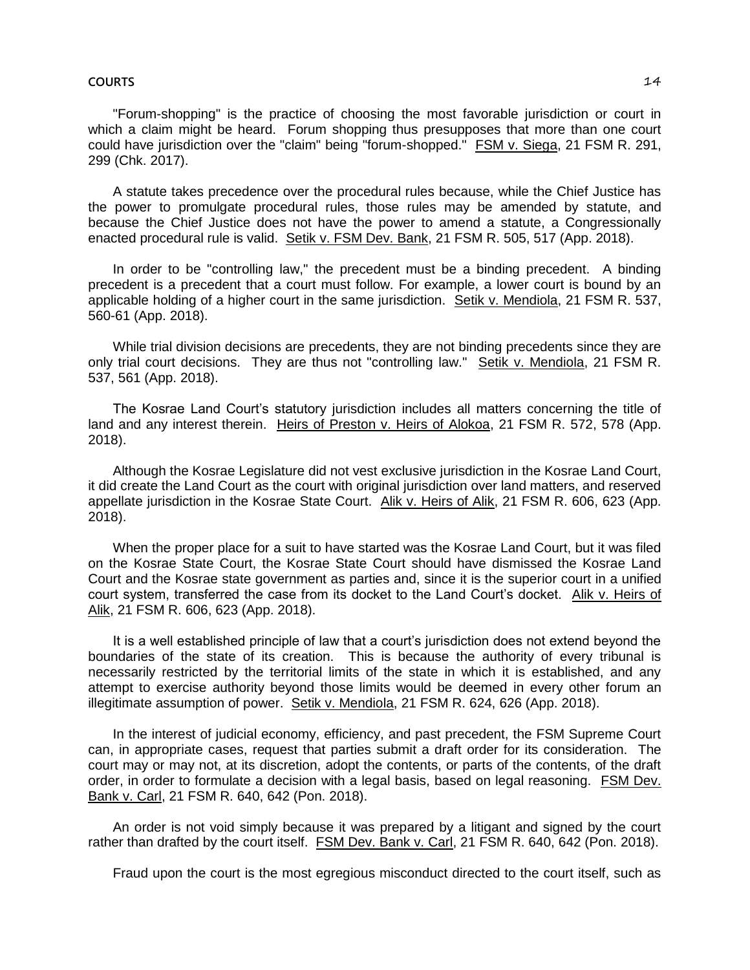#### **COURTS** 14

"Forum-shopping" is the practice of choosing the most favorable jurisdiction or court in which a claim might be heard. Forum shopping thus presupposes that more than one court could have jurisdiction over the "claim" being "forum-shopped." FSM v. Siega, 21 FSM R. 291, 299 (Chk. 2017).

A statute takes precedence over the procedural rules because, while the Chief Justice has the power to promulgate procedural rules, those rules may be amended by statute, and because the Chief Justice does not have the power to amend a statute, a Congressionally enacted procedural rule is valid. Setik v. FSM Dev. Bank, 21 FSM R. 505, 517 (App. 2018).

In order to be "controlling law," the precedent must be a binding precedent. A binding precedent is a precedent that a court must follow. For example, a lower court is bound by an applicable holding of a higher court in the same jurisdiction. Setik v. Mendiola, 21 FSM R. 537, 560-61 (App. 2018).

While trial division decisions are precedents, they are not binding precedents since they are only trial court decisions. They are thus not "controlling law." Setik v. Mendiola, 21 FSM R. 537, 561 (App. 2018).

The Kosrae Land Court's statutory jurisdiction includes all matters concerning the title of land and any interest therein. Heirs of Preston v. Heirs of Alokoa, 21 FSM R. 572, 578 (App. 2018).

Although the Kosrae Legislature did not vest exclusive jurisdiction in the Kosrae Land Court, it did create the Land Court as the court with original jurisdiction over land matters, and reserved appellate jurisdiction in the Kosrae State Court. Alik v. Heirs of Alik, 21 FSM R. 606, 623 (App. 2018).

When the proper place for a suit to have started was the Kosrae Land Court, but it was filed on the Kosrae State Court, the Kosrae State Court should have dismissed the Kosrae Land Court and the Kosrae state government as parties and, since it is the superior court in a unified court system, transferred the case from its docket to the Land Court's docket. Alik v. Heirs of Alik, 21 FSM R. 606, 623 (App. 2018).

It is a well established principle of law that a court's jurisdiction does not extend beyond the boundaries of the state of its creation. This is because the authority of every tribunal is necessarily restricted by the territorial limits of the state in which it is established, and any attempt to exercise authority beyond those limits would be deemed in every other forum an illegitimate assumption of power. Setik v. Mendiola, 21 FSM R. 624, 626 (App. 2018).

In the interest of judicial economy, efficiency, and past precedent, the FSM Supreme Court can, in appropriate cases, request that parties submit a draft order for its consideration. The court may or may not, at its discretion, adopt the contents, or parts of the contents, of the draft order, in order to formulate a decision with a legal basis, based on legal reasoning. FSM Dev. Bank v. Carl, 21 FSM R. 640, 642 (Pon. 2018).

An order is not void simply because it was prepared by a litigant and signed by the court rather than drafted by the court itself. FSM Dev. Bank v. Carl, 21 FSM R. 640, 642 (Pon. 2018).

Fraud upon the court is the most egregious misconduct directed to the court itself, such as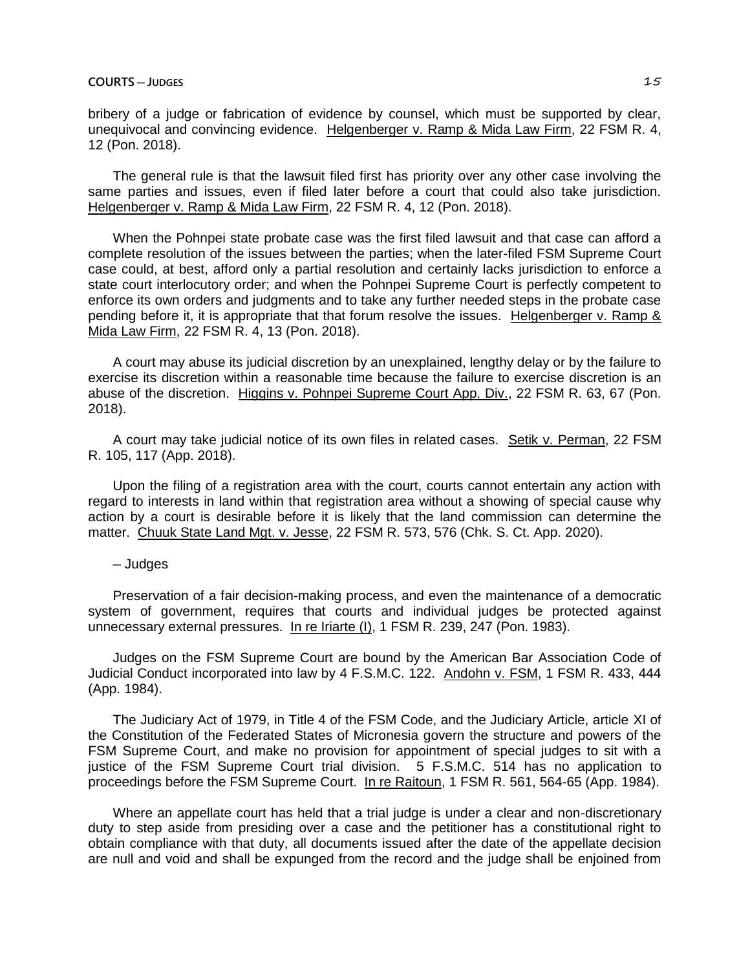bribery of a judge or fabrication of evidence by counsel, which must be supported by clear, unequivocal and convincing evidence. Helgenberger v. Ramp & Mida Law Firm, 22 FSM R. 4, 12 (Pon. 2018).

The general rule is that the lawsuit filed first has priority over any other case involving the same parties and issues, even if filed later before a court that could also take jurisdiction. Helgenberger v. Ramp & Mida Law Firm, 22 FSM R. 4, 12 (Pon. 2018).

When the Pohnpei state probate case was the first filed lawsuit and that case can afford a complete resolution of the issues between the parties; when the later-filed FSM Supreme Court case could, at best, afford only a partial resolution and certainly lacks jurisdiction to enforce a state court interlocutory order; and when the Pohnpei Supreme Court is perfectly competent to enforce its own orders and judgments and to take any further needed steps in the probate case pending before it, it is appropriate that that forum resolve the issues. Helgenberger v. Ramp & Mida Law Firm, 22 FSM R. 4, 13 (Pon. 2018).

A court may abuse its judicial discretion by an unexplained, lengthy delay or by the failure to exercise its discretion within a reasonable time because the failure to exercise discretion is an abuse of the discretion. Higgins v. Pohnpei Supreme Court App. Div., 22 FSM R. 63, 67 (Pon. 2018).

A court may take judicial notice of its own files in related cases. Setik v. Perman, 22 FSM R. 105, 117 (App. 2018).

Upon the filing of a registration area with the court, courts cannot entertain any action with regard to interests in land within that registration area without a showing of special cause why action by a court is desirable before it is likely that the land commission can determine the matter. Chuuk State Land Mgt. v. Jesse, 22 FSM R. 573, 576 (Chk. S. Ct. App. 2020).

─ Judges

Preservation of a fair decision-making process, and even the maintenance of a democratic system of government, requires that courts and individual judges be protected against unnecessary external pressures. In re Iriarte (I), 1 FSM R. 239, 247 (Pon. 1983).

Judges on the FSM Supreme Court are bound by the American Bar Association Code of Judicial Conduct incorporated into law by 4 F.S.M.C. 122. Andohn v. FSM, 1 FSM R. 433, 444 (App. 1984).

The Judiciary Act of 1979, in Title 4 of the FSM Code, and the Judiciary Article, article XI of the Constitution of the Federated States of Micronesia govern the structure and powers of the FSM Supreme Court, and make no provision for appointment of special judges to sit with a justice of the FSM Supreme Court trial division. 5 F.S.M.C. 514 has no application to proceedings before the FSM Supreme Court. In re Raitoun, 1 FSM R. 561, 564-65 (App. 1984).

Where an appellate court has held that a trial judge is under a clear and non-discretionary duty to step aside from presiding over a case and the petitioner has a constitutional right to obtain compliance with that duty, all documents issued after the date of the appellate decision are null and void and shall be expunged from the record and the judge shall be enjoined from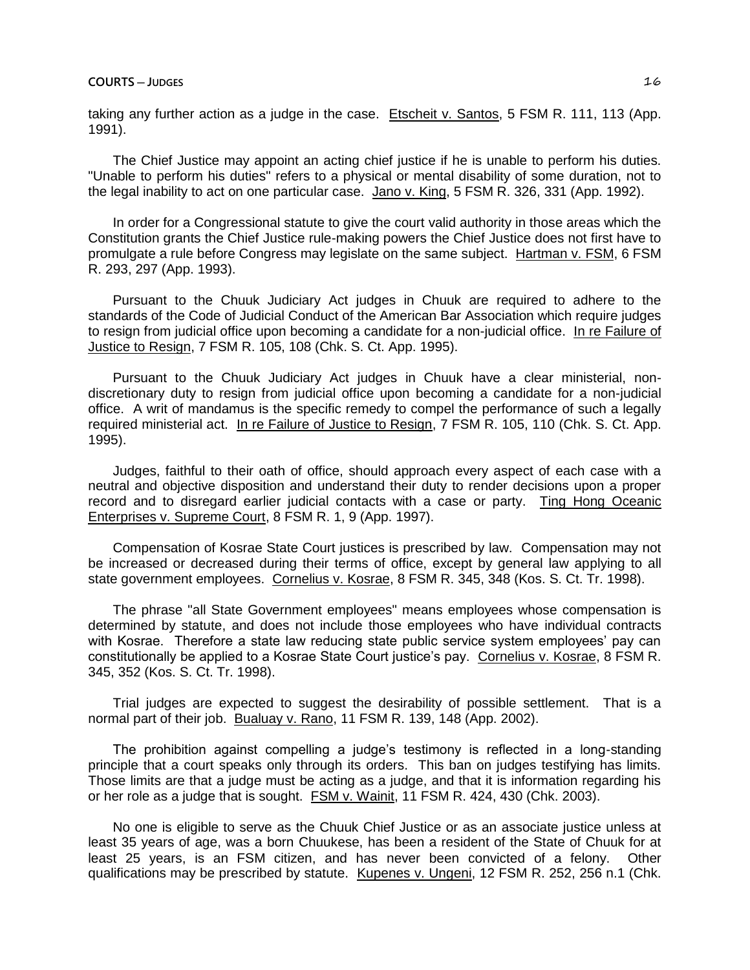taking any further action as a judge in the case. Etscheit v. Santos, 5 FSM R. 111, 113 (App. 1991).

The Chief Justice may appoint an acting chief justice if he is unable to perform his duties. "Unable to perform his duties" refers to a physical or mental disability of some duration, not to the legal inability to act on one particular case. Jano v. King, 5 FSM R. 326, 331 (App. 1992).

In order for a Congressional statute to give the court valid authority in those areas which the Constitution grants the Chief Justice rule-making powers the Chief Justice does not first have to promulgate a rule before Congress may legislate on the same subject. Hartman v. FSM, 6 FSM R. 293, 297 (App. 1993).

Pursuant to the Chuuk Judiciary Act judges in Chuuk are required to adhere to the standards of the Code of Judicial Conduct of the American Bar Association which require judges to resign from judicial office upon becoming a candidate for a non-judicial office. In re Failure of Justice to Resign, 7 FSM R. 105, 108 (Chk. S. Ct. App. 1995).

Pursuant to the Chuuk Judiciary Act judges in Chuuk have a clear ministerial, nondiscretionary duty to resign from judicial office upon becoming a candidate for a non-judicial office. A writ of mandamus is the specific remedy to compel the performance of such a legally required ministerial act. In re Failure of Justice to Resign, 7 FSM R. 105, 110 (Chk. S. Ct. App. 1995).

Judges, faithful to their oath of office, should approach every aspect of each case with a neutral and objective disposition and understand their duty to render decisions upon a proper record and to disregard earlier judicial contacts with a case or party. Ting Hong Oceanic Enterprises v. Supreme Court, 8 FSM R. 1, 9 (App. 1997).

Compensation of Kosrae State Court justices is prescribed by law. Compensation may not be increased or decreased during their terms of office, except by general law applying to all state government employees. Cornelius v. Kosrae, 8 FSM R. 345, 348 (Kos. S. Ct. Tr. 1998).

The phrase "all State Government employees" means employees whose compensation is determined by statute, and does not include those employees who have individual contracts with Kosrae. Therefore a state law reducing state public service system employees' pay can constitutionally be applied to a Kosrae State Court justice's pay. Cornelius v. Kosrae, 8 FSM R. 345, 352 (Kos. S. Ct. Tr. 1998).

Trial judges are expected to suggest the desirability of possible settlement. That is a normal part of their job. Bualuay v. Rano, 11 FSM R. 139, 148 (App. 2002).

The prohibition against compelling a judge's testimony is reflected in a long-standing principle that a court speaks only through its orders. This ban on judges testifying has limits. Those limits are that a judge must be acting as a judge, and that it is information regarding his or her role as a judge that is sought. FSM v. Wainit, 11 FSM R. 424, 430 (Chk. 2003).

No one is eligible to serve as the Chuuk Chief Justice or as an associate justice unless at least 35 years of age, was a born Chuukese, has been a resident of the State of Chuuk for at least 25 years, is an FSM citizen, and has never been convicted of a felony. Other qualifications may be prescribed by statute. Kupenes v. Ungeni, 12 FSM R. 252, 256 n.1 (Chk.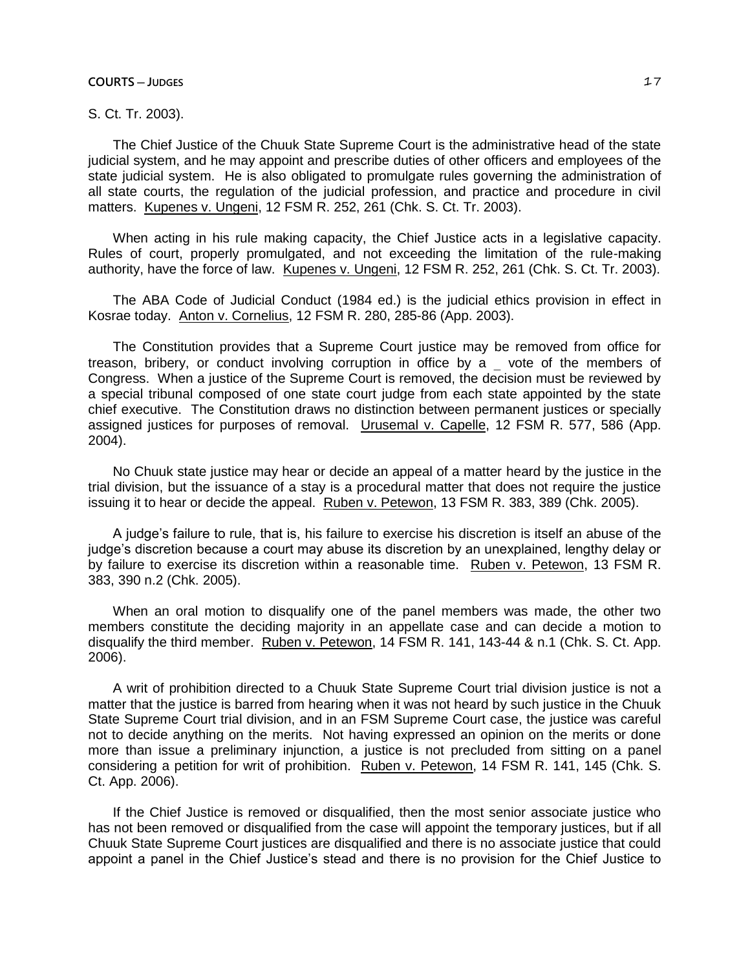## **COURTS** — **JUDGES** 27

# S. Ct. Tr. 2003).

The Chief Justice of the Chuuk State Supreme Court is the administrative head of the state judicial system, and he may appoint and prescribe duties of other officers and employees of the state judicial system. He is also obligated to promulgate rules governing the administration of all state courts, the regulation of the judicial profession, and practice and procedure in civil matters. Kupenes v. Ungeni, 12 FSM R. 252, 261 (Chk. S. Ct. Tr. 2003).

When acting in his rule making capacity, the Chief Justice acts in a legislative capacity. Rules of court, properly promulgated, and not exceeding the limitation of the rule-making authority, have the force of law. Kupenes v. Ungeni, 12 FSM R. 252, 261 (Chk. S. Ct. Tr. 2003).

The ABA Code of Judicial Conduct (1984 ed.) is the judicial ethics provision in effect in Kosrae today. Anton v. Cornelius, 12 FSM R. 280, 285-86 (App. 2003).

The Constitution provides that a Supreme Court justice may be removed from office for treason, bribery, or conduct involving corruption in office by a vote of the members of Congress. When a justice of the Supreme Court is removed, the decision must be reviewed by a special tribunal composed of one state court judge from each state appointed by the state chief executive. The Constitution draws no distinction between permanent justices or specially assigned justices for purposes of removal. Urusemal v. Capelle, 12 FSM R. 577, 586 (App. 2004).

No Chuuk state justice may hear or decide an appeal of a matter heard by the justice in the trial division, but the issuance of a stay is a procedural matter that does not require the justice issuing it to hear or decide the appeal. Ruben v. Petewon, 13 FSM R. 383, 389 (Chk. 2005).

A judge's failure to rule, that is, his failure to exercise his discretion is itself an abuse of the judge's discretion because a court may abuse its discretion by an unexplained, lengthy delay or by failure to exercise its discretion within a reasonable time. Ruben v. Petewon, 13 FSM R. 383, 390 n.2 (Chk. 2005).

When an oral motion to disqualify one of the panel members was made, the other two members constitute the deciding majority in an appellate case and can decide a motion to disqualify the third member. Ruben v. Petewon, 14 FSM R. 141, 143-44 & n.1 (Chk. S. Ct. App. 2006).

A writ of prohibition directed to a Chuuk State Supreme Court trial division justice is not a matter that the justice is barred from hearing when it was not heard by such justice in the Chuuk State Supreme Court trial division, and in an FSM Supreme Court case, the justice was careful not to decide anything on the merits. Not having expressed an opinion on the merits or done more than issue a preliminary injunction, a justice is not precluded from sitting on a panel considering a petition for writ of prohibition. Ruben v. Petewon, 14 FSM R. 141, 145 (Chk. S. Ct. App. 2006).

If the Chief Justice is removed or disqualified, then the most senior associate justice who has not been removed or disqualified from the case will appoint the temporary justices, but if all Chuuk State Supreme Court justices are disqualified and there is no associate justice that could appoint a panel in the Chief Justice's stead and there is no provision for the Chief Justice to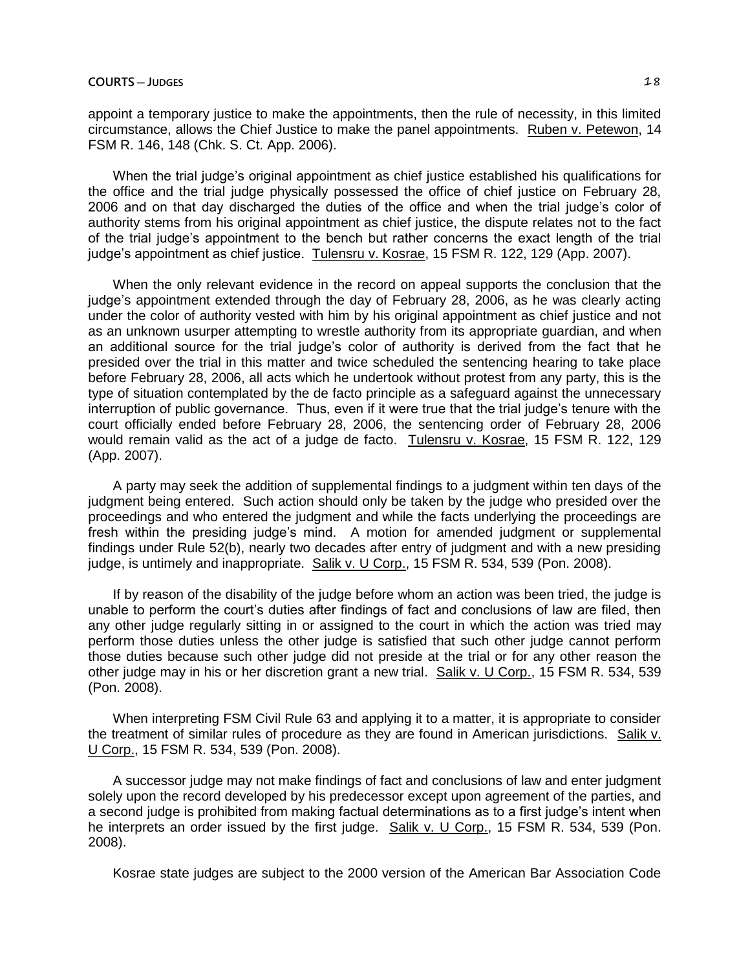appoint a temporary justice to make the appointments, then the rule of necessity, in this limited circumstance, allows the Chief Justice to make the panel appointments. Ruben v. Petewon, 14 FSM R. 146, 148 (Chk. S. Ct. App. 2006).

When the trial judge's original appointment as chief justice established his qualifications for the office and the trial judge physically possessed the office of chief justice on February 28, 2006 and on that day discharged the duties of the office and when the trial judge's color of authority stems from his original appointment as chief justice, the dispute relates not to the fact of the trial judge's appointment to the bench but rather concerns the exact length of the trial judge's appointment as chief justice. Tulensru v. Kosrae, 15 FSM R. 122, 129 (App. 2007).

When the only relevant evidence in the record on appeal supports the conclusion that the judge's appointment extended through the day of February 28, 2006, as he was clearly acting under the color of authority vested with him by his original appointment as chief justice and not as an unknown usurper attempting to wrestle authority from its appropriate guardian, and when an additional source for the trial judge's color of authority is derived from the fact that he presided over the trial in this matter and twice scheduled the sentencing hearing to take place before February 28, 2006, all acts which he undertook without protest from any party, this is the type of situation contemplated by the de facto principle as a safeguard against the unnecessary interruption of public governance. Thus, even if it were true that the trial judge's tenure with the court officially ended before February 28, 2006, the sentencing order of February 28, 2006 would remain valid as the act of a judge de facto. Tulensru v. Kosrae, 15 FSM R. 122, 129 (App. 2007).

A party may seek the addition of supplemental findings to a judgment within ten days of the judgment being entered. Such action should only be taken by the judge who presided over the proceedings and who entered the judgment and while the facts underlying the proceedings are fresh within the presiding judge's mind. A motion for amended judgment or supplemental findings under Rule 52(b), nearly two decades after entry of judgment and with a new presiding judge, is untimely and inappropriate. Salik v. U Corp., 15 FSM R. 534, 539 (Pon. 2008).

If by reason of the disability of the judge before whom an action was been tried, the judge is unable to perform the court's duties after findings of fact and conclusions of law are filed, then any other judge regularly sitting in or assigned to the court in which the action was tried may perform those duties unless the other judge is satisfied that such other judge cannot perform those duties because such other judge did not preside at the trial or for any other reason the other judge may in his or her discretion grant a new trial. Salik v. U Corp., 15 FSM R. 534, 539 (Pon. 2008).

When interpreting FSM Civil Rule 63 and applying it to a matter, it is appropriate to consider the treatment of similar rules of procedure as they are found in American jurisdictions. Salik v. U Corp., 15 FSM R. 534, 539 (Pon. 2008).

A successor judge may not make findings of fact and conclusions of law and enter judgment solely upon the record developed by his predecessor except upon agreement of the parties, and a second judge is prohibited from making factual determinations as to a first judge's intent when he interprets an order issued by the first judge. Salik v. U Corp., 15 FSM R. 534, 539 (Pon. 2008).

Kosrae state judges are subject to the 2000 version of the American Bar Association Code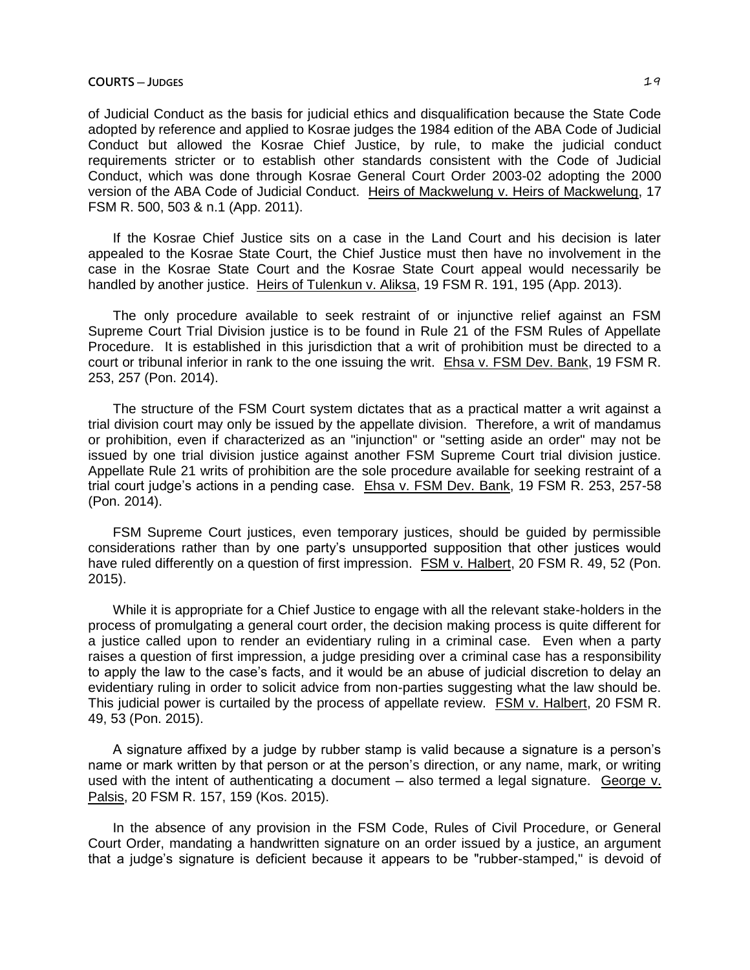of Judicial Conduct as the basis for judicial ethics and disqualification because the State Code adopted by reference and applied to Kosrae judges the 1984 edition of the ABA Code of Judicial Conduct but allowed the Kosrae Chief Justice, by rule, to make the judicial conduct requirements stricter or to establish other standards consistent with the Code of Judicial Conduct, which was done through Kosrae General Court Order 2003-02 adopting the 2000 version of the ABA Code of Judicial Conduct. Heirs of Mackwelung v. Heirs of Mackwelung, 17 FSM R. 500, 503 & n.1 (App. 2011).

If the Kosrae Chief Justice sits on a case in the Land Court and his decision is later appealed to the Kosrae State Court, the Chief Justice must then have no involvement in the case in the Kosrae State Court and the Kosrae State Court appeal would necessarily be handled by another justice. Heirs of Tulenkun v. Aliksa, 19 FSM R. 191, 195 (App. 2013).

The only procedure available to seek restraint of or injunctive relief against an FSM Supreme Court Trial Division justice is to be found in Rule 21 of the FSM Rules of Appellate Procedure. It is established in this jurisdiction that a writ of prohibition must be directed to a court or tribunal inferior in rank to the one issuing the writ. Ehsa v. FSM Dev. Bank, 19 FSM R. 253, 257 (Pon. 2014).

The structure of the FSM Court system dictates that as a practical matter a writ against a trial division court may only be issued by the appellate division. Therefore, a writ of mandamus or prohibition, even if characterized as an "injunction" or "setting aside an order" may not be issued by one trial division justice against another FSM Supreme Court trial division justice. Appellate Rule 21 writs of prohibition are the sole procedure available for seeking restraint of a trial court judge's actions in a pending case. Ehsa v. FSM Dev. Bank, 19 FSM R. 253, 257-58 (Pon. 2014).

FSM Supreme Court justices, even temporary justices, should be guided by permissible considerations rather than by one party's unsupported supposition that other justices would have ruled differently on a question of first impression. FSM v. Halbert, 20 FSM R. 49, 52 (Pon. 2015).

While it is appropriate for a Chief Justice to engage with all the relevant stake-holders in the process of promulgating a general court order, the decision making process is quite different for a justice called upon to render an evidentiary ruling in a criminal case. Even when a party raises a question of first impression, a judge presiding over a criminal case has a responsibility to apply the law to the case's facts, and it would be an abuse of judicial discretion to delay an evidentiary ruling in order to solicit advice from non-parties suggesting what the law should be. This judicial power is curtailed by the process of appellate review. FSM v. Halbert, 20 FSM R. 49, 53 (Pon. 2015).

A signature affixed by a judge by rubber stamp is valid because a signature is a person's name or mark written by that person or at the person's direction, or any name, mark, or writing used with the intent of authenticating a document  $-$  also termed a legal signature. George  $v$ . Palsis, 20 FSM R. 157, 159 (Kos. 2015).

In the absence of any provision in the FSM Code, Rules of Civil Procedure, or General Court Order, mandating a handwritten signature on an order issued by a justice, an argument that a judge's signature is deficient because it appears to be "rubber-stamped," is devoid of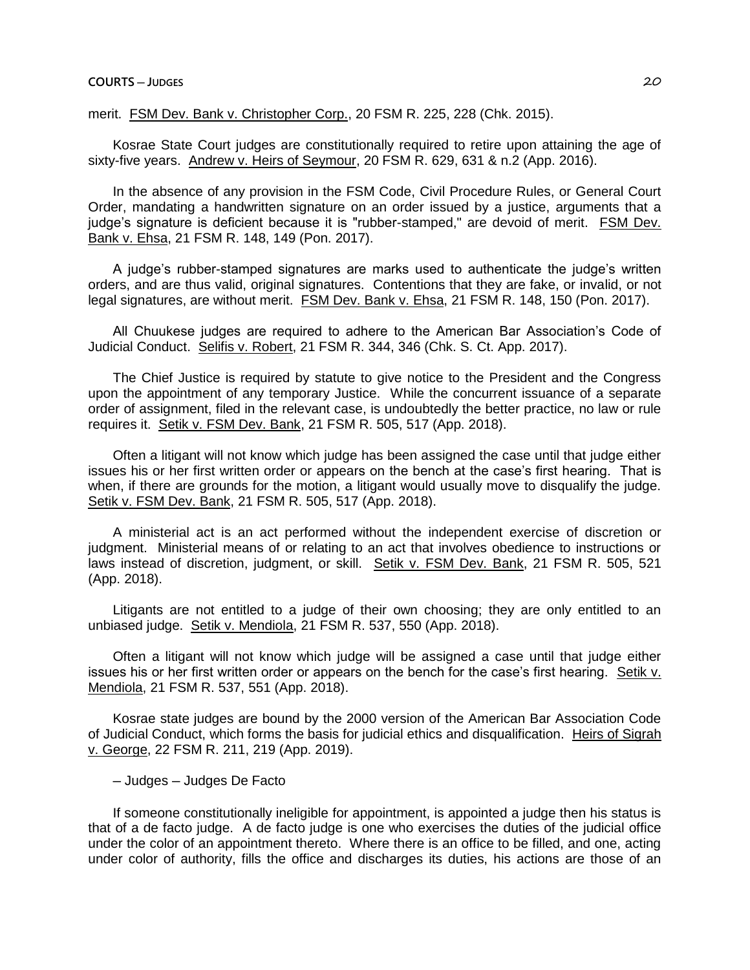## **COURTS ─ JUDGES** 20

merit. FSM Dev. Bank v. Christopher Corp., 20 FSM R. 225, 228 (Chk. 2015).

Kosrae State Court judges are constitutionally required to retire upon attaining the age of sixty-five years. Andrew v. Heirs of Seymour, 20 FSM R. 629, 631 & n.2 (App. 2016).

In the absence of any provision in the FSM Code, Civil Procedure Rules, or General Court Order, mandating a handwritten signature on an order issued by a justice, arguments that a judge's signature is deficient because it is "rubber-stamped," are devoid of merit. FSM Dev. Bank v. Ehsa, 21 FSM R. 148, 149 (Pon. 2017).

A judge's rubber-stamped signatures are marks used to authenticate the judge's written orders, and are thus valid, original signatures. Contentions that they are fake, or invalid, or not legal signatures, are without merit. FSM Dev. Bank v. Ehsa, 21 FSM R. 148, 150 (Pon. 2017).

All Chuukese judges are required to adhere to the American Bar Association's Code of Judicial Conduct. Selifis v. Robert, 21 FSM R. 344, 346 (Chk. S. Ct. App. 2017).

The Chief Justice is required by statute to give notice to the President and the Congress upon the appointment of any temporary Justice. While the concurrent issuance of a separate order of assignment, filed in the relevant case, is undoubtedly the better practice, no law or rule requires it. Setik v. FSM Dev. Bank, 21 FSM R. 505, 517 (App. 2018).

Often a litigant will not know which judge has been assigned the case until that judge either issues his or her first written order or appears on the bench at the case's first hearing. That is when, if there are grounds for the motion, a litigant would usually move to disqualify the judge. Setik v. FSM Dev. Bank, 21 FSM R. 505, 517 (App. 2018).

A ministerial act is an act performed without the independent exercise of discretion or judgment. Ministerial means of or relating to an act that involves obedience to instructions or laws instead of discretion, judgment, or skill. Setik v. FSM Dev. Bank, 21 FSM R. 505, 521 (App. 2018).

Litigants are not entitled to a judge of their own choosing; they are only entitled to an unbiased judge. Setik v. Mendiola, 21 FSM R. 537, 550 (App. 2018).

Often a litigant will not know which judge will be assigned a case until that judge either issues his or her first written order or appears on the bench for the case's first hearing. Setik v. Mendiola, 21 FSM R. 537, 551 (App. 2018).

Kosrae state judges are bound by the 2000 version of the American Bar Association Code of Judicial Conduct, which forms the basis for judicial ethics and disqualification. Heirs of Sigrah v. George, 22 FSM R. 211, 219 (App. 2019).

─ Judges ─ Judges De Facto

If someone constitutionally ineligible for appointment, is appointed a judge then his status is that of a de facto judge. A de facto judge is one who exercises the duties of the judicial office under the color of an appointment thereto. Where there is an office to be filled, and one, acting under color of authority, fills the office and discharges its duties, his actions are those of an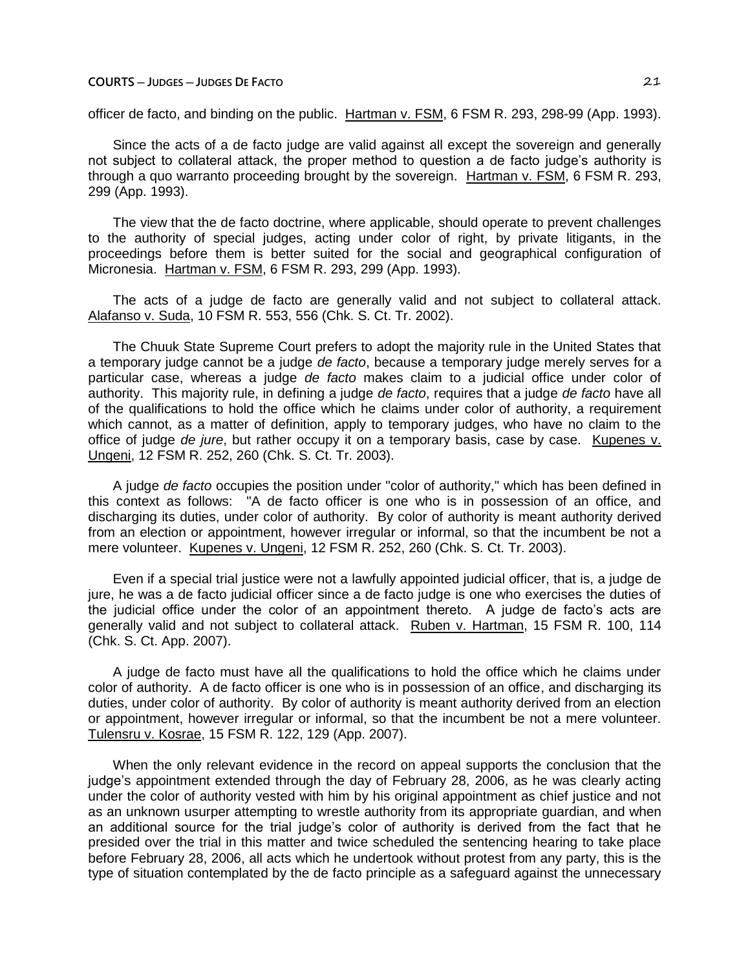officer de facto, and binding on the public. Hartman v. FSM, 6 FSM R. 293, 298-99 (App. 1993).

Since the acts of a de facto judge are valid against all except the sovereign and generally not subject to collateral attack, the proper method to question a de facto judge's authority is through a quo warranto proceeding brought by the sovereign. Hartman v. FSM, 6 FSM R. 293, 299 (App. 1993).

The view that the de facto doctrine, where applicable, should operate to prevent challenges to the authority of special judges, acting under color of right, by private litigants, in the proceedings before them is better suited for the social and geographical configuration of Micronesia. Hartman v. FSM, 6 FSM R. 293, 299 (App. 1993).

The acts of a judge de facto are generally valid and not subject to collateral attack. Alafanso v. Suda, 10 FSM R. 553, 556 (Chk. S. Ct. Tr. 2002).

The Chuuk State Supreme Court prefers to adopt the majority rule in the United States that a temporary judge cannot be a judge *de facto*, because a temporary judge merely serves for a particular case, whereas a judge *de facto* makes claim to a judicial office under color of authority. This majority rule, in defining a judge *de facto*, requires that a judge *de facto* have all of the qualifications to hold the office which he claims under color of authority, a requirement which cannot, as a matter of definition, apply to temporary judges, who have no claim to the office of judge *de jure*, but rather occupy it on a temporary basis, case by case. Kupenes v. Ungeni, 12 FSM R. 252, 260 (Chk. S. Ct. Tr. 2003).

A judge *de facto* occupies the position under "color of authority," which has been defined in this context as follows: "A de facto officer is one who is in possession of an office, and discharging its duties, under color of authority. By color of authority is meant authority derived from an election or appointment, however irregular or informal, so that the incumbent be not a mere volunteer. Kupenes v. Ungeni, 12 FSM R. 252, 260 (Chk. S. Ct. Tr. 2003).

Even if a special trial justice were not a lawfully appointed judicial officer, that is, a judge de jure, he was a de facto judicial officer since a de facto judge is one who exercises the duties of the judicial office under the color of an appointment thereto. A judge de facto's acts are generally valid and not subject to collateral attack. Ruben v. Hartman, 15 FSM R. 100, 114 (Chk. S. Ct. App. 2007).

A judge de facto must have all the qualifications to hold the office which he claims under color of authority. A de facto officer is one who is in possession of an office, and discharging its duties, under color of authority. By color of authority is meant authority derived from an election or appointment, however irregular or informal, so that the incumbent be not a mere volunteer. Tulensru v. Kosrae, 15 FSM R. 122, 129 (App. 2007).

When the only relevant evidence in the record on appeal supports the conclusion that the judge's appointment extended through the day of February 28, 2006, as he was clearly acting under the color of authority vested with him by his original appointment as chief justice and not as an unknown usurper attempting to wrestle authority from its appropriate guardian, and when an additional source for the trial judge's color of authority is derived from the fact that he presided over the trial in this matter and twice scheduled the sentencing hearing to take place before February 28, 2006, all acts which he undertook without protest from any party, this is the type of situation contemplated by the de facto principle as a safeguard against the unnecessary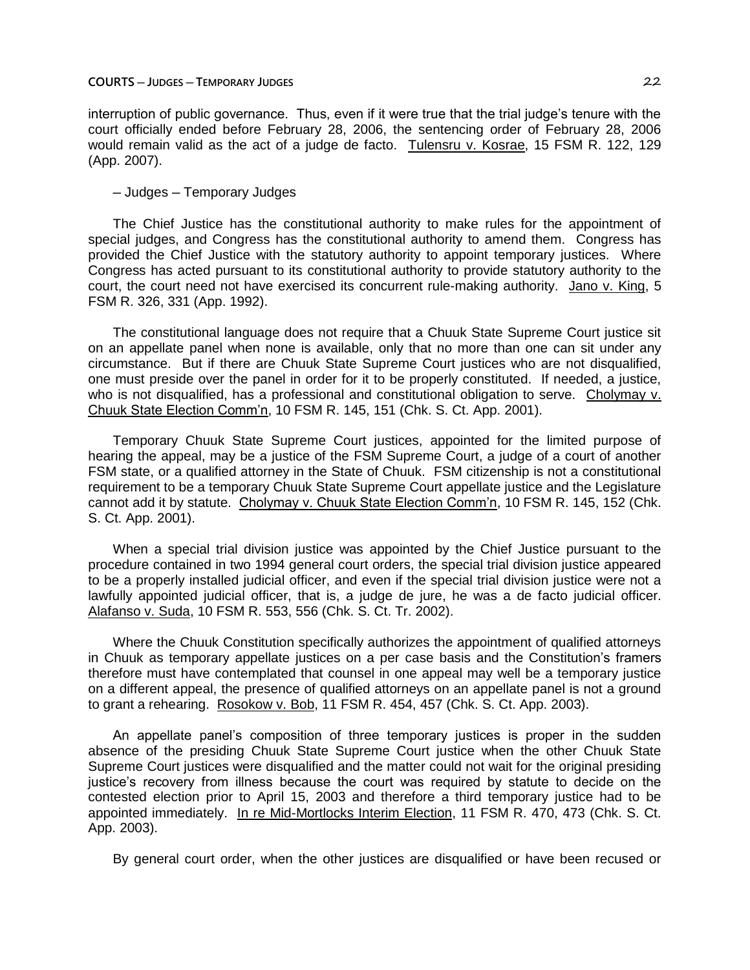### **COURTS ─ JUDGES ─ TEMPORARY JUDGES** 22

interruption of public governance. Thus, even if it were true that the trial judge's tenure with the court officially ended before February 28, 2006, the sentencing order of February 28, 2006 would remain valid as the act of a judge de facto. Tulensru v. Kosrae, 15 FSM R. 122, 129 (App. 2007).

─ Judges ─ Temporary Judges

The Chief Justice has the constitutional authority to make rules for the appointment of special judges, and Congress has the constitutional authority to amend them. Congress has provided the Chief Justice with the statutory authority to appoint temporary justices. Where Congress has acted pursuant to its constitutional authority to provide statutory authority to the court, the court need not have exercised its concurrent rule-making authority. Jano v. King, 5 FSM R. 326, 331 (App. 1992).

The constitutional language does not require that a Chuuk State Supreme Court justice sit on an appellate panel when none is available, only that no more than one can sit under any circumstance. But if there are Chuuk State Supreme Court justices who are not disqualified, one must preside over the panel in order for it to be properly constituted. If needed, a justice, who is not disqualified, has a professional and constitutional obligation to serve. Cholymay v. Chuuk State Election Comm'n, 10 FSM R. 145, 151 (Chk. S. Ct. App. 2001).

Temporary Chuuk State Supreme Court justices, appointed for the limited purpose of hearing the appeal, may be a justice of the FSM Supreme Court, a judge of a court of another FSM state, or a qualified attorney in the State of Chuuk. FSM citizenship is not a constitutional requirement to be a temporary Chuuk State Supreme Court appellate justice and the Legislature cannot add it by statute. Cholymay v. Chuuk State Election Comm'n, 10 FSM R. 145, 152 (Chk. S. Ct. App. 2001).

When a special trial division justice was appointed by the Chief Justice pursuant to the procedure contained in two 1994 general court orders, the special trial division justice appeared to be a properly installed judicial officer, and even if the special trial division justice were not a lawfully appointed judicial officer, that is, a judge de jure, he was a de facto judicial officer. Alafanso v. Suda, 10 FSM R. 553, 556 (Chk. S. Ct. Tr. 2002).

Where the Chuuk Constitution specifically authorizes the appointment of qualified attorneys in Chuuk as temporary appellate justices on a per case basis and the Constitution's framers therefore must have contemplated that counsel in one appeal may well be a temporary justice on a different appeal, the presence of qualified attorneys on an appellate panel is not a ground to grant a rehearing. Rosokow v. Bob, 11 FSM R. 454, 457 (Chk. S. Ct. App. 2003).

An appellate panel's composition of three temporary justices is proper in the sudden absence of the presiding Chuuk State Supreme Court justice when the other Chuuk State Supreme Court justices were disqualified and the matter could not wait for the original presiding justice's recovery from illness because the court was required by statute to decide on the contested election prior to April 15, 2003 and therefore a third temporary justice had to be appointed immediately. In re Mid-Mortlocks Interim Election, 11 FSM R. 470, 473 (Chk. S. Ct. App. 2003).

By general court order, when the other justices are disqualified or have been recused or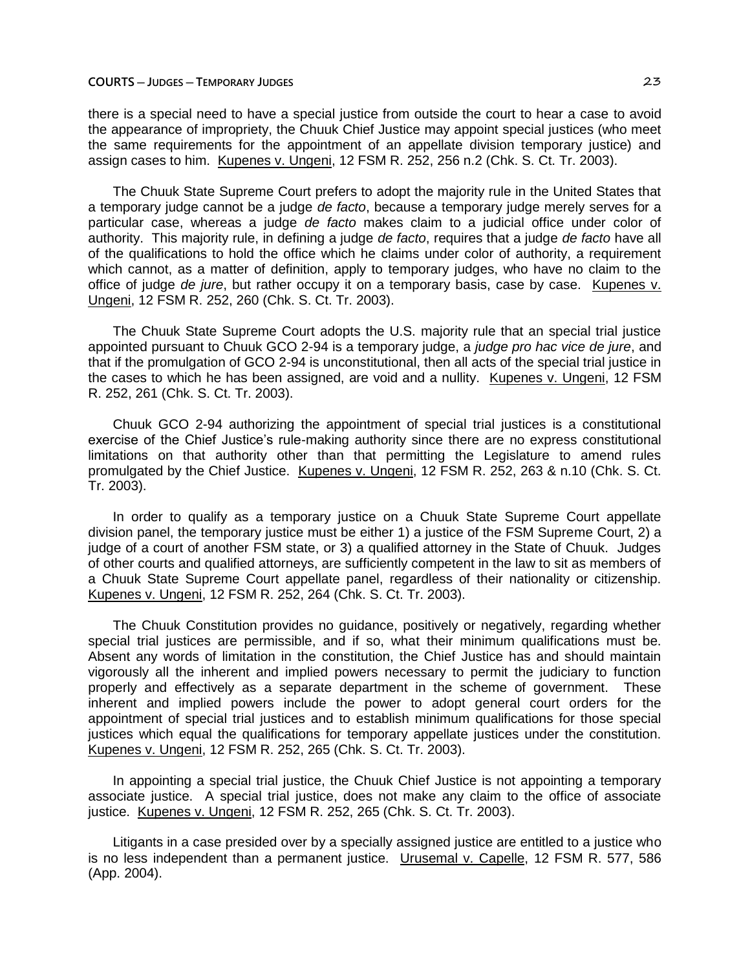there is a special need to have a special justice from outside the court to hear a case to avoid the appearance of impropriety, the Chuuk Chief Justice may appoint special justices (who meet the same requirements for the appointment of an appellate division temporary justice) and assign cases to him. Kupenes v. Ungeni, 12 FSM R. 252, 256 n.2 (Chk. S. Ct. Tr. 2003).

The Chuuk State Supreme Court prefers to adopt the majority rule in the United States that a temporary judge cannot be a judge *de facto*, because a temporary judge merely serves for a particular case, whereas a judge *de facto* makes claim to a judicial office under color of authority. This majority rule, in defining a judge *de facto*, requires that a judge *de facto* have all of the qualifications to hold the office which he claims under color of authority, a requirement which cannot, as a matter of definition, apply to temporary judges, who have no claim to the office of judge *de jure*, but rather occupy it on a temporary basis, case by case. Kupenes v. Ungeni, 12 FSM R. 252, 260 (Chk. S. Ct. Tr. 2003).

The Chuuk State Supreme Court adopts the U.S. majority rule that an special trial justice appointed pursuant to Chuuk GCO 2-94 is a temporary judge, a *judge pro hac vice de jure*, and that if the promulgation of GCO 2-94 is unconstitutional, then all acts of the special trial justice in the cases to which he has been assigned, are void and a nullity. Kupenes v. Ungeni, 12 FSM R. 252, 261 (Chk. S. Ct. Tr. 2003).

Chuuk GCO 2-94 authorizing the appointment of special trial justices is a constitutional exercise of the Chief Justice's rule-making authority since there are no express constitutional limitations on that authority other than that permitting the Legislature to amend rules promulgated by the Chief Justice. Kupenes v. Ungeni, 12 FSM R. 252, 263 & n.10 (Chk. S. Ct. Tr. 2003).

In order to qualify as a temporary justice on a Chuuk State Supreme Court appellate division panel, the temporary justice must be either 1) a justice of the FSM Supreme Court, 2) a judge of a court of another FSM state, or 3) a qualified attorney in the State of Chuuk. Judges of other courts and qualified attorneys, are sufficiently competent in the law to sit as members of a Chuuk State Supreme Court appellate panel, regardless of their nationality or citizenship. Kupenes v. Ungeni, 12 FSM R. 252, 264 (Chk. S. Ct. Tr. 2003).

The Chuuk Constitution provides no guidance, positively or negatively, regarding whether special trial justices are permissible, and if so, what their minimum qualifications must be. Absent any words of limitation in the constitution, the Chief Justice has and should maintain vigorously all the inherent and implied powers necessary to permit the judiciary to function properly and effectively as a separate department in the scheme of government. These inherent and implied powers include the power to adopt general court orders for the appointment of special trial justices and to establish minimum qualifications for those special justices which equal the qualifications for temporary appellate justices under the constitution. Kupenes v. Ungeni, 12 FSM R. 252, 265 (Chk. S. Ct. Tr. 2003).

In appointing a special trial justice, the Chuuk Chief Justice is not appointing a temporary associate justice. A special trial justice, does not make any claim to the office of associate justice. Kupenes v. Ungeni, 12 FSM R. 252, 265 (Chk. S. Ct. Tr. 2003).

Litigants in a case presided over by a specially assigned justice are entitled to a justice who is no less independent than a permanent justice. Urusemal v. Capelle, 12 FSM R. 577, 586 (App. 2004).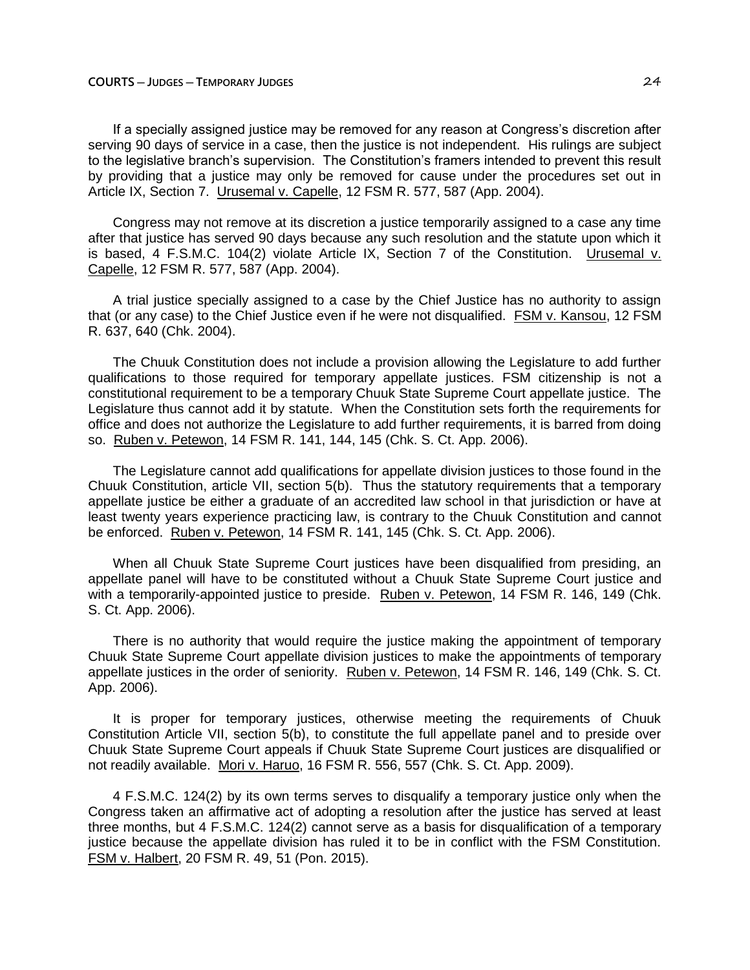If a specially assigned justice may be removed for any reason at Congress's discretion after serving 90 days of service in a case, then the justice is not independent. His rulings are subject to the legislative branch's supervision. The Constitution's framers intended to prevent this result by providing that a justice may only be removed for cause under the procedures set out in Article IX, Section 7. Urusemal v. Capelle, 12 FSM R. 577, 587 (App. 2004).

Congress may not remove at its discretion a justice temporarily assigned to a case any time after that justice has served 90 days because any such resolution and the statute upon which it is based, 4 F.S.M.C. 104(2) violate Article IX, Section 7 of the Constitution. Urusemal v. Capelle, 12 FSM R. 577, 587 (App. 2004).

A trial justice specially assigned to a case by the Chief Justice has no authority to assign that (or any case) to the Chief Justice even if he were not disqualified. FSM v. Kansou, 12 FSM R. 637, 640 (Chk. 2004).

The Chuuk Constitution does not include a provision allowing the Legislature to add further qualifications to those required for temporary appellate justices. FSM citizenship is not a constitutional requirement to be a temporary Chuuk State Supreme Court appellate justice. The Legislature thus cannot add it by statute. When the Constitution sets forth the requirements for office and does not authorize the Legislature to add further requirements, it is barred from doing so. Ruben v. Petewon, 14 FSM R. 141, 144, 145 (Chk. S. Ct. App. 2006).

The Legislature cannot add qualifications for appellate division justices to those found in the Chuuk Constitution, article VII, section 5(b). Thus the statutory requirements that a temporary appellate justice be either a graduate of an accredited law school in that jurisdiction or have at least twenty years experience practicing law, is contrary to the Chuuk Constitution and cannot be enforced. Ruben v. Petewon, 14 FSM R. 141, 145 (Chk. S. Ct. App. 2006).

When all Chuuk State Supreme Court justices have been disqualified from presiding, an appellate panel will have to be constituted without a Chuuk State Supreme Court justice and with a temporarily-appointed justice to preside. Ruben v. Petewon, 14 FSM R. 146, 149 (Chk. S. Ct. App. 2006).

There is no authority that would require the justice making the appointment of temporary Chuuk State Supreme Court appellate division justices to make the appointments of temporary appellate justices in the order of seniority. Ruben v. Petewon, 14 FSM R. 146, 149 (Chk. S. Ct. App. 2006).

It is proper for temporary justices, otherwise meeting the requirements of Chuuk Constitution Article VII, section 5(b), to constitute the full appellate panel and to preside over Chuuk State Supreme Court appeals if Chuuk State Supreme Court justices are disqualified or not readily available. Mori v. Haruo, 16 FSM R. 556, 557 (Chk. S. Ct. App. 2009).

4 F.S.M.C. 124(2) by its own terms serves to disqualify a temporary justice only when the Congress taken an affirmative act of adopting a resolution after the justice has served at least three months, but 4 F.S.M.C. 124(2) cannot serve as a basis for disqualification of a temporary justice because the appellate division has ruled it to be in conflict with the FSM Constitution. FSM v. Halbert, 20 FSM R. 49, 51 (Pon. 2015).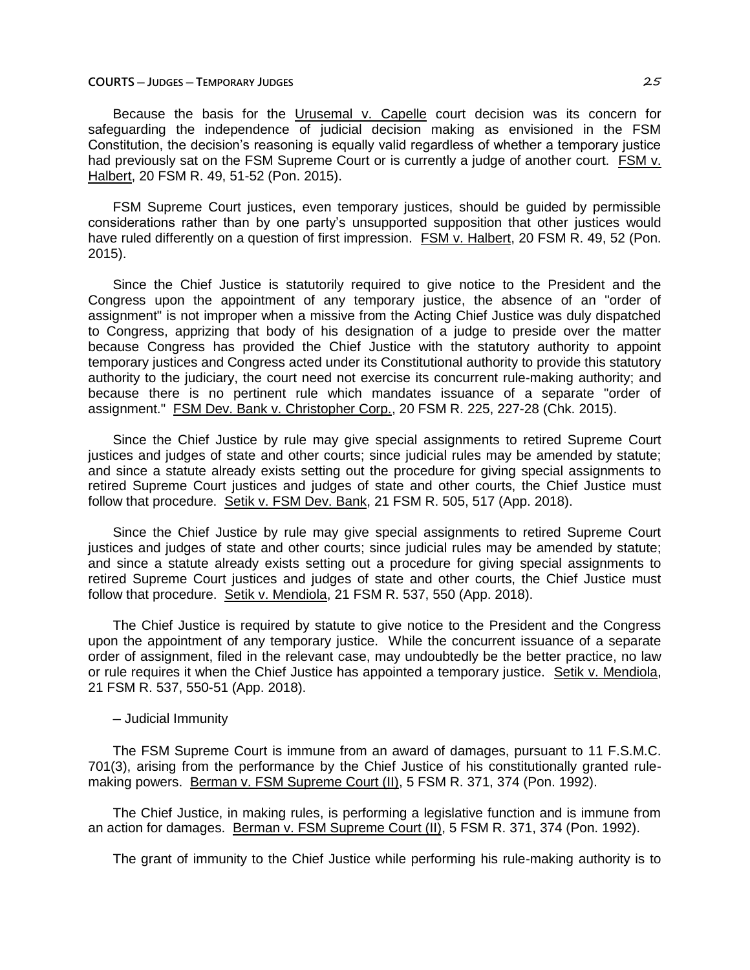### **COURTS ─ JUDGES ─ TEMPORARY JUDGES** 25

Because the basis for the Urusemal v. Capelle court decision was its concern for safeguarding the independence of judicial decision making as envisioned in the FSM Constitution, the decision's reasoning is equally valid regardless of whether a temporary justice had previously sat on the FSM Supreme Court or is currently a judge of another court. FSM v. Halbert, 20 FSM R. 49, 51-52 (Pon. 2015).

FSM Supreme Court justices, even temporary justices, should be guided by permissible considerations rather than by one party's unsupported supposition that other justices would have ruled differently on a question of first impression. FSM v. Halbert, 20 FSM R. 49, 52 (Pon. 2015).

Since the Chief Justice is statutorily required to give notice to the President and the Congress upon the appointment of any temporary justice, the absence of an "order of assignment" is not improper when a missive from the Acting Chief Justice was duly dispatched to Congress, apprizing that body of his designation of a judge to preside over the matter because Congress has provided the Chief Justice with the statutory authority to appoint temporary justices and Congress acted under its Constitutional authority to provide this statutory authority to the judiciary, the court need not exercise its concurrent rule-making authority; and because there is no pertinent rule which mandates issuance of a separate "order of assignment." FSM Dev. Bank v. Christopher Corp., 20 FSM R. 225, 227-28 (Chk. 2015).

Since the Chief Justice by rule may give special assignments to retired Supreme Court justices and judges of state and other courts; since judicial rules may be amended by statute; and since a statute already exists setting out the procedure for giving special assignments to retired Supreme Court justices and judges of state and other courts, the Chief Justice must follow that procedure. Setik v. FSM Dev. Bank, 21 FSM R. 505, 517 (App. 2018).

Since the Chief Justice by rule may give special assignments to retired Supreme Court justices and judges of state and other courts; since judicial rules may be amended by statute; and since a statute already exists setting out a procedure for giving special assignments to retired Supreme Court justices and judges of state and other courts, the Chief Justice must follow that procedure. Setik v. Mendiola, 21 FSM R. 537, 550 (App. 2018).

The Chief Justice is required by statute to give notice to the President and the Congress upon the appointment of any temporary justice. While the concurrent issuance of a separate order of assignment, filed in the relevant case, may undoubtedly be the better practice, no law or rule requires it when the Chief Justice has appointed a temporary justice. Setik v. Mendiola, 21 FSM R. 537, 550-51 (App. 2018).

## ─ Judicial Immunity

The FSM Supreme Court is immune from an award of damages, pursuant to 11 F.S.M.C. 701(3), arising from the performance by the Chief Justice of his constitutionally granted rulemaking powers. Berman v. FSM Supreme Court (II), 5 FSM R. 371, 374 (Pon. 1992).

The Chief Justice, in making rules, is performing a legislative function and is immune from an action for damages. Berman v. FSM Supreme Court (II), 5 FSM R. 371, 374 (Pon. 1992).

The grant of immunity to the Chief Justice while performing his rule-making authority is to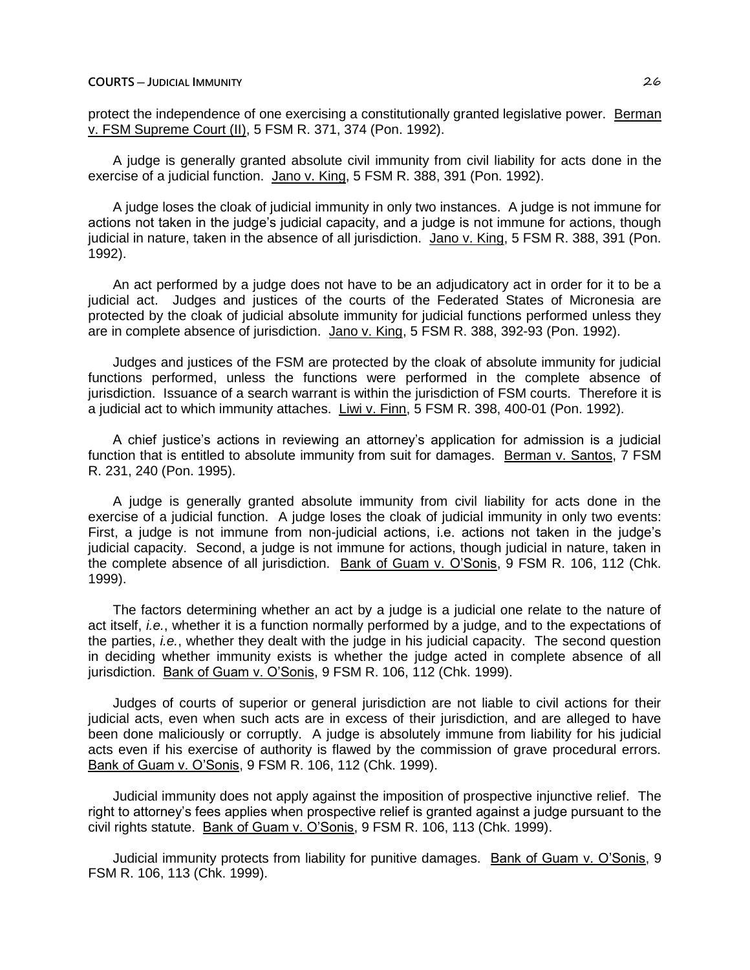protect the independence of one exercising a constitutionally granted legislative power. Berman v. FSM Supreme Court (II), 5 FSM R. 371, 374 (Pon. 1992).

A judge is generally granted absolute civil immunity from civil liability for acts done in the exercise of a judicial function. Jano v. King, 5 FSM R. 388, 391 (Pon. 1992).

A judge loses the cloak of judicial immunity in only two instances. A judge is not immune for actions not taken in the judge's judicial capacity, and a judge is not immune for actions, though judicial in nature, taken in the absence of all jurisdiction. Jano v. King, 5 FSM R. 388, 391 (Pon. 1992).

An act performed by a judge does not have to be an adjudicatory act in order for it to be a judicial act. Judges and justices of the courts of the Federated States of Micronesia are protected by the cloak of judicial absolute immunity for judicial functions performed unless they are in complete absence of jurisdiction. Jano v. King, 5 FSM R. 388, 392-93 (Pon. 1992).

Judges and justices of the FSM are protected by the cloak of absolute immunity for judicial functions performed, unless the functions were performed in the complete absence of jurisdiction. Issuance of a search warrant is within the jurisdiction of FSM courts. Therefore it is a judicial act to which immunity attaches. Liwi v. Finn, 5 FSM R. 398, 400-01 (Pon. 1992).

A chief justice's actions in reviewing an attorney's application for admission is a judicial function that is entitled to absolute immunity from suit for damages. Berman v. Santos, 7 FSM R. 231, 240 (Pon. 1995).

A judge is generally granted absolute immunity from civil liability for acts done in the exercise of a judicial function. A judge loses the cloak of judicial immunity in only two events: First, a judge is not immune from non-judicial actions, i.e. actions not taken in the judge's judicial capacity. Second, a judge is not immune for actions, though judicial in nature, taken in the complete absence of all jurisdiction. Bank of Guam v. O'Sonis, 9 FSM R. 106, 112 (Chk. 1999).

The factors determining whether an act by a judge is a judicial one relate to the nature of act itself, *i.e.*, whether it is a function normally performed by a judge, and to the expectations of the parties, *i.e.*, whether they dealt with the judge in his judicial capacity. The second question in deciding whether immunity exists is whether the judge acted in complete absence of all jurisdiction. Bank of Guam v. O'Sonis, 9 FSM R. 106, 112 (Chk. 1999).

Judges of courts of superior or general jurisdiction are not liable to civil actions for their judicial acts, even when such acts are in excess of their jurisdiction, and are alleged to have been done maliciously or corruptly. A judge is absolutely immune from liability for his judicial acts even if his exercise of authority is flawed by the commission of grave procedural errors. Bank of Guam v. O'Sonis, 9 FSM R. 106, 112 (Chk. 1999).

Judicial immunity does not apply against the imposition of prospective injunctive relief. The right to attorney's fees applies when prospective relief is granted against a judge pursuant to the civil rights statute. Bank of Guam v. O'Sonis, 9 FSM R. 106, 113 (Chk. 1999).

Judicial immunity protects from liability for punitive damages. Bank of Guam v. O'Sonis, 9 FSM R. 106, 113 (Chk. 1999).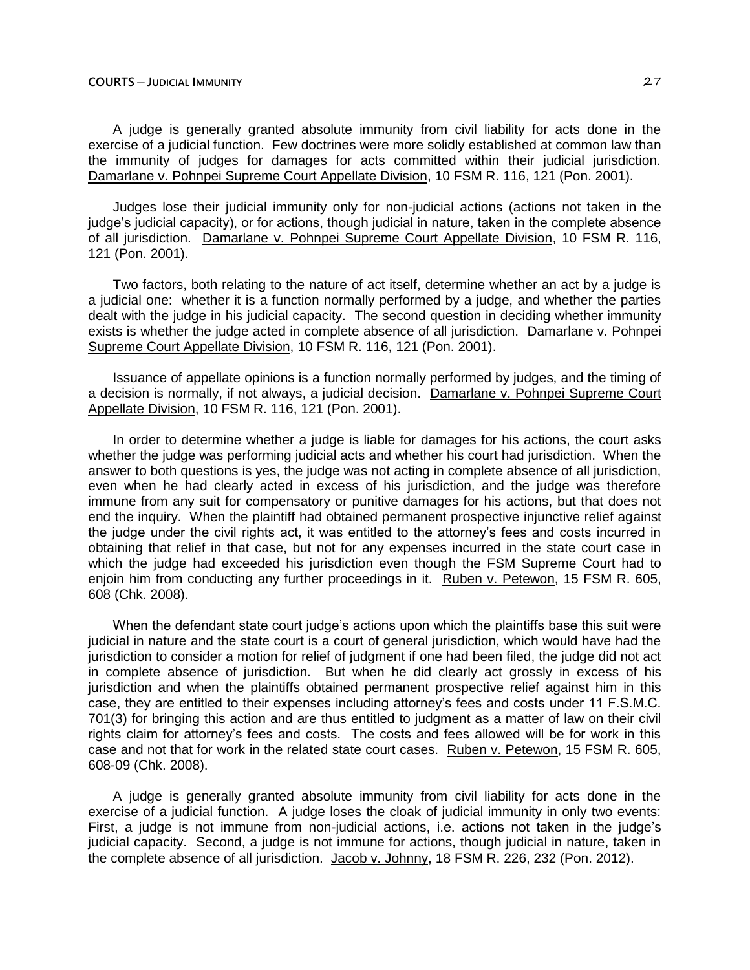A judge is generally granted absolute immunity from civil liability for acts done in the exercise of a judicial function. Few doctrines were more solidly established at common law than the immunity of judges for damages for acts committed within their judicial jurisdiction. Damarlane v. Pohnpei Supreme Court Appellate Division, 10 FSM R. 116, 121 (Pon. 2001).

Judges lose their judicial immunity only for non-judicial actions (actions not taken in the judge's judicial capacity), or for actions, though judicial in nature, taken in the complete absence of all jurisdiction. Damarlane v. Pohnpei Supreme Court Appellate Division, 10 FSM R. 116, 121 (Pon. 2001).

Two factors, both relating to the nature of act itself, determine whether an act by a judge is a judicial one: whether it is a function normally performed by a judge, and whether the parties dealt with the judge in his judicial capacity. The second question in deciding whether immunity exists is whether the judge acted in complete absence of all jurisdiction. Damarlane v. Pohnpei Supreme Court Appellate Division, 10 FSM R. 116, 121 (Pon. 2001).

Issuance of appellate opinions is a function normally performed by judges, and the timing of a decision is normally, if not always, a judicial decision. Damarlane v. Pohnpei Supreme Court Appellate Division, 10 FSM R. 116, 121 (Pon. 2001).

In order to determine whether a judge is liable for damages for his actions, the court asks whether the judge was performing judicial acts and whether his court had jurisdiction. When the answer to both questions is yes, the judge was not acting in complete absence of all jurisdiction, even when he had clearly acted in excess of his jurisdiction, and the judge was therefore immune from any suit for compensatory or punitive damages for his actions, but that does not end the inquiry. When the plaintiff had obtained permanent prospective injunctive relief against the judge under the civil rights act, it was entitled to the attorney's fees and costs incurred in obtaining that relief in that case, but not for any expenses incurred in the state court case in which the judge had exceeded his jurisdiction even though the FSM Supreme Court had to enjoin him from conducting any further proceedings in it. Ruben v. Petewon, 15 FSM R. 605, 608 (Chk. 2008).

When the defendant state court judge's actions upon which the plaintiffs base this suit were judicial in nature and the state court is a court of general jurisdiction, which would have had the jurisdiction to consider a motion for relief of judgment if one had been filed, the judge did not act in complete absence of jurisdiction. But when he did clearly act grossly in excess of his jurisdiction and when the plaintiffs obtained permanent prospective relief against him in this case, they are entitled to their expenses including attorney's fees and costs under 11 F.S.M.C. 701(3) for bringing this action and are thus entitled to judgment as a matter of law on their civil rights claim for attorney's fees and costs. The costs and fees allowed will be for work in this case and not that for work in the related state court cases. Ruben v. Petewon, 15 FSM R. 605, 608-09 (Chk. 2008).

A judge is generally granted absolute immunity from civil liability for acts done in the exercise of a judicial function. A judge loses the cloak of judicial immunity in only two events: First, a judge is not immune from non-judicial actions, i.e. actions not taken in the judge's judicial capacity. Second, a judge is not immune for actions, though judicial in nature, taken in the complete absence of all jurisdiction. Jacob v. Johnny, 18 FSM R. 226, 232 (Pon. 2012).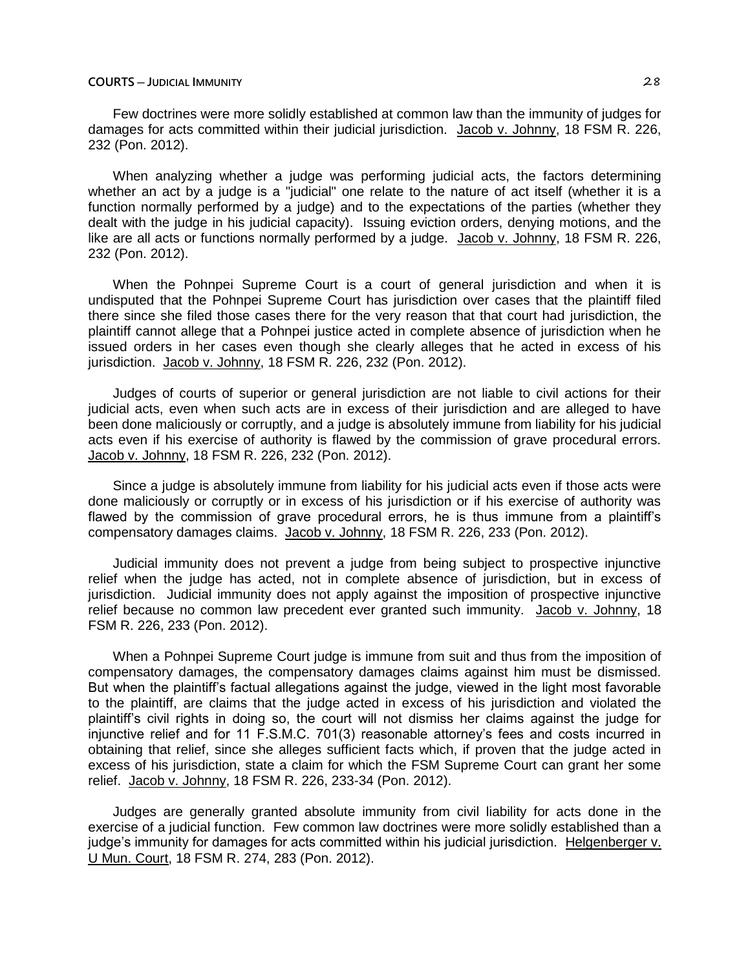Few doctrines were more solidly established at common law than the immunity of judges for damages for acts committed within their judicial jurisdiction. Jacob v. Johnny, 18 FSM R. 226, 232 (Pon. 2012).

When analyzing whether a judge was performing judicial acts, the factors determining whether an act by a judge is a "judicial" one relate to the nature of act itself (whether it is a function normally performed by a judge) and to the expectations of the parties (whether they dealt with the judge in his judicial capacity). Issuing eviction orders, denying motions, and the like are all acts or functions normally performed by a judge. Jacob v. Johnny, 18 FSM R. 226, 232 (Pon. 2012).

When the Pohnpei Supreme Court is a court of general jurisdiction and when it is undisputed that the Pohnpei Supreme Court has jurisdiction over cases that the plaintiff filed there since she filed those cases there for the very reason that that court had jurisdiction, the plaintiff cannot allege that a Pohnpei justice acted in complete absence of jurisdiction when he issued orders in her cases even though she clearly alleges that he acted in excess of his jurisdiction. Jacob v. Johnny, 18 FSM R. 226, 232 (Pon. 2012).

Judges of courts of superior or general jurisdiction are not liable to civil actions for their judicial acts, even when such acts are in excess of their jurisdiction and are alleged to have been done maliciously or corruptly, and a judge is absolutely immune from liability for his judicial acts even if his exercise of authority is flawed by the commission of grave procedural errors. Jacob v. Johnny, 18 FSM R. 226, 232 (Pon. 2012).

Since a judge is absolutely immune from liability for his judicial acts even if those acts were done maliciously or corruptly or in excess of his jurisdiction or if his exercise of authority was flawed by the commission of grave procedural errors, he is thus immune from a plaintiff's compensatory damages claims. Jacob v. Johnny, 18 FSM R. 226, 233 (Pon. 2012).

Judicial immunity does not prevent a judge from being subject to prospective injunctive relief when the judge has acted, not in complete absence of jurisdiction, but in excess of jurisdiction. Judicial immunity does not apply against the imposition of prospective injunctive relief because no common law precedent ever granted such immunity. Jacob v. Johnny, 18 FSM R. 226, 233 (Pon. 2012).

When a Pohnpei Supreme Court judge is immune from suit and thus from the imposition of compensatory damages, the compensatory damages claims against him must be dismissed. But when the plaintiff's factual allegations against the judge, viewed in the light most favorable to the plaintiff, are claims that the judge acted in excess of his jurisdiction and violated the plaintiff's civil rights in doing so, the court will not dismiss her claims against the judge for injunctive relief and for 11 F.S.M.C. 701(3) reasonable attorney's fees and costs incurred in obtaining that relief, since she alleges sufficient facts which, if proven that the judge acted in excess of his jurisdiction, state a claim for which the FSM Supreme Court can grant her some relief. Jacob v. Johnny, 18 FSM R. 226, 233-34 (Pon. 2012).

Judges are generally granted absolute immunity from civil liability for acts done in the exercise of a judicial function. Few common law doctrines were more solidly established than a judge's immunity for damages for acts committed within his judicial jurisdiction. Helgenberger v. U Mun. Court, 18 FSM R. 274, 283 (Pon. 2012).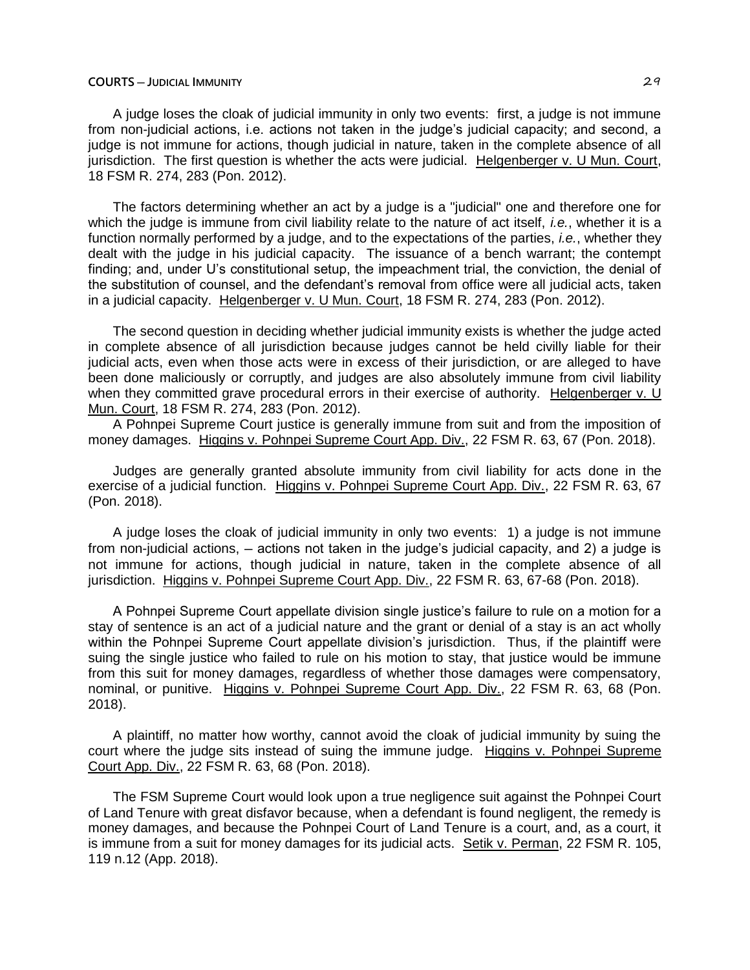A judge loses the cloak of judicial immunity in only two events: first, a judge is not immune from non-judicial actions, i.e. actions not taken in the judge's judicial capacity; and second, a judge is not immune for actions, though judicial in nature, taken in the complete absence of all jurisdiction. The first question is whether the acts were judicial. Helgenberger v. U Mun. Court, 18 FSM R. 274, 283 (Pon. 2012).

The factors determining whether an act by a judge is a "judicial" one and therefore one for which the judge is immune from civil liability relate to the nature of act itself, *i.e.*, whether it is a function normally performed by a judge, and to the expectations of the parties, *i.e.*, whether they dealt with the judge in his judicial capacity. The issuance of a bench warrant; the contempt finding; and, under U's constitutional setup, the impeachment trial, the conviction, the denial of the substitution of counsel, and the defendant's removal from office were all judicial acts, taken in a judicial capacity. Helgenberger v. U Mun. Court, 18 FSM R. 274, 283 (Pon. 2012).

The second question in deciding whether judicial immunity exists is whether the judge acted in complete absence of all jurisdiction because judges cannot be held civilly liable for their judicial acts, even when those acts were in excess of their jurisdiction, or are alleged to have been done maliciously or corruptly, and judges are also absolutely immune from civil liability when they committed grave procedural errors in their exercise of authority. Helgenberger v. U Mun. Court, 18 FSM R. 274, 283 (Pon. 2012).

A Pohnpei Supreme Court justice is generally immune from suit and from the imposition of money damages. Higgins v. Pohnpei Supreme Court App. Div., 22 FSM R. 63, 67 (Pon. 2018).

Judges are generally granted absolute immunity from civil liability for acts done in the exercise of a judicial function. Higgins v. Pohnpei Supreme Court App. Div., 22 FSM R. 63, 67 (Pon. 2018).

A judge loses the cloak of judicial immunity in only two events: 1) a judge is not immune from non-judicial actions,  $-$  actions not taken in the judge's judicial capacity, and 2) a judge is not immune for actions, though judicial in nature, taken in the complete absence of all jurisdiction. Higgins v. Pohnpei Supreme Court App. Div., 22 FSM R. 63, 67-68 (Pon. 2018).

A Pohnpei Supreme Court appellate division single justice's failure to rule on a motion for a stay of sentence is an act of a judicial nature and the grant or denial of a stay is an act wholly within the Pohnpei Supreme Court appellate division's jurisdiction. Thus, if the plaintiff were suing the single justice who failed to rule on his motion to stay, that justice would be immune from this suit for money damages, regardless of whether those damages were compensatory, nominal, or punitive. Higgins v. Pohnpei Supreme Court App. Div., 22 FSM R. 63, 68 (Pon. 2018).

A plaintiff, no matter how worthy, cannot avoid the cloak of judicial immunity by suing the court where the judge sits instead of suing the immune judge. Higgins v. Pohnpei Supreme Court App. Div., 22 FSM R. 63, 68 (Pon. 2018).

The FSM Supreme Court would look upon a true negligence suit against the Pohnpei Court of Land Tenure with great disfavor because, when a defendant is found negligent, the remedy is money damages, and because the Pohnpei Court of Land Tenure is a court, and, as a court, it is immune from a suit for money damages for its judicial acts. Setik v. Perman, 22 FSM R. 105, 119 n.12 (App. 2018).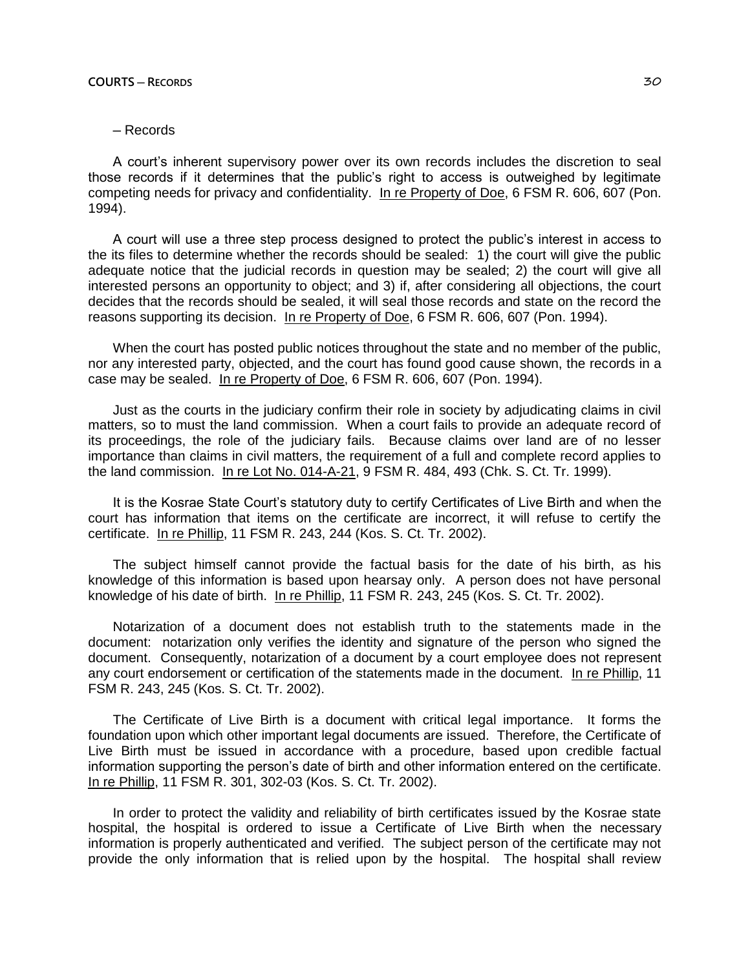# ─ Records

A court's inherent supervisory power over its own records includes the discretion to seal those records if it determines that the public's right to access is outweighed by legitimate competing needs for privacy and confidentiality. In re Property of Doe, 6 FSM R. 606, 607 (Pon. 1994).

A court will use a three step process designed to protect the public's interest in access to the its files to determine whether the records should be sealed: 1) the court will give the public adequate notice that the judicial records in question may be sealed; 2) the court will give all interested persons an opportunity to object; and 3) if, after considering all objections, the court decides that the records should be sealed, it will seal those records and state on the record the reasons supporting its decision. In re Property of Doe, 6 FSM R. 606, 607 (Pon. 1994).

When the court has posted public notices throughout the state and no member of the public, nor any interested party, objected, and the court has found good cause shown, the records in a case may be sealed. In re Property of Doe, 6 FSM R. 606, 607 (Pon. 1994).

Just as the courts in the judiciary confirm their role in society by adjudicating claims in civil matters, so to must the land commission. When a court fails to provide an adequate record of its proceedings, the role of the judiciary fails. Because claims over land are of no lesser importance than claims in civil matters, the requirement of a full and complete record applies to the land commission. In re Lot No. 014-A-21, 9 FSM R. 484, 493 (Chk. S. Ct. Tr. 1999).

It is the Kosrae State Court's statutory duty to certify Certificates of Live Birth and when the court has information that items on the certificate are incorrect, it will refuse to certify the certificate. In re Phillip, 11 FSM R. 243, 244 (Kos. S. Ct. Tr. 2002).

The subject himself cannot provide the factual basis for the date of his birth, as his knowledge of this information is based upon hearsay only. A person does not have personal knowledge of his date of birth. In re Phillip, 11 FSM R. 243, 245 (Kos. S. Ct. Tr. 2002).

Notarization of a document does not establish truth to the statements made in the document: notarization only verifies the identity and signature of the person who signed the document. Consequently, notarization of a document by a court employee does not represent any court endorsement or certification of the statements made in the document. In re Phillip, 11 FSM R. 243, 245 (Kos. S. Ct. Tr. 2002).

The Certificate of Live Birth is a document with critical legal importance. It forms the foundation upon which other important legal documents are issued. Therefore, the Certificate of Live Birth must be issued in accordance with a procedure, based upon credible factual information supporting the person's date of birth and other information entered on the certificate. In re Phillip, 11 FSM R. 301, 302-03 (Kos. S. Ct. Tr. 2002).

In order to protect the validity and reliability of birth certificates issued by the Kosrae state hospital, the hospital is ordered to issue a Certificate of Live Birth when the necessary information is properly authenticated and verified. The subject person of the certificate may not provide the only information that is relied upon by the hospital. The hospital shall review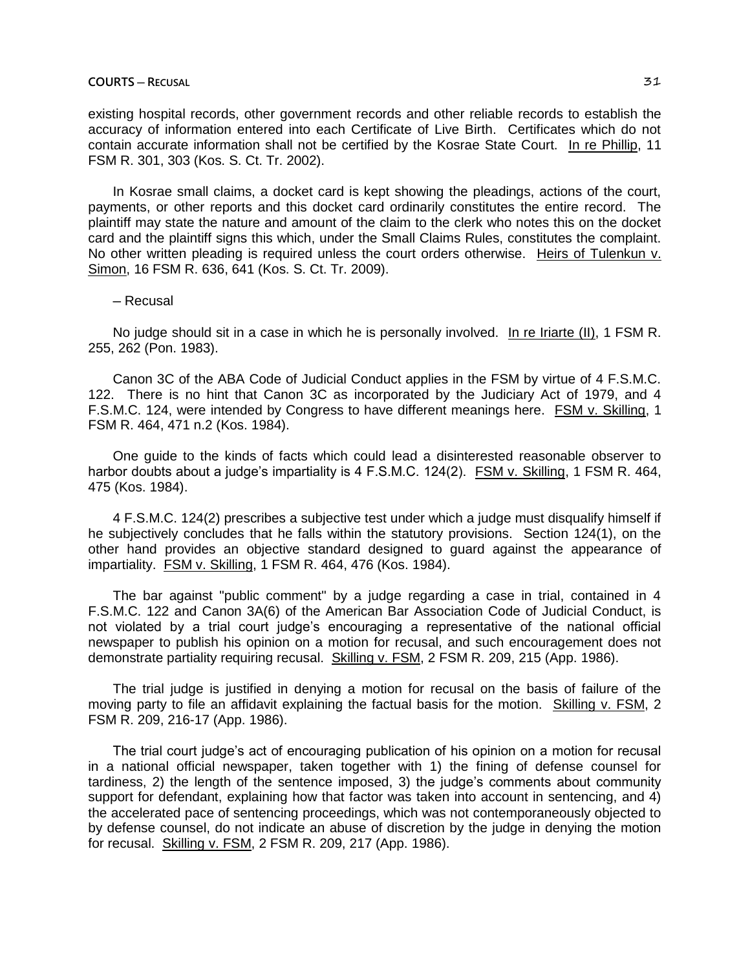existing hospital records, other government records and other reliable records to establish the accuracy of information entered into each Certificate of Live Birth. Certificates which do not contain accurate information shall not be certified by the Kosrae State Court. In re Phillip, 11 FSM R. 301, 303 (Kos. S. Ct. Tr. 2002).

In Kosrae small claims, a docket card is kept showing the pleadings, actions of the court, payments, or other reports and this docket card ordinarily constitutes the entire record. The plaintiff may state the nature and amount of the claim to the clerk who notes this on the docket card and the plaintiff signs this which, under the Small Claims Rules, constitutes the complaint. No other written pleading is required unless the court orders otherwise. Heirs of Tulenkun v. Simon, 16 FSM R. 636, 641 (Kos. S. Ct. Tr. 2009).

## ─ Recusal

No judge should sit in a case in which he is personally involved. In re Iriarte (II), 1 FSM R. 255, 262 (Pon. 1983).

Canon 3C of the ABA Code of Judicial Conduct applies in the FSM by virtue of 4 F.S.M.C. 122. There is no hint that Canon 3C as incorporated by the Judiciary Act of 1979, and 4 F.S.M.C. 124, were intended by Congress to have different meanings here. FSM v. Skilling, 1 FSM R. 464, 471 n.2 (Kos. 1984).

One guide to the kinds of facts which could lead a disinterested reasonable observer to harbor doubts about a judge's impartiality is 4 F.S.M.C. 124(2). FSM v. Skilling, 1 FSM R. 464, 475 (Kos. 1984).

4 F.S.M.C. 124(2) prescribes a subjective test under which a judge must disqualify himself if he subjectively concludes that he falls within the statutory provisions. Section 124(1), on the other hand provides an objective standard designed to guard against the appearance of impartiality. FSM v. Skilling, 1 FSM R. 464, 476 (Kos. 1984).

The bar against "public comment" by a judge regarding a case in trial, contained in 4 F.S.M.C. 122 and Canon 3A(6) of the American Bar Association Code of Judicial Conduct, is not violated by a trial court judge's encouraging a representative of the national official newspaper to publish his opinion on a motion for recusal, and such encouragement does not demonstrate partiality requiring recusal. Skilling v. FSM, 2 FSM R. 209, 215 (App. 1986).

The trial judge is justified in denying a motion for recusal on the basis of failure of the moving party to file an affidavit explaining the factual basis for the motion. Skilling v. FSM, 2 FSM R. 209, 216-17 (App. 1986).

The trial court judge's act of encouraging publication of his opinion on a motion for recusal in a national official newspaper, taken together with 1) the fining of defense counsel for tardiness, 2) the length of the sentence imposed, 3) the judge's comments about community support for defendant, explaining how that factor was taken into account in sentencing, and 4) the accelerated pace of sentencing proceedings, which was not contemporaneously objected to by defense counsel, do not indicate an abuse of discretion by the judge in denying the motion for recusal. Skilling v. FSM, 2 FSM R. 209, 217 (App. 1986).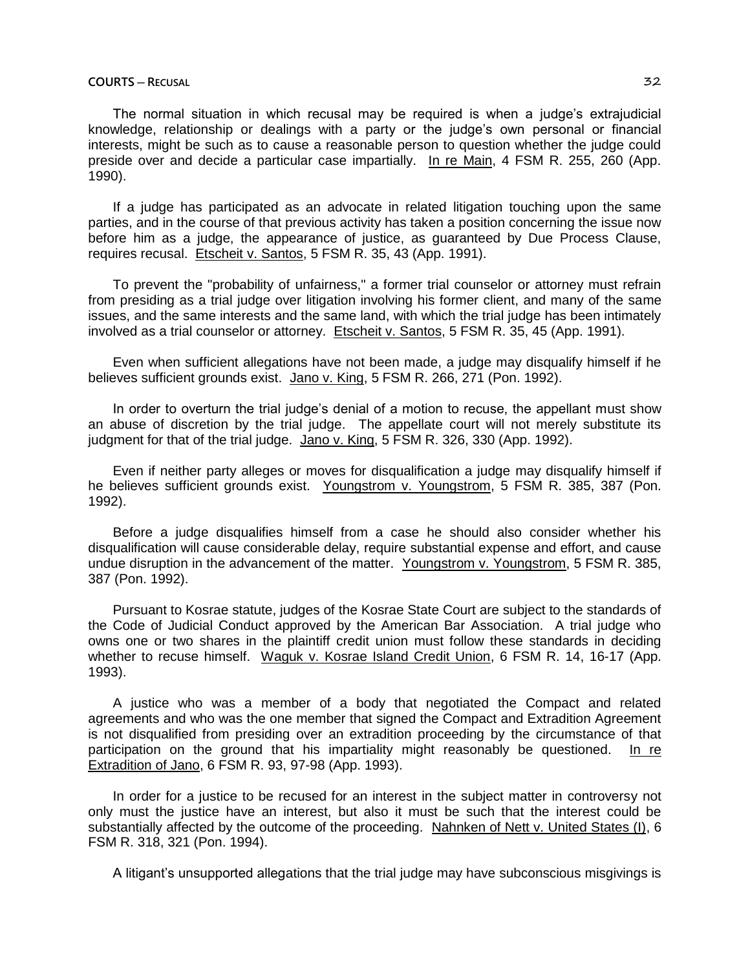## **COURTS ─ RECUSAL** 32

The normal situation in which recusal may be required is when a judge's extrajudicial knowledge, relationship or dealings with a party or the judge's own personal or financial interests, might be such as to cause a reasonable person to question whether the judge could preside over and decide a particular case impartially. In re Main, 4 FSM R. 255, 260 (App. 1990).

If a judge has participated as an advocate in related litigation touching upon the same parties, and in the course of that previous activity has taken a position concerning the issue now before him as a judge, the appearance of justice, as guaranteed by Due Process Clause, requires recusal. Etscheit v. Santos, 5 FSM R. 35, 43 (App. 1991).

To prevent the "probability of unfairness," a former trial counselor or attorney must refrain from presiding as a trial judge over litigation involving his former client, and many of the same issues, and the same interests and the same land, with which the trial judge has been intimately involved as a trial counselor or attorney. Etscheit v. Santos, 5 FSM R. 35, 45 (App. 1991).

Even when sufficient allegations have not been made, a judge may disqualify himself if he believes sufficient grounds exist. Jano v. King, 5 FSM R. 266, 271 (Pon. 1992).

In order to overturn the trial judge's denial of a motion to recuse, the appellant must show an abuse of discretion by the trial judge. The appellate court will not merely substitute its judgment for that of the trial judge. Jano v. King, 5 FSM R. 326, 330 (App. 1992).

Even if neither party alleges or moves for disqualification a judge may disqualify himself if he believes sufficient grounds exist. Youngstrom v. Youngstrom, 5 FSM R. 385, 387 (Pon. 1992).

Before a judge disqualifies himself from a case he should also consider whether his disqualification will cause considerable delay, require substantial expense and effort, and cause undue disruption in the advancement of the matter. Youngstrom v. Youngstrom, 5 FSM R. 385, 387 (Pon. 1992).

Pursuant to Kosrae statute, judges of the Kosrae State Court are subject to the standards of the Code of Judicial Conduct approved by the American Bar Association. A trial judge who owns one or two shares in the plaintiff credit union must follow these standards in deciding whether to recuse himself. Waguk v. Kosrae Island Credit Union, 6 FSM R. 14, 16-17 (App. 1993).

A justice who was a member of a body that negotiated the Compact and related agreements and who was the one member that signed the Compact and Extradition Agreement is not disqualified from presiding over an extradition proceeding by the circumstance of that participation on the ground that his impartiality might reasonably be questioned. In re Extradition of Jano, 6 FSM R. 93, 97-98 (App. 1993).

In order for a justice to be recused for an interest in the subject matter in controversy not only must the justice have an interest, but also it must be such that the interest could be substantially affected by the outcome of the proceeding. Nahnken of Nett v. United States (I), 6 FSM R. 318, 321 (Pon. 1994).

A litigant's unsupported allegations that the trial judge may have subconscious misgivings is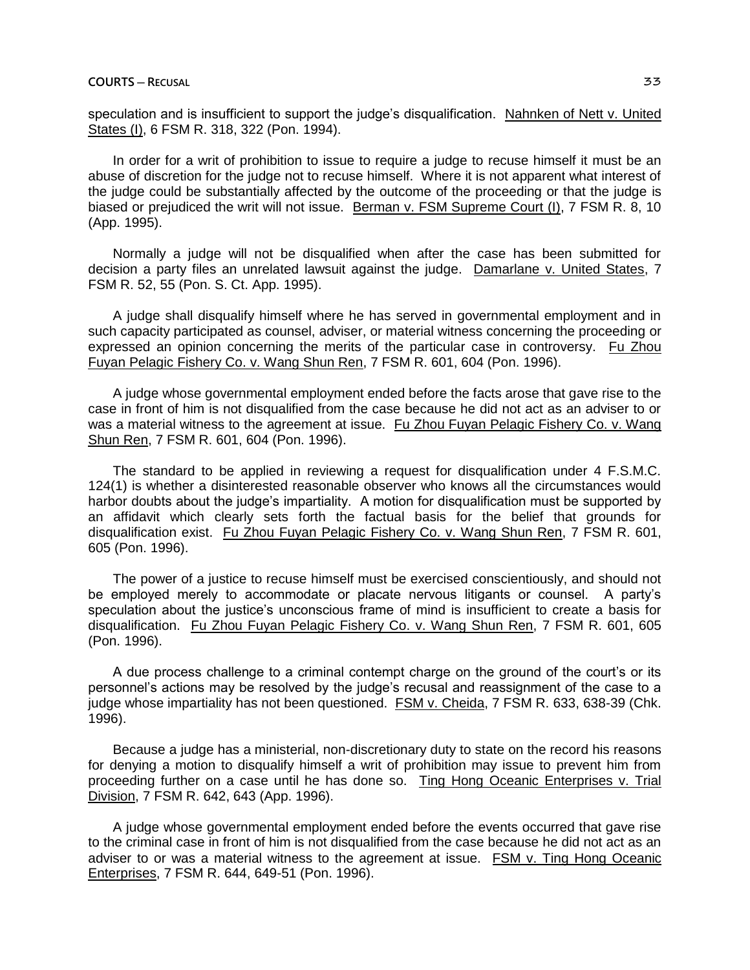speculation and is insufficient to support the judge's disqualification. Nahnken of Nett v. United States (I), 6 FSM R. 318, 322 (Pon. 1994).

In order for a writ of prohibition to issue to require a judge to recuse himself it must be an abuse of discretion for the judge not to recuse himself. Where it is not apparent what interest of the judge could be substantially affected by the outcome of the proceeding or that the judge is biased or prejudiced the writ will not issue. Berman v. FSM Supreme Court (I), 7 FSM R. 8, 10 (App. 1995).

Normally a judge will not be disqualified when after the case has been submitted for decision a party files an unrelated lawsuit against the judge. Damarlane v. United States, 7 FSM R. 52, 55 (Pon. S. Ct. App. 1995).

A judge shall disqualify himself where he has served in governmental employment and in such capacity participated as counsel, adviser, or material witness concerning the proceeding or expressed an opinion concerning the merits of the particular case in controversy. Fu Zhou Fuyan Pelagic Fishery Co. v. Wang Shun Ren, 7 FSM R. 601, 604 (Pon. 1996).

A judge whose governmental employment ended before the facts arose that gave rise to the case in front of him is not disqualified from the case because he did not act as an adviser to or was a material witness to the agreement at issue. Fu Zhou Fuyan Pelagic Fishery Co. v. Wang Shun Ren, 7 FSM R. 601, 604 (Pon. 1996).

The standard to be applied in reviewing a request for disqualification under 4 F.S.M.C. 124(1) is whether a disinterested reasonable observer who knows all the circumstances would harbor doubts about the judge's impartiality. A motion for disqualification must be supported by an affidavit which clearly sets forth the factual basis for the belief that grounds for disqualification exist. Fu Zhou Fuyan Pelagic Fishery Co. v. Wang Shun Ren, 7 FSM R. 601, 605 (Pon. 1996).

The power of a justice to recuse himself must be exercised conscientiously, and should not be employed merely to accommodate or placate nervous litigants or counsel. A party's speculation about the justice's unconscious frame of mind is insufficient to create a basis for disqualification. Fu Zhou Fuyan Pelagic Fishery Co. v. Wang Shun Ren, 7 FSM R. 601, 605 (Pon. 1996).

A due process challenge to a criminal contempt charge on the ground of the court's or its personnel's actions may be resolved by the judge's recusal and reassignment of the case to a judge whose impartiality has not been questioned. FSM v. Cheida, 7 FSM R. 633, 638-39 (Chk. 1996).

Because a judge has a ministerial, non-discretionary duty to state on the record his reasons for denying a motion to disqualify himself a writ of prohibition may issue to prevent him from proceeding further on a case until he has done so. Ting Hong Oceanic Enterprises v. Trial Division, 7 FSM R. 642, 643 (App. 1996).

A judge whose governmental employment ended before the events occurred that gave rise to the criminal case in front of him is not disqualified from the case because he did not act as an adviser to or was a material witness to the agreement at issue. FSM v. Ting Hong Oceanic Enterprises, 7 FSM R. 644, 649-51 (Pon. 1996).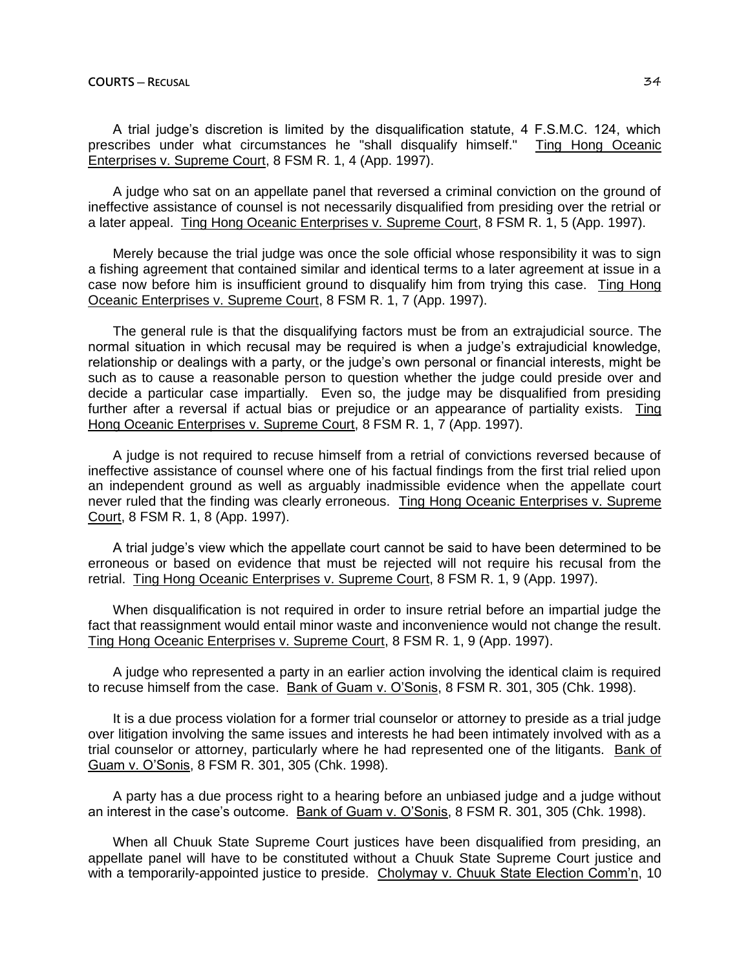A trial judge's discretion is limited by the disqualification statute, 4 F.S.M.C. 124, which prescribes under what circumstances he "shall disqualify himself." Ting Hong Oceanic Enterprises v. Supreme Court, 8 FSM R. 1, 4 (App. 1997).

A judge who sat on an appellate panel that reversed a criminal conviction on the ground of ineffective assistance of counsel is not necessarily disqualified from presiding over the retrial or a later appeal. Ting Hong Oceanic Enterprises v. Supreme Court, 8 FSM R. 1, 5 (App. 1997).

Merely because the trial judge was once the sole official whose responsibility it was to sign a fishing agreement that contained similar and identical terms to a later agreement at issue in a case now before him is insufficient ground to disqualify him from trying this case. Ting Hong Oceanic Enterprises v. Supreme Court, 8 FSM R. 1, 7 (App. 1997).

The general rule is that the disqualifying factors must be from an extrajudicial source. The normal situation in which recusal may be required is when a judge's extrajudicial knowledge, relationship or dealings with a party, or the judge's own personal or financial interests, might be such as to cause a reasonable person to question whether the judge could preside over and decide a particular case impartially. Even so, the judge may be disqualified from presiding further after a reversal if actual bias or prejudice or an appearance of partiality exists. Ting Hong Oceanic Enterprises v. Supreme Court, 8 FSM R. 1, 7 (App. 1997).

A judge is not required to recuse himself from a retrial of convictions reversed because of ineffective assistance of counsel where one of his factual findings from the first trial relied upon an independent ground as well as arguably inadmissible evidence when the appellate court never ruled that the finding was clearly erroneous. Ting Hong Oceanic Enterprises v. Supreme Court, 8 FSM R. 1, 8 (App. 1997).

A trial judge's view which the appellate court cannot be said to have been determined to be erroneous or based on evidence that must be rejected will not require his recusal from the retrial. Ting Hong Oceanic Enterprises v. Supreme Court, 8 FSM R. 1, 9 (App. 1997).

When disqualification is not required in order to insure retrial before an impartial judge the fact that reassignment would entail minor waste and inconvenience would not change the result. Ting Hong Oceanic Enterprises v. Supreme Court, 8 FSM R. 1, 9 (App. 1997).

A judge who represented a party in an earlier action involving the identical claim is required to recuse himself from the case. Bank of Guam v. O'Sonis, 8 FSM R. 301, 305 (Chk. 1998).

It is a due process violation for a former trial counselor or attorney to preside as a trial judge over litigation involving the same issues and interests he had been intimately involved with as a trial counselor or attorney, particularly where he had represented one of the litigants. Bank of Guam v. O'Sonis, 8 FSM R. 301, 305 (Chk. 1998).

A party has a due process right to a hearing before an unbiased judge and a judge without an interest in the case's outcome. Bank of Guam v. O'Sonis, 8 FSM R. 301, 305 (Chk. 1998).

When all Chuuk State Supreme Court justices have been disqualified from presiding, an appellate panel will have to be constituted without a Chuuk State Supreme Court justice and with a temporarily-appointed justice to preside. Cholymay v. Chuuk State Election Comm'n, 10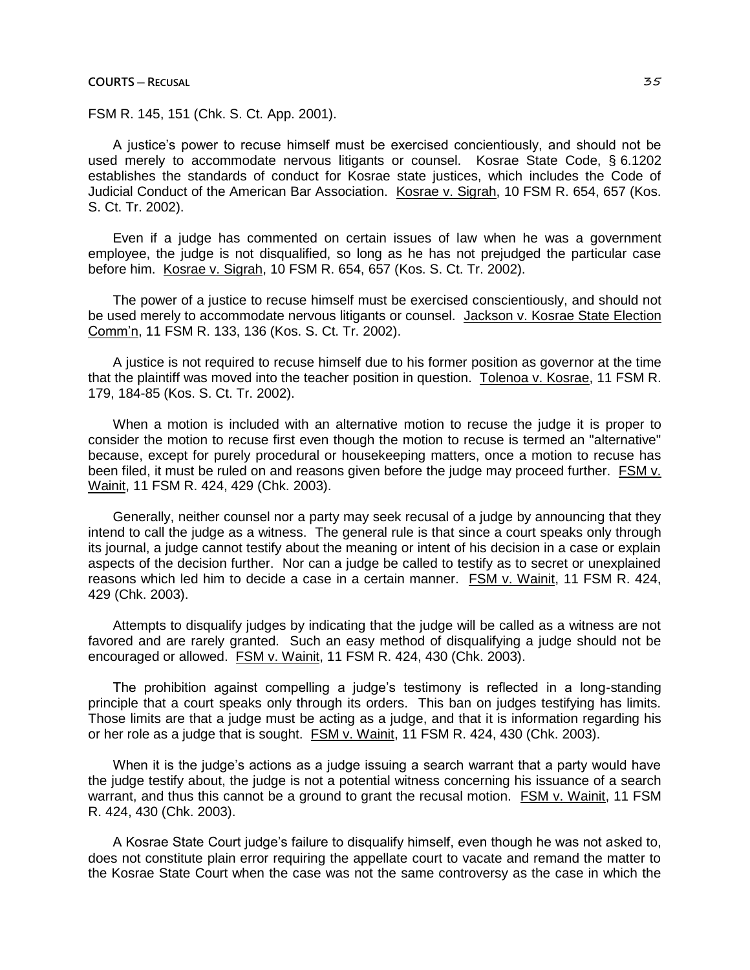**COURTS ─ RECUSAL** 35

FSM R. 145, 151 (Chk. S. Ct. App. 2001).

A justice's power to recuse himself must be exercised concientiously, and should not be used merely to accommodate nervous litigants or counsel. Kosrae State Code, § 6.1202 establishes the standards of conduct for Kosrae state justices, which includes the Code of Judicial Conduct of the American Bar Association. Kosrae v. Sigrah, 10 FSM R. 654, 657 (Kos. S. Ct. Tr. 2002).

Even if a judge has commented on certain issues of law when he was a government employee, the judge is not disqualified, so long as he has not prejudged the particular case before him. Kosrae v. Sigrah, 10 FSM R. 654, 657 (Kos. S. Ct. Tr. 2002).

The power of a justice to recuse himself must be exercised conscientiously, and should not be used merely to accommodate nervous litigants or counsel. Jackson v. Kosrae State Election Comm'n, 11 FSM R. 133, 136 (Kos. S. Ct. Tr. 2002).

A justice is not required to recuse himself due to his former position as governor at the time that the plaintiff was moved into the teacher position in question. Tolenoa v. Kosrae, 11 FSM R. 179, 184-85 (Kos. S. Ct. Tr. 2002).

When a motion is included with an alternative motion to recuse the judge it is proper to consider the motion to recuse first even though the motion to recuse is termed an "alternative" because, except for purely procedural or housekeeping matters, once a motion to recuse has been filed, it must be ruled on and reasons given before the judge may proceed further. FSM v. Wainit, 11 FSM R. 424, 429 (Chk. 2003).

Generally, neither counsel nor a party may seek recusal of a judge by announcing that they intend to call the judge as a witness. The general rule is that since a court speaks only through its journal, a judge cannot testify about the meaning or intent of his decision in a case or explain aspects of the decision further. Nor can a judge be called to testify as to secret or unexplained reasons which led him to decide a case in a certain manner. FSM v. Wainit, 11 FSM R. 424, 429 (Chk. 2003).

Attempts to disqualify judges by indicating that the judge will be called as a witness are not favored and are rarely granted. Such an easy method of disqualifying a judge should not be encouraged or allowed. FSM v. Wainit, 11 FSM R. 424, 430 (Chk. 2003).

The prohibition against compelling a judge's testimony is reflected in a long-standing principle that a court speaks only through its orders. This ban on judges testifying has limits. Those limits are that a judge must be acting as a judge, and that it is information regarding his or her role as a judge that is sought. **FSM v. Wainit, 11 FSM R. 424, 430 (Chk. 2003).** 

When it is the judge's actions as a judge issuing a search warrant that a party would have the judge testify about, the judge is not a potential witness concerning his issuance of a search warrant, and thus this cannot be a ground to grant the recusal motion. FSM v. Wainit, 11 FSM R. 424, 430 (Chk. 2003).

A Kosrae State Court judge's failure to disqualify himself, even though he was not asked to, does not constitute plain error requiring the appellate court to vacate and remand the matter to the Kosrae State Court when the case was not the same controversy as the case in which the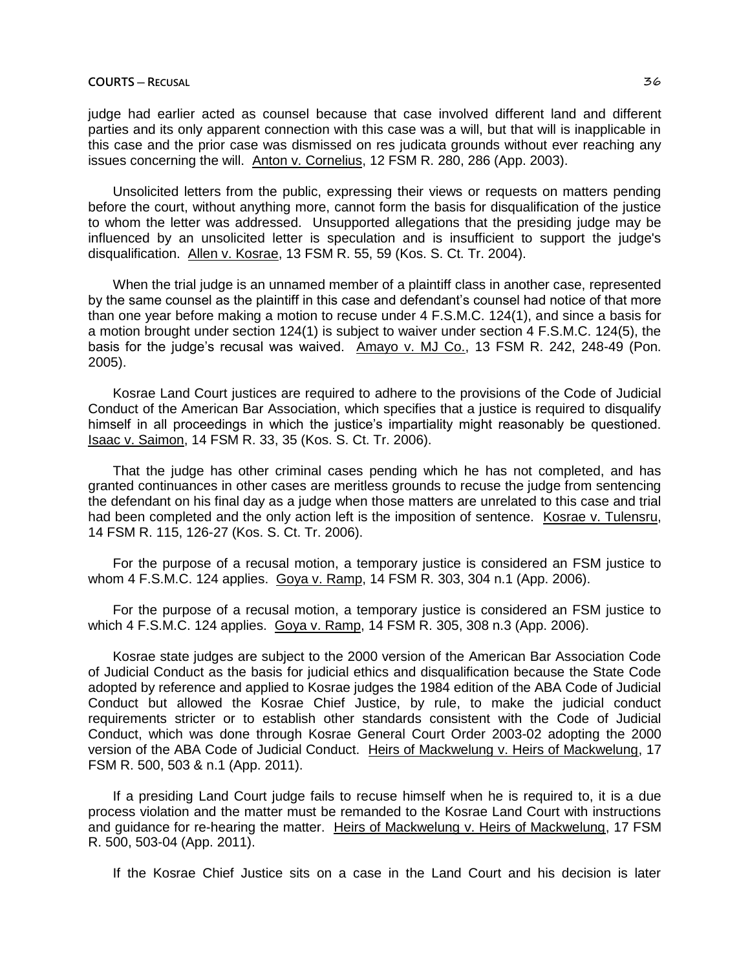## **COURTS ─ RECUSAL** 36

judge had earlier acted as counsel because that case involved different land and different parties and its only apparent connection with this case was a will, but that will is inapplicable in this case and the prior case was dismissed on res judicata grounds without ever reaching any issues concerning the will. Anton v. Cornelius, 12 FSM R. 280, 286 (App. 2003).

Unsolicited letters from the public, expressing their views or requests on matters pending before the court, without anything more, cannot form the basis for disqualification of the justice to whom the letter was addressed. Unsupported allegations that the presiding judge may be influenced by an unsolicited letter is speculation and is insufficient to support the judge's disqualification. Allen v. Kosrae, 13 FSM R. 55, 59 (Kos. S. Ct. Tr. 2004).

When the trial judge is an unnamed member of a plaintiff class in another case, represented by the same counsel as the plaintiff in this case and defendant's counsel had notice of that more than one year before making a motion to recuse under 4 F.S.M.C. 124(1), and since a basis for a motion brought under section 124(1) is subject to waiver under section 4 F.S.M.C. 124(5), the basis for the judge's recusal was waived. Amayo v. MJ Co., 13 FSM R. 242, 248-49 (Pon. 2005).

Kosrae Land Court justices are required to adhere to the provisions of the Code of Judicial Conduct of the American Bar Association, which specifies that a justice is required to disqualify himself in all proceedings in which the justice's impartiality might reasonably be questioned. Isaac v. Saimon, 14 FSM R. 33, 35 (Kos. S. Ct. Tr. 2006).

That the judge has other criminal cases pending which he has not completed, and has granted continuances in other cases are meritless grounds to recuse the judge from sentencing the defendant on his final day as a judge when those matters are unrelated to this case and trial had been completed and the only action left is the imposition of sentence. Kosrae v. Tulensru, 14 FSM R. 115, 126-27 (Kos. S. Ct. Tr. 2006).

For the purpose of a recusal motion, a temporary justice is considered an FSM justice to whom 4 F.S.M.C. 124 applies. Goya v. Ramp, 14 FSM R. 303, 304 n.1 (App. 2006).

For the purpose of a recusal motion, a temporary justice is considered an FSM justice to which 4 F.S.M.C. 124 applies. Goya v. Ramp, 14 FSM R. 305, 308 n.3 (App. 2006).

Kosrae state judges are subject to the 2000 version of the American Bar Association Code of Judicial Conduct as the basis for judicial ethics and disqualification because the State Code adopted by reference and applied to Kosrae judges the 1984 edition of the ABA Code of Judicial Conduct but allowed the Kosrae Chief Justice, by rule, to make the judicial conduct requirements stricter or to establish other standards consistent with the Code of Judicial Conduct, which was done through Kosrae General Court Order 2003-02 adopting the 2000 version of the ABA Code of Judicial Conduct. Heirs of Mackwelung v. Heirs of Mackwelung, 17 FSM R. 500, 503 & n.1 (App. 2011).

If a presiding Land Court judge fails to recuse himself when he is required to, it is a due process violation and the matter must be remanded to the Kosrae Land Court with instructions and guidance for re-hearing the matter. Heirs of Mackwelung v. Heirs of Mackwelung, 17 FSM R. 500, 503-04 (App. 2011).

If the Kosrae Chief Justice sits on a case in the Land Court and his decision is later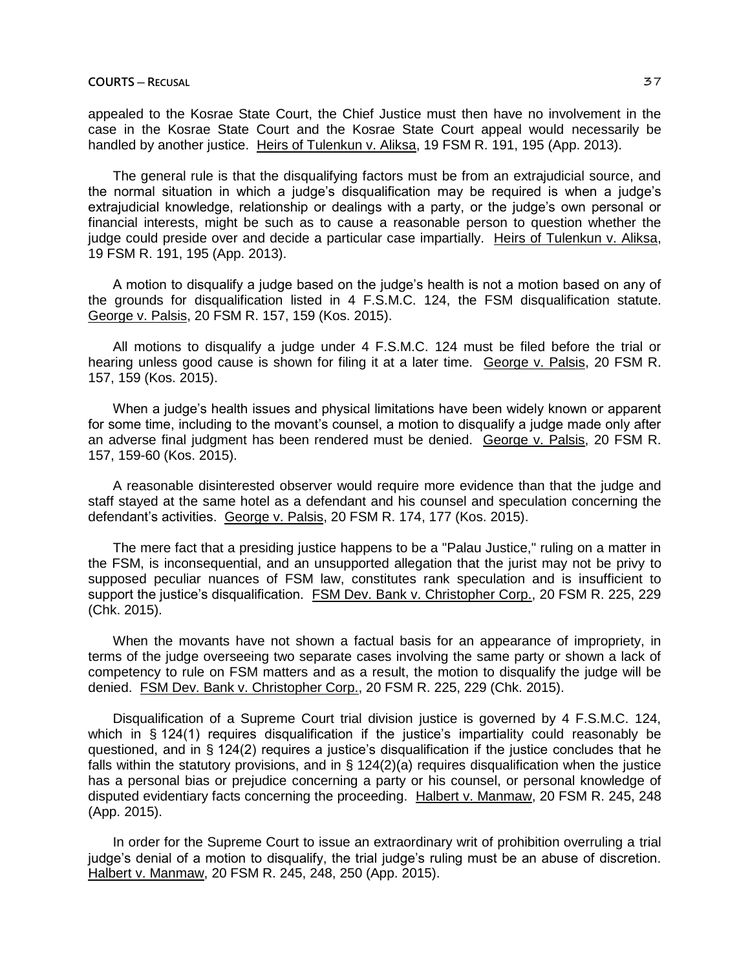appealed to the Kosrae State Court, the Chief Justice must then have no involvement in the case in the Kosrae State Court and the Kosrae State Court appeal would necessarily be handled by another justice. Heirs of Tulenkun v. Aliksa, 19 FSM R. 191, 195 (App. 2013).

The general rule is that the disqualifying factors must be from an extrajudicial source, and the normal situation in which a judge's disqualification may be required is when a judge's extrajudicial knowledge, relationship or dealings with a party, or the judge's own personal or financial interests, might be such as to cause a reasonable person to question whether the judge could preside over and decide a particular case impartially. Heirs of Tulenkun v. Aliksa, 19 FSM R. 191, 195 (App. 2013).

A motion to disqualify a judge based on the judge's health is not a motion based on any of the grounds for disqualification listed in 4 F.S.M.C. 124, the FSM disqualification statute. George v. Palsis, 20 FSM R. 157, 159 (Kos. 2015).

All motions to disqualify a judge under 4 F.S.M.C. 124 must be filed before the trial or hearing unless good cause is shown for filing it at a later time. George v. Palsis, 20 FSM R. 157, 159 (Kos. 2015).

When a judge's health issues and physical limitations have been widely known or apparent for some time, including to the movant's counsel, a motion to disqualify a judge made only after an adverse final judgment has been rendered must be denied. George v. Palsis, 20 FSM R. 157, 159-60 (Kos. 2015).

A reasonable disinterested observer would require more evidence than that the judge and staff stayed at the same hotel as a defendant and his counsel and speculation concerning the defendant's activities. George v. Palsis, 20 FSM R. 174, 177 (Kos. 2015).

The mere fact that a presiding justice happens to be a "Palau Justice," ruling on a matter in the FSM, is inconsequential, and an unsupported allegation that the jurist may not be privy to supposed peculiar nuances of FSM law, constitutes rank speculation and is insufficient to support the justice's disqualification. FSM Dev. Bank v. Christopher Corp., 20 FSM R. 225, 229 (Chk. 2015).

When the movants have not shown a factual basis for an appearance of impropriety, in terms of the judge overseeing two separate cases involving the same party or shown a lack of competency to rule on FSM matters and as a result, the motion to disqualify the judge will be denied. FSM Dev. Bank v. Christopher Corp., 20 FSM R. 225, 229 (Chk. 2015).

Disqualification of a Supreme Court trial division justice is governed by 4 F.S.M.C. 124, which in § 124(1) requires disqualification if the justice's impartiality could reasonably be questioned, and in § 124(2) requires a justice's disqualification if the justice concludes that he falls within the statutory provisions, and in  $\S$  124(2)(a) requires disqualification when the justice has a personal bias or prejudice concerning a party or his counsel, or personal knowledge of disputed evidentiary facts concerning the proceeding. Halbert v. Manmaw, 20 FSM R. 245, 248 (App. 2015).

In order for the Supreme Court to issue an extraordinary writ of prohibition overruling a trial judge's denial of a motion to disqualify, the trial judge's ruling must be an abuse of discretion. Halbert v. Manmaw, 20 FSM R. 245, 248, 250 (App. 2015).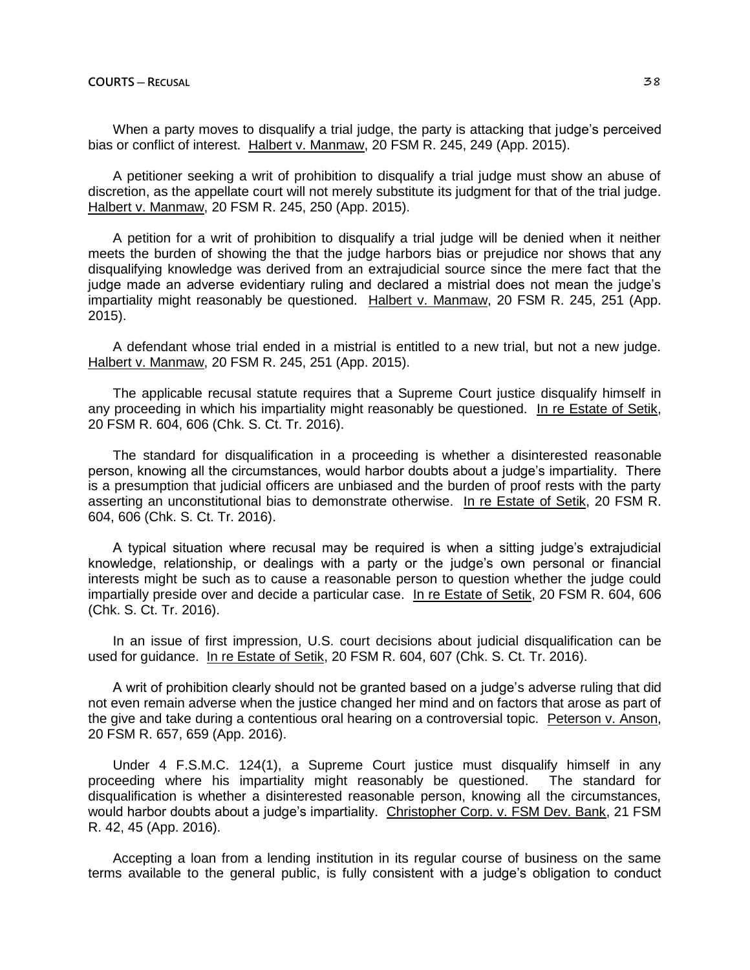When a party moves to disqualify a trial judge, the party is attacking that judge's perceived bias or conflict of interest. Halbert v. Manmaw, 20 FSM R. 245, 249 (App. 2015).

A petitioner seeking a writ of prohibition to disqualify a trial judge must show an abuse of discretion, as the appellate court will not merely substitute its judgment for that of the trial judge. Halbert v. Manmaw, 20 FSM R. 245, 250 (App. 2015).

A petition for a writ of prohibition to disqualify a trial judge will be denied when it neither meets the burden of showing the that the judge harbors bias or prejudice nor shows that any disqualifying knowledge was derived from an extrajudicial source since the mere fact that the judge made an adverse evidentiary ruling and declared a mistrial does not mean the judge's impartiality might reasonably be questioned. Halbert v. Manmaw, 20 FSM R. 245, 251 (App. 2015).

A defendant whose trial ended in a mistrial is entitled to a new trial, but not a new judge. Halbert v. Manmaw, 20 FSM R. 245, 251 (App. 2015).

The applicable recusal statute requires that a Supreme Court justice disqualify himself in any proceeding in which his impartiality might reasonably be questioned. In re Estate of Setik, 20 FSM R. 604, 606 (Chk. S. Ct. Tr. 2016).

The standard for disqualification in a proceeding is whether a disinterested reasonable person, knowing all the circumstances, would harbor doubts about a judge's impartiality. There is a presumption that judicial officers are unbiased and the burden of proof rests with the party asserting an unconstitutional bias to demonstrate otherwise. In re Estate of Setik, 20 FSM R. 604, 606 (Chk. S. Ct. Tr. 2016).

A typical situation where recusal may be required is when a sitting judge's extrajudicial knowledge, relationship, or dealings with a party or the judge's own personal or financial interests might be such as to cause a reasonable person to question whether the judge could impartially preside over and decide a particular case. In re Estate of Setik, 20 FSM R. 604, 606 (Chk. S. Ct. Tr. 2016).

In an issue of first impression, U.S. court decisions about judicial disqualification can be used for guidance. In re Estate of Setik, 20 FSM R. 604, 607 (Chk. S. Ct. Tr. 2016).

A writ of prohibition clearly should not be granted based on a judge's adverse ruling that did not even remain adverse when the justice changed her mind and on factors that arose as part of the give and take during a contentious oral hearing on a controversial topic. Peterson v. Anson, 20 FSM R. 657, 659 (App. 2016).

Under 4 F.S.M.C. 124(1), a Supreme Court justice must disqualify himself in any proceeding where his impartiality might reasonably be questioned. The standard for disqualification is whether a disinterested reasonable person, knowing all the circumstances, would harbor doubts about a judge's impartiality. Christopher Corp. v. FSM Dev. Bank, 21 FSM R. 42, 45 (App. 2016).

Accepting a loan from a lending institution in its regular course of business on the same terms available to the general public, is fully consistent with a judge's obligation to conduct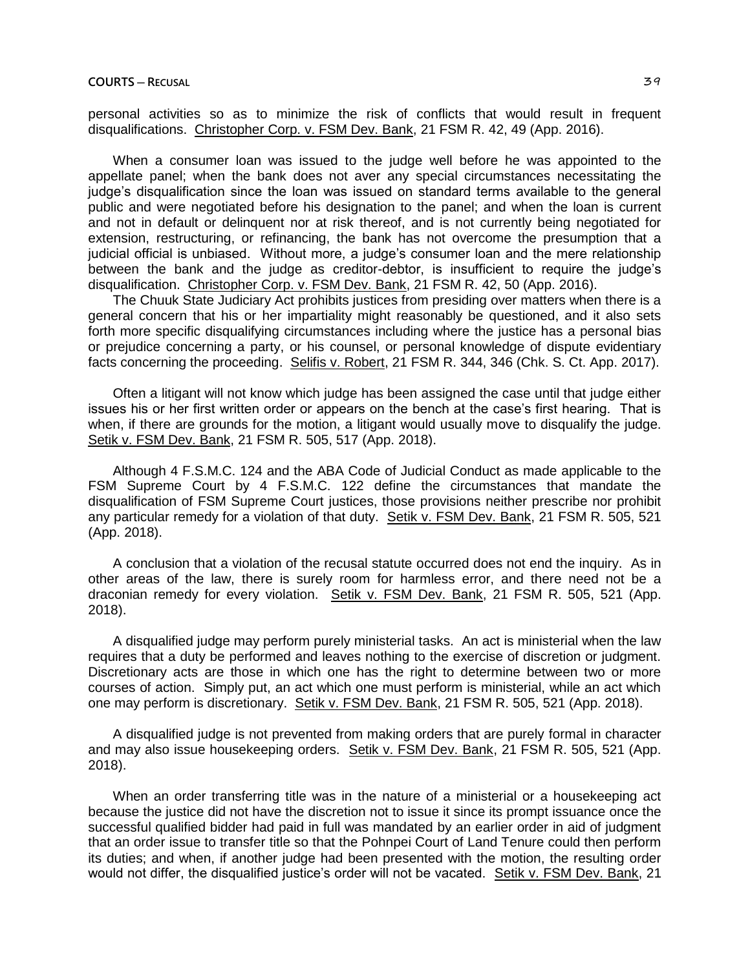personal activities so as to minimize the risk of conflicts that would result in frequent disqualifications. Christopher Corp. v. FSM Dev. Bank, 21 FSM R. 42, 49 (App. 2016).

When a consumer loan was issued to the judge well before he was appointed to the appellate panel; when the bank does not aver any special circumstances necessitating the judge's disqualification since the loan was issued on standard terms available to the general public and were negotiated before his designation to the panel; and when the loan is current and not in default or delinquent nor at risk thereof, and is not currently being negotiated for extension, restructuring, or refinancing, the bank has not overcome the presumption that a judicial official is unbiased. Without more, a judge's consumer loan and the mere relationship between the bank and the judge as creditor-debtor, is insufficient to require the judge's disqualification. Christopher Corp. v. FSM Dev. Bank, 21 FSM R. 42, 50 (App. 2016).

The Chuuk State Judiciary Act prohibits justices from presiding over matters when there is a general concern that his or her impartiality might reasonably be questioned, and it also sets forth more specific disqualifying circumstances including where the justice has a personal bias or prejudice concerning a party, or his counsel, or personal knowledge of dispute evidentiary facts concerning the proceeding. Selifis v. Robert, 21 FSM R. 344, 346 (Chk. S. Ct. App. 2017).

Often a litigant will not know which judge has been assigned the case until that judge either issues his or her first written order or appears on the bench at the case's first hearing. That is when, if there are grounds for the motion, a litigant would usually move to disqualify the judge. Setik v. FSM Dev. Bank, 21 FSM R. 505, 517 (App. 2018).

Although 4 F.S.M.C. 124 and the ABA Code of Judicial Conduct as made applicable to the FSM Supreme Court by 4 F.S.M.C. 122 define the circumstances that mandate the disqualification of FSM Supreme Court justices, those provisions neither prescribe nor prohibit any particular remedy for a violation of that duty. Setik v. FSM Dev. Bank, 21 FSM R. 505, 521 (App. 2018).

A conclusion that a violation of the recusal statute occurred does not end the inquiry. As in other areas of the law, there is surely room for harmless error, and there need not be a draconian remedy for every violation. Setik v. FSM Dev. Bank, 21 FSM R. 505, 521 (App. 2018).

A disqualified judge may perform purely ministerial tasks. An act is ministerial when the law requires that a duty be performed and leaves nothing to the exercise of discretion or judgment. Discretionary acts are those in which one has the right to determine between two or more courses of action. Simply put, an act which one must perform is ministerial, while an act which one may perform is discretionary. Setik v. FSM Dev. Bank, 21 FSM R. 505, 521 (App. 2018).

A disqualified judge is not prevented from making orders that are purely formal in character and may also issue housekeeping orders. Setik v. FSM Dev. Bank, 21 FSM R. 505, 521 (App. 2018).

When an order transferring title was in the nature of a ministerial or a housekeeping act because the justice did not have the discretion not to issue it since its prompt issuance once the successful qualified bidder had paid in full was mandated by an earlier order in aid of judgment that an order issue to transfer title so that the Pohnpei Court of Land Tenure could then perform its duties; and when, if another judge had been presented with the motion, the resulting order would not differ, the disqualified justice's order will not be vacated. Setik v. FSM Dev. Bank, 21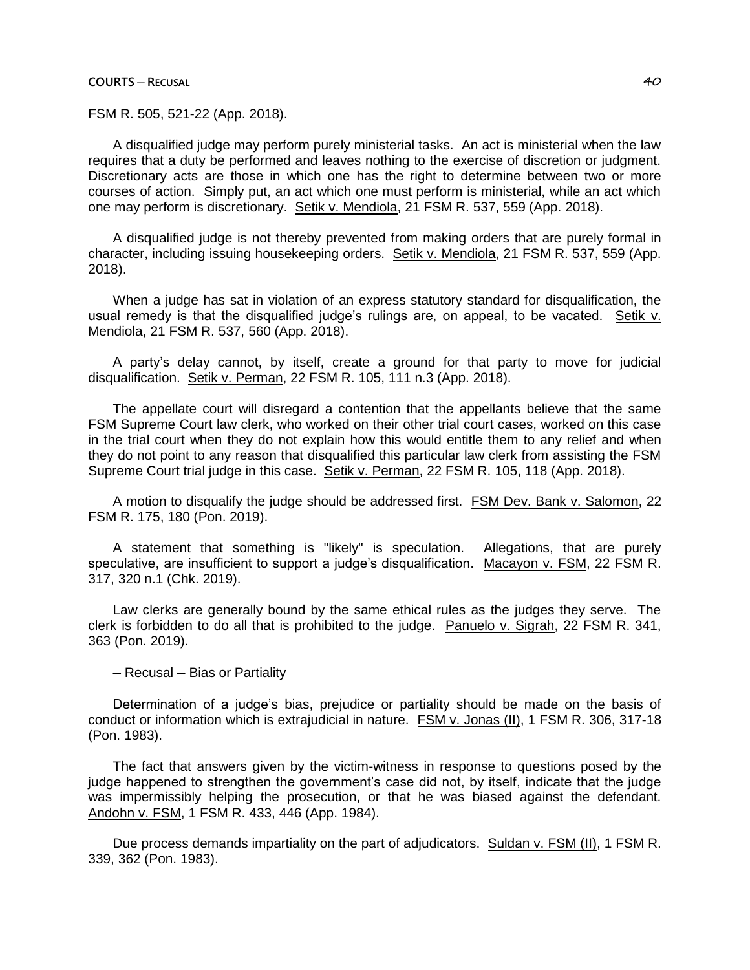# **COURTS ─ RECUSAL** 40

FSM R. 505, 521-22 (App. 2018).

A disqualified judge may perform purely ministerial tasks. An act is ministerial when the law requires that a duty be performed and leaves nothing to the exercise of discretion or judgment. Discretionary acts are those in which one has the right to determine between two or more courses of action. Simply put, an act which one must perform is ministerial, while an act which one may perform is discretionary. Setik v. Mendiola, 21 FSM R. 537, 559 (App. 2018).

A disqualified judge is not thereby prevented from making orders that are purely formal in character, including issuing housekeeping orders. Setik v. Mendiola, 21 FSM R. 537, 559 (App. 2018).

When a judge has sat in violation of an express statutory standard for disqualification, the usual remedy is that the disqualified judge's rulings are, on appeal, to be vacated. Setik v. Mendiola, 21 FSM R. 537, 560 (App. 2018).

A party's delay cannot, by itself, create a ground for that party to move for judicial disqualification. Setik v. Perman, 22 FSM R. 105, 111 n.3 (App. 2018).

The appellate court will disregard a contention that the appellants believe that the same FSM Supreme Court law clerk, who worked on their other trial court cases, worked on this case in the trial court when they do not explain how this would entitle them to any relief and when they do not point to any reason that disqualified this particular law clerk from assisting the FSM Supreme Court trial judge in this case. Setik v. Perman, 22 FSM R. 105, 118 (App. 2018).

A motion to disqualify the judge should be addressed first. FSM Dev. Bank v. Salomon, 22 FSM R. 175, 180 (Pon. 2019).

A statement that something is "likely" is speculation. Allegations, that are purely speculative, are insufficient to support a judge's disqualification. Macayon v. FSM, 22 FSM R. 317, 320 n.1 (Chk. 2019).

Law clerks are generally bound by the same ethical rules as the judges they serve. The clerk is forbidden to do all that is prohibited to the judge. Panuelo v. Sigrah, 22 FSM R. 341, 363 (Pon. 2019).

─ Recusal ─ Bias or Partiality

Determination of a judge's bias, prejudice or partiality should be made on the basis of conduct or information which is extrajudicial in nature. FSM v. Jonas (II), 1 FSM R. 306, 317-18 (Pon. 1983).

The fact that answers given by the victim-witness in response to questions posed by the judge happened to strengthen the government's case did not, by itself, indicate that the judge was impermissibly helping the prosecution, or that he was biased against the defendant. Andohn v. FSM, 1 FSM R. 433, 446 (App. 1984).

Due process demands impartiality on the part of adjudicators. Suldan v. FSM (II), 1 FSM R. 339, 362 (Pon. 1983).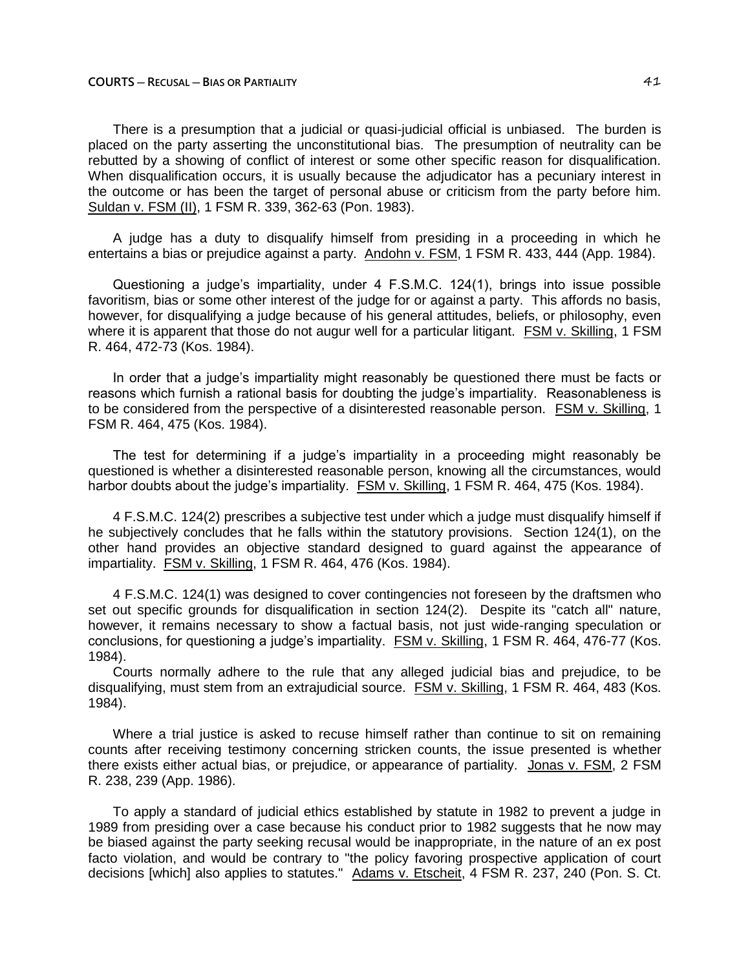There is a presumption that a judicial or quasi-judicial official is unbiased. The burden is placed on the party asserting the unconstitutional bias. The presumption of neutrality can be rebutted by a showing of conflict of interest or some other specific reason for disqualification. When disqualification occurs, it is usually because the adjudicator has a pecuniary interest in the outcome or has been the target of personal abuse or criticism from the party before him. Suldan v. FSM (II), 1 FSM R. 339, 362-63 (Pon. 1983).

A judge has a duty to disqualify himself from presiding in a proceeding in which he entertains a bias or prejudice against a party. Andohn v. FSM, 1 FSM R. 433, 444 (App. 1984).

Questioning a judge's impartiality, under 4 F.S.M.C. 124(1), brings into issue possible favoritism, bias or some other interest of the judge for or against a party. This affords no basis, however, for disqualifying a judge because of his general attitudes, beliefs, or philosophy, even where it is apparent that those do not augur well for a particular litigant. FSM v. Skilling, 1 FSM R. 464, 472-73 (Kos. 1984).

In order that a judge's impartiality might reasonably be questioned there must be facts or reasons which furnish a rational basis for doubting the judge's impartiality. Reasonableness is to be considered from the perspective of a disinterested reasonable person. FSM v. Skilling, 1 FSM R. 464, 475 (Kos. 1984).

The test for determining if a judge's impartiality in a proceeding might reasonably be questioned is whether a disinterested reasonable person, knowing all the circumstances, would harbor doubts about the judge's impartiality. **FSM v. Skilling, 1 FSM R. 464, 475 (Kos. 1984).** 

4 F.S.M.C. 124(2) prescribes a subjective test under which a judge must disqualify himself if he subjectively concludes that he falls within the statutory provisions. Section 124(1), on the other hand provides an objective standard designed to guard against the appearance of impartiality. FSM v. Skilling, 1 FSM R. 464, 476 (Kos. 1984).

4 F.S.M.C. 124(1) was designed to cover contingencies not foreseen by the draftsmen who set out specific grounds for disqualification in section 124(2). Despite its "catch all" nature, however, it remains necessary to show a factual basis, not just wide-ranging speculation or conclusions, for questioning a judge's impartiality. FSM v. Skilling, 1 FSM R. 464, 476-77 (Kos. 1984).

Courts normally adhere to the rule that any alleged judicial bias and prejudice, to be disqualifying, must stem from an extrajudicial source. FSM v. Skilling, 1 FSM R. 464, 483 (Kos. 1984).

Where a trial justice is asked to recuse himself rather than continue to sit on remaining counts after receiving testimony concerning stricken counts, the issue presented is whether there exists either actual bias, or prejudice, or appearance of partiality. Jonas v. FSM, 2 FSM R. 238, 239 (App. 1986).

To apply a standard of judicial ethics established by statute in 1982 to prevent a judge in 1989 from presiding over a case because his conduct prior to 1982 suggests that he now may be biased against the party seeking recusal would be inappropriate, in the nature of an ex post facto violation, and would be contrary to "the policy favoring prospective application of court decisions [which] also applies to statutes." Adams v. Etscheit, 4 FSM R. 237, 240 (Pon. S. Ct.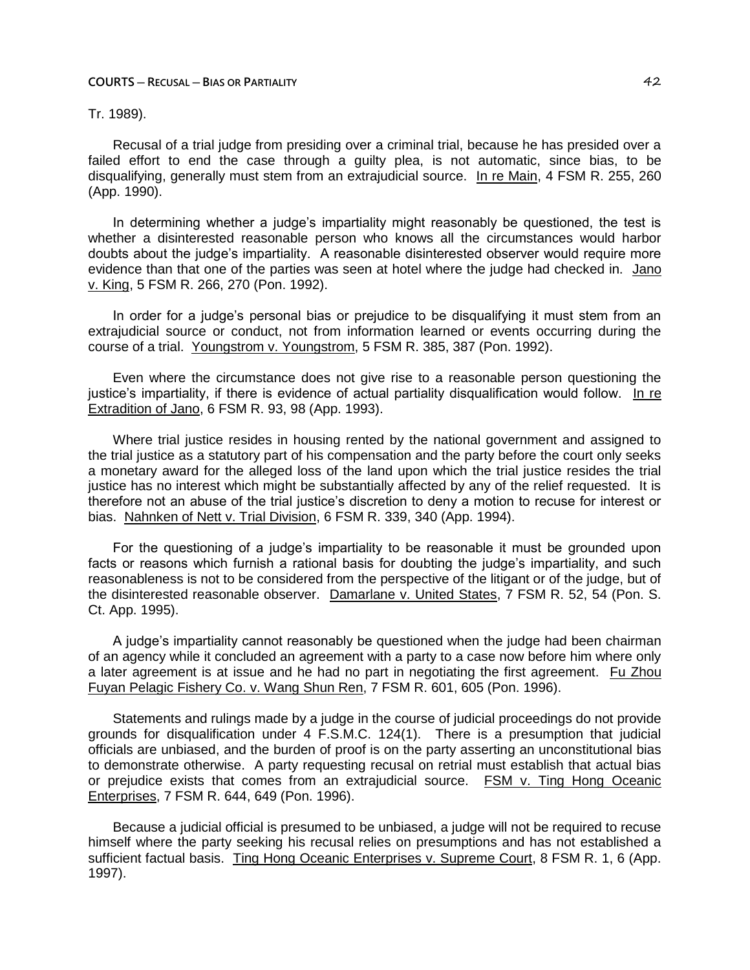# Tr. 1989).

Recusal of a trial judge from presiding over a criminal trial, because he has presided over a failed effort to end the case through a guilty plea, is not automatic, since bias, to be disqualifving, generally must stem from an extrajudicial source. In re Main, 4 FSM R. 255, 260 (App. 1990).

In determining whether a judge's impartiality might reasonably be questioned, the test is whether a disinterested reasonable person who knows all the circumstances would harbor doubts about the judge's impartiality. A reasonable disinterested observer would require more evidence than that one of the parties was seen at hotel where the judge had checked in. Jano v. King, 5 FSM R. 266, 270 (Pon. 1992).

In order for a judge's personal bias or prejudice to be disqualifying it must stem from an extrajudicial source or conduct, not from information learned or events occurring during the course of a trial. Youngstrom v. Youngstrom, 5 FSM R. 385, 387 (Pon. 1992).

Even where the circumstance does not give rise to a reasonable person questioning the justice's impartiality, if there is evidence of actual partiality disqualification would follow. In re Extradition of Jano, 6 FSM R. 93, 98 (App. 1993).

Where trial justice resides in housing rented by the national government and assigned to the trial justice as a statutory part of his compensation and the party before the court only seeks a monetary award for the alleged loss of the land upon which the trial justice resides the trial justice has no interest which might be substantially affected by any of the relief requested. It is therefore not an abuse of the trial justice's discretion to deny a motion to recuse for interest or bias. Nahnken of Nett v. Trial Division, 6 FSM R. 339, 340 (App. 1994).

For the questioning of a judge's impartiality to be reasonable it must be grounded upon facts or reasons which furnish a rational basis for doubting the judge's impartiality, and such reasonableness is not to be considered from the perspective of the litigant or of the judge, but of the disinterested reasonable observer. Damarlane v. United States, 7 FSM R. 52, 54 (Pon. S. Ct. App. 1995).

A judge's impartiality cannot reasonably be questioned when the judge had been chairman of an agency while it concluded an agreement with a party to a case now before him where only a later agreement is at issue and he had no part in negotiating the first agreement. Fu Zhou Fuyan Pelagic Fishery Co. v. Wang Shun Ren, 7 FSM R. 601, 605 (Pon. 1996).

Statements and rulings made by a judge in the course of judicial proceedings do not provide grounds for disqualification under 4 F.S.M.C. 124(1). There is a presumption that judicial officials are unbiased, and the burden of proof is on the party asserting an unconstitutional bias to demonstrate otherwise. A party requesting recusal on retrial must establish that actual bias or prejudice exists that comes from an extrajudicial source. FSM v. Ting Hong Oceanic Enterprises, 7 FSM R. 644, 649 (Pon. 1996).

Because a judicial official is presumed to be unbiased, a judge will not be required to recuse himself where the party seeking his recusal relies on presumptions and has not established a sufficient factual basis. Ting Hong Oceanic Enterprises v. Supreme Court, 8 FSM R. 1, 6 (App. 1997).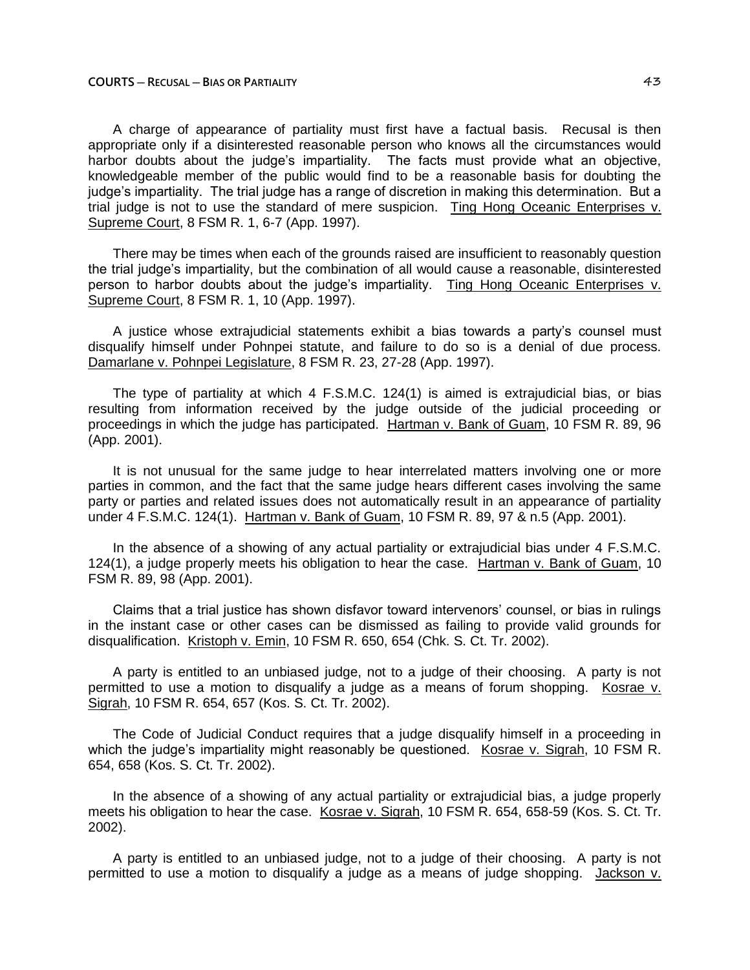A charge of appearance of partiality must first have a factual basis. Recusal is then appropriate only if a disinterested reasonable person who knows all the circumstances would harbor doubts about the judge's impartiality. The facts must provide what an objective, knowledgeable member of the public would find to be a reasonable basis for doubting the judge's impartiality. The trial judge has a range of discretion in making this determination. But a trial judge is not to use the standard of mere suspicion. Ting Hong Oceanic Enterprises v. Supreme Court, 8 FSM R. 1, 6-7 (App. 1997).

There may be times when each of the grounds raised are insufficient to reasonably question the trial judge's impartiality, but the combination of all would cause a reasonable, disinterested person to harbor doubts about the judge's impartiality. Ting Hong Oceanic Enterprises v. Supreme Court, 8 FSM R. 1, 10 (App. 1997).

A justice whose extrajudicial statements exhibit a bias towards a party's counsel must disqualify himself under Pohnpei statute, and failure to do so is a denial of due process. Damarlane v. Pohnpei Legislature, 8 FSM R. 23, 27-28 (App. 1997).

The type of partiality at which 4 F.S.M.C. 124(1) is aimed is extrajudicial bias, or bias resulting from information received by the judge outside of the judicial proceeding or proceedings in which the judge has participated. Hartman v. Bank of Guam, 10 FSM R. 89, 96 (App. 2001).

It is not unusual for the same judge to hear interrelated matters involving one or more parties in common, and the fact that the same judge hears different cases involving the same party or parties and related issues does not automatically result in an appearance of partiality under 4 F.S.M.C. 124(1). Hartman v. Bank of Guam, 10 FSM R. 89, 97 & n.5 (App. 2001).

In the absence of a showing of any actual partiality or extrajudicial bias under 4 F.S.M.C. 124(1), a judge properly meets his obligation to hear the case. Hartman v. Bank of Guam, 10 FSM R. 89, 98 (App. 2001).

Claims that a trial justice has shown disfavor toward intervenors' counsel, or bias in rulings in the instant case or other cases can be dismissed as failing to provide valid grounds for disqualification. Kristoph v. Emin, 10 FSM R. 650, 654 (Chk. S. Ct. Tr. 2002).

A party is entitled to an unbiased judge, not to a judge of their choosing. A party is not permitted to use a motion to disqualify a judge as a means of forum shopping. Kosrae v. Sigrah, 10 FSM R. 654, 657 (Kos. S. Ct. Tr. 2002).

The Code of Judicial Conduct requires that a judge disqualify himself in a proceeding in which the judge's impartiality might reasonably be questioned. Kosrae v. Sigrah, 10 FSM R. 654, 658 (Kos. S. Ct. Tr. 2002).

In the absence of a showing of any actual partiality or extrajudicial bias, a judge properly meets his obligation to hear the case. Kosrae v. Sigrah, 10 FSM R. 654, 658-59 (Kos. S. Ct. Tr. 2002).

A party is entitled to an unbiased judge, not to a judge of their choosing. A party is not permitted to use a motion to disqualify a judge as a means of judge shopping. Jackson v.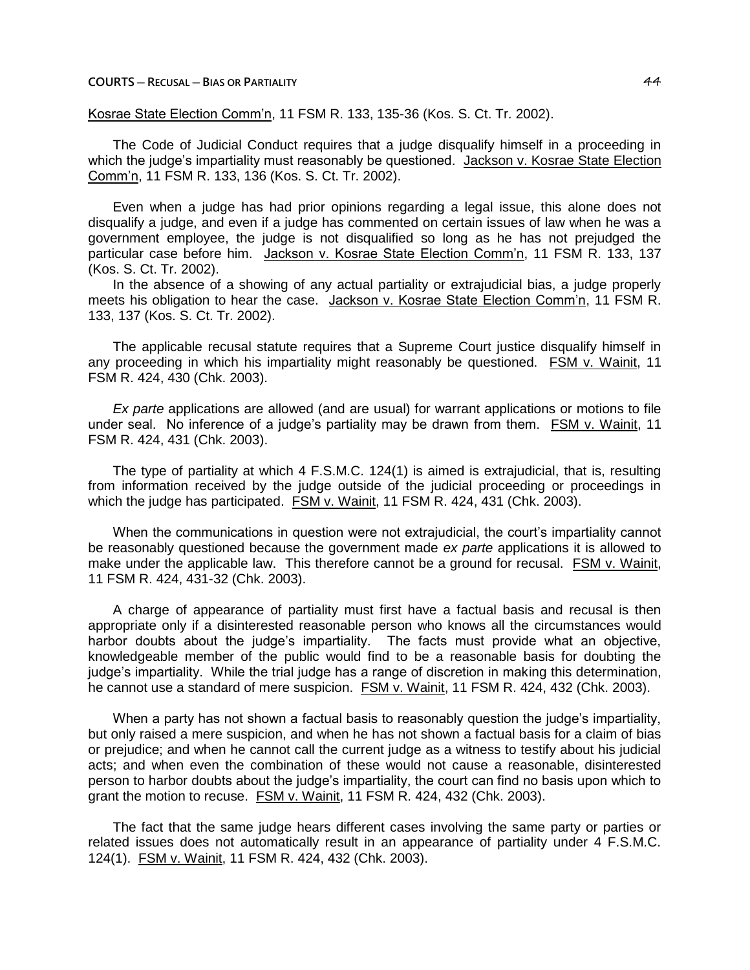Kosrae State Election Comm'n, 11 FSM R. 133, 135-36 (Kos. S. Ct. Tr. 2002).

The Code of Judicial Conduct requires that a judge disqualify himself in a proceeding in which the judge's impartiality must reasonably be questioned. Jackson v. Kosrae State Election Comm'n, 11 FSM R. 133, 136 (Kos. S. Ct. Tr. 2002).

Even when a judge has had prior opinions regarding a legal issue, this alone does not disqualify a judge, and even if a judge has commented on certain issues of law when he was a government employee, the judge is not disqualified so long as he has not prejudged the particular case before him. Jackson v. Kosrae State Election Comm'n, 11 FSM R. 133, 137 (Kos. S. Ct. Tr. 2002).

In the absence of a showing of any actual partiality or extrajudicial bias, a judge properly meets his obligation to hear the case. Jackson v. Kosrae State Election Comm'n, 11 FSM R. 133, 137 (Kos. S. Ct. Tr. 2002).

The applicable recusal statute requires that a Supreme Court justice disqualify himself in any proceeding in which his impartiality might reasonably be questioned. FSM v. Wainit, 11 FSM R. 424, 430 (Chk. 2003).

*Ex parte* applications are allowed (and are usual) for warrant applications or motions to file under seal. No inference of a judge's partiality may be drawn from them. FSM v. Wainit, 11 FSM R. 424, 431 (Chk. 2003).

The type of partiality at which 4 F.S.M.C. 124(1) is aimed is extrajudicial, that is, resulting from information received by the judge outside of the judicial proceeding or proceedings in which the judge has participated. FSM v. Wainit, 11 FSM R. 424, 431 (Chk. 2003).

When the communications in question were not extrajudicial, the court's impartiality cannot be reasonably questioned because the government made *ex parte* applications it is allowed to make under the applicable law. This therefore cannot be a ground for recusal. FSM v. Wainit, 11 FSM R. 424, 431-32 (Chk. 2003).

A charge of appearance of partiality must first have a factual basis and recusal is then appropriate only if a disinterested reasonable person who knows all the circumstances would harbor doubts about the judge's impartiality. The facts must provide what an objective, knowledgeable member of the public would find to be a reasonable basis for doubting the judge's impartiality. While the trial judge has a range of discretion in making this determination, he cannot use a standard of mere suspicion. FSM v. Wainit, 11 FSM R. 424, 432 (Chk. 2003).

When a party has not shown a factual basis to reasonably question the judge's impartiality, but only raised a mere suspicion, and when he has not shown a factual basis for a claim of bias or prejudice; and when he cannot call the current judge as a witness to testify about his judicial acts; and when even the combination of these would not cause a reasonable, disinterested person to harbor doubts about the judge's impartiality, the court can find no basis upon which to grant the motion to recuse. FSM v. Wainit, 11 FSM R. 424, 432 (Chk. 2003).

The fact that the same judge hears different cases involving the same party or parties or related issues does not automatically result in an appearance of partiality under 4 F.S.M.C. 124(1). FSM v. Wainit, 11 FSM R. 424, 432 (Chk. 2003).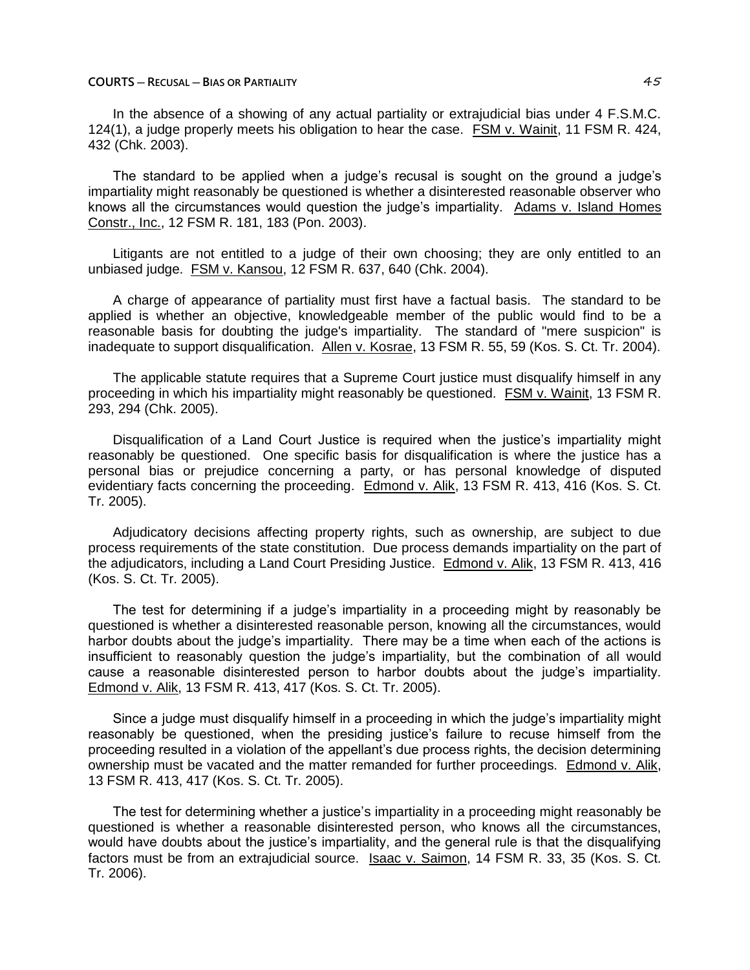In the absence of a showing of any actual partiality or extrajudicial bias under 4 F.S.M.C. 124(1), a judge properly meets his obligation to hear the case. FSM v. Wainit, 11 FSM R. 424, 432 (Chk. 2003).

The standard to be applied when a judge's recusal is sought on the ground a judge's impartiality might reasonably be questioned is whether a disinterested reasonable observer who knows all the circumstances would question the judge's impartiality. Adams v. Island Homes Constr., Inc., 12 FSM R. 181, 183 (Pon. 2003).

Litigants are not entitled to a judge of their own choosing; they are only entitled to an unbiased judge. FSM v. Kansou, 12 FSM R. 637, 640 (Chk. 2004).

A charge of appearance of partiality must first have a factual basis. The standard to be applied is whether an objective, knowledgeable member of the public would find to be a reasonable basis for doubting the judge's impartiality. The standard of "mere suspicion" is inadequate to support disqualification. Allen v. Kosrae, 13 FSM R. 55, 59 (Kos. S. Ct. Tr. 2004).

The applicable statute requires that a Supreme Court justice must disqualify himself in any proceeding in which his impartiality might reasonably be questioned. FSM v. Wainit, 13 FSM R. 293, 294 (Chk. 2005).

Disqualification of a Land Court Justice is required when the justice's impartiality might reasonably be questioned. One specific basis for disqualification is where the justice has a personal bias or prejudice concerning a party, or has personal knowledge of disputed evidentiary facts concerning the proceeding. Edmond v. Alik, 13 FSM R. 413, 416 (Kos. S. Ct. Tr. 2005).

Adjudicatory decisions affecting property rights, such as ownership, are subject to due process requirements of the state constitution. Due process demands impartiality on the part of the adjudicators, including a Land Court Presiding Justice. Edmond v. Alik, 13 FSM R. 413, 416 (Kos. S. Ct. Tr. 2005).

The test for determining if a judge's impartiality in a proceeding might by reasonably be questioned is whether a disinterested reasonable person, knowing all the circumstances, would harbor doubts about the judge's impartiality. There may be a time when each of the actions is insufficient to reasonably question the judge's impartiality, but the combination of all would cause a reasonable disinterested person to harbor doubts about the judge's impartiality. Edmond v. Alik, 13 FSM R. 413, 417 (Kos. S. Ct. Tr. 2005).

Since a judge must disqualify himself in a proceeding in which the judge's impartiality might reasonably be questioned, when the presiding justice's failure to recuse himself from the proceeding resulted in a violation of the appellant's due process rights, the decision determining ownership must be vacated and the matter remanded for further proceedings. Edmond v. Alik, 13 FSM R. 413, 417 (Kos. S. Ct. Tr. 2005).

The test for determining whether a justice's impartiality in a proceeding might reasonably be questioned is whether a reasonable disinterested person, who knows all the circumstances, would have doubts about the justice's impartiality, and the general rule is that the disqualifying factors must be from an extrajudicial source. Isaac v. Saimon, 14 FSM R. 33, 35 (Kos. S. Ct. Tr. 2006).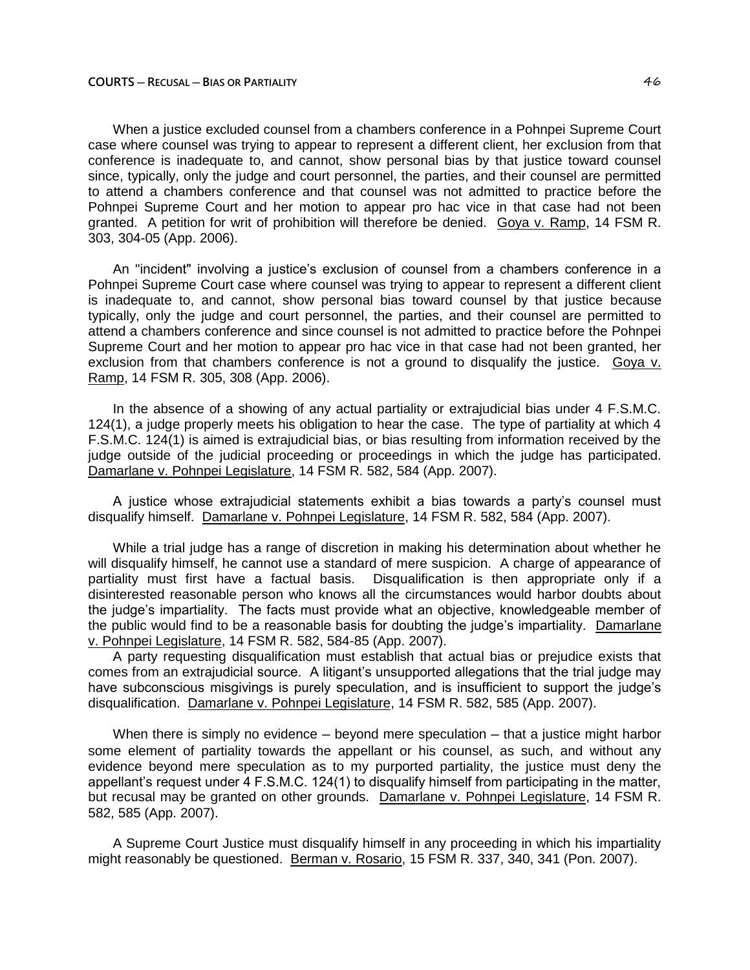When a justice excluded counsel from a chambers conference in a Pohnpei Supreme Court case where counsel was trying to appear to represent a different client, her exclusion from that conference is inadequate to, and cannot, show personal bias by that justice toward counsel since, typically, only the judge and court personnel, the parties, and their counsel are permitted to attend a chambers conference and that counsel was not admitted to practice before the Pohnpei Supreme Court and her motion to appear pro hac vice in that case had not been granted. A petition for writ of prohibition will therefore be denied. Goya v. Ramp, 14 FSM R. 303, 304-05 (App. 2006).

An "incident" involving a justice's exclusion of counsel from a chambers conference in a Pohnpei Supreme Court case where counsel was trying to appear to represent a different client is inadequate to, and cannot, show personal bias toward counsel by that justice because typically, only the judge and court personnel, the parties, and their counsel are permitted to attend a chambers conference and since counsel is not admitted to practice before the Pohnpei Supreme Court and her motion to appear pro hac vice in that case had not been granted, her exclusion from that chambers conference is not a ground to disqualify the justice. Goya v. Ramp, 14 FSM R. 305, 308 (App. 2006).

In the absence of a showing of any actual partiality or extrajudicial bias under 4 F.S.M.C. 124(1), a judge properly meets his obligation to hear the case. The type of partiality at which 4 F.S.M.C. 124(1) is aimed is extrajudicial bias, or bias resulting from information received by the judge outside of the judicial proceeding or proceedings in which the judge has participated. Damarlane v. Pohnpei Legislature, 14 FSM R. 582, 584 (App. 2007).

A justice whose extrajudicial statements exhibit a bias towards a party's counsel must disqualify himself. Damarlane v. Pohnpei Legislature, 14 FSM R. 582, 584 (App. 2007).

While a trial judge has a range of discretion in making his determination about whether he will disqualify himself, he cannot use a standard of mere suspicion. A charge of appearance of partiality must first have a factual basis. Disqualification is then appropriate only if a disinterested reasonable person who knows all the circumstances would harbor doubts about the judge's impartiality. The facts must provide what an objective, knowledgeable member of the public would find to be a reasonable basis for doubting the judge's impartiality. Damarlane v. Pohnpei Legislature, 14 FSM R. 582, 584-85 (App. 2007).

A party requesting disqualification must establish that actual bias or prejudice exists that comes from an extrajudicial source. A litigant's unsupported allegations that the trial judge may have subconscious misgivings is purely speculation, and is insufficient to support the judge's disqualification. Damarlane v. Pohnpei Legislature, 14 FSM R. 582, 585 (App. 2007).

When there is simply no evidence  $-$  beyond mere speculation  $-$  that a justice might harbor some element of partiality towards the appellant or his counsel, as such, and without any evidence beyond mere speculation as to my purported partiality, the justice must deny the appellant's request under 4 F.S.M.C. 124(1) to disqualify himself from participating in the matter, but recusal may be granted on other grounds. Damarlane v. Pohnpei Legislature, 14 FSM R. 582, 585 (App. 2007).

A Supreme Court Justice must disqualify himself in any proceeding in which his impartiality might reasonably be questioned. Berman v. Rosario, 15 FSM R. 337, 340, 341 (Pon. 2007).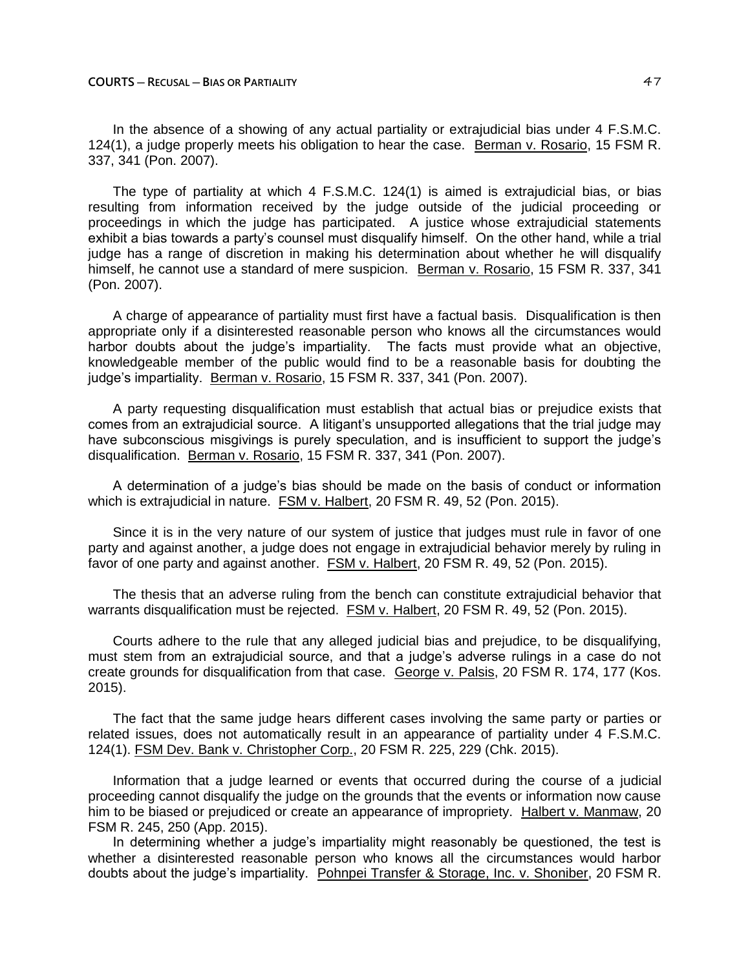In the absence of a showing of any actual partiality or extrajudicial bias under 4 F.S.M.C. 124(1), a judge properly meets his obligation to hear the case. Berman v. Rosario, 15 FSM R. 337, 341 (Pon. 2007).

The type of partiality at which 4 F.S.M.C. 124(1) is aimed is extrajudicial bias, or bias resulting from information received by the judge outside of the judicial proceeding or proceedings in which the judge has participated. A justice whose extrajudicial statements exhibit a bias towards a party's counsel must disqualify himself. On the other hand, while a trial judge has a range of discretion in making his determination about whether he will disqualify himself, he cannot use a standard of mere suspicion. Berman v. Rosario, 15 FSM R. 337, 341 (Pon. 2007).

A charge of appearance of partiality must first have a factual basis. Disqualification is then appropriate only if a disinterested reasonable person who knows all the circumstances would harbor doubts about the judge's impartiality. The facts must provide what an objective, knowledgeable member of the public would find to be a reasonable basis for doubting the judge's impartiality. Berman v. Rosario, 15 FSM R. 337, 341 (Pon. 2007).

A party requesting disqualification must establish that actual bias or prejudice exists that comes from an extrajudicial source. A litigant's unsupported allegations that the trial judge may have subconscious misgivings is purely speculation, and is insufficient to support the judge's disqualification. Berman v. Rosario, 15 FSM R. 337, 341 (Pon. 2007).

A determination of a judge's bias should be made on the basis of conduct or information which is extrajudicial in nature. FSM v. Halbert, 20 FSM R. 49, 52 (Pon. 2015).

Since it is in the very nature of our system of justice that judges must rule in favor of one party and against another, a judge does not engage in extrajudicial behavior merely by ruling in favor of one party and against another. FSM v. Halbert, 20 FSM R. 49, 52 (Pon. 2015).

The thesis that an adverse ruling from the bench can constitute extrajudicial behavior that warrants disqualification must be rejected. FSM v. Halbert, 20 FSM R. 49, 52 (Pon. 2015).

Courts adhere to the rule that any alleged judicial bias and prejudice, to be disqualifying, must stem from an extrajudicial source, and that a judge's adverse rulings in a case do not create grounds for disqualification from that case. George v. Palsis, 20 FSM R. 174, 177 (Kos. 2015).

The fact that the same judge hears different cases involving the same party or parties or related issues, does not automatically result in an appearance of partiality under 4 F.S.M.C. 124(1). FSM Dev. Bank v. Christopher Corp., 20 FSM R. 225, 229 (Chk. 2015).

Information that a judge learned or events that occurred during the course of a judicial proceeding cannot disqualify the judge on the grounds that the events or information now cause him to be biased or prejudiced or create an appearance of impropriety. Halbert v. Manmaw, 20 FSM R. 245, 250 (App. 2015).

In determining whether a judge's impartiality might reasonably be questioned, the test is whether a disinterested reasonable person who knows all the circumstances would harbor doubts about the judge's impartiality. Pohnpei Transfer & Storage, Inc. v. Shoniber, 20 FSM R.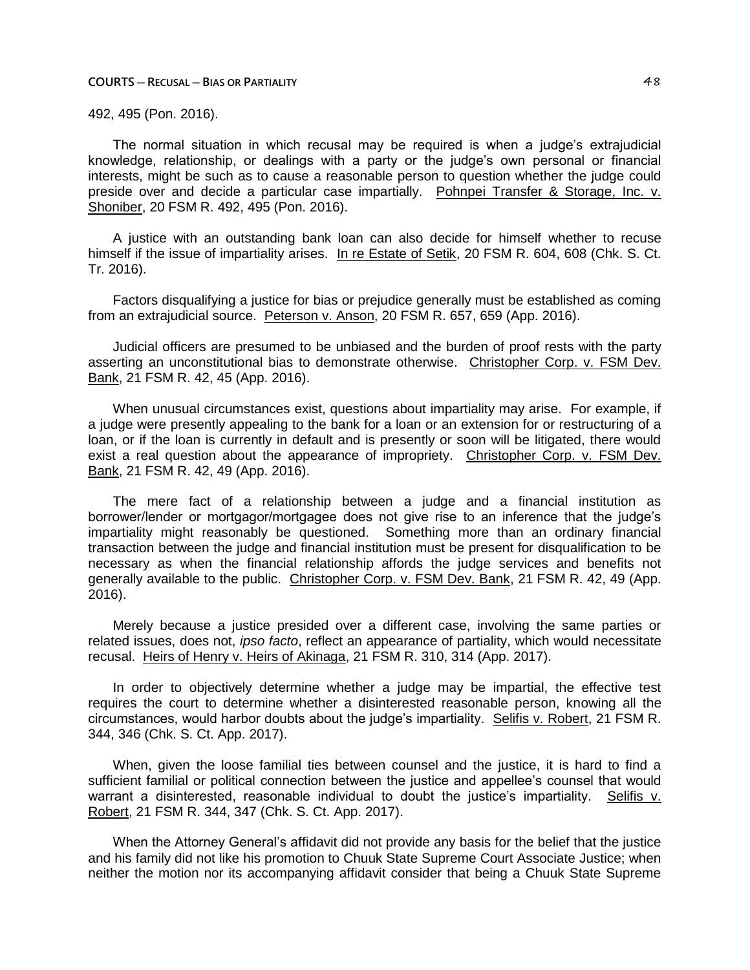492, 495 (Pon. 2016).

The normal situation in which recusal may be required is when a judge's extrajudicial knowledge, relationship, or dealings with a party or the judge's own personal or financial interests, might be such as to cause a reasonable person to question whether the judge could preside over and decide a particular case impartially. Pohnpei Transfer & Storage, Inc. v. Shoniber, 20 FSM R. 492, 495 (Pon. 2016).

A justice with an outstanding bank loan can also decide for himself whether to recuse himself if the issue of impartiality arises. In re Estate of Setik, 20 FSM R. 604, 608 (Chk. S. Ct. Tr. 2016).

Factors disqualifying a justice for bias or prejudice generally must be established as coming from an extrajudicial source. Peterson v. Anson, 20 FSM R. 657, 659 (App. 2016).

Judicial officers are presumed to be unbiased and the burden of proof rests with the party asserting an unconstitutional bias to demonstrate otherwise. Christopher Corp. v. FSM Dev. Bank, 21 FSM R. 42, 45 (App. 2016).

When unusual circumstances exist, questions about impartiality may arise. For example, if a judge were presently appealing to the bank for a loan or an extension for or restructuring of a loan, or if the loan is currently in default and is presently or soon will be litigated, there would exist a real question about the appearance of impropriety. Christopher Corp. v. FSM Dev. Bank, 21 FSM R. 42, 49 (App. 2016).

The mere fact of a relationship between a judge and a financial institution as borrower/lender or mortgagor/mortgagee does not give rise to an inference that the judge's impartiality might reasonably be questioned. Something more than an ordinary financial transaction between the judge and financial institution must be present for disqualification to be necessary as when the financial relationship affords the judge services and benefits not generally available to the public. Christopher Corp. v. FSM Dev. Bank, 21 FSM R. 42, 49 (App. 2016).

Merely because a justice presided over a different case, involving the same parties or related issues, does not, *ipso facto*, reflect an appearance of partiality, which would necessitate recusal. Heirs of Henry v. Heirs of Akinaga, 21 FSM R. 310, 314 (App. 2017).

In order to objectively determine whether a judge may be impartial, the effective test requires the court to determine whether a disinterested reasonable person, knowing all the circumstances, would harbor doubts about the judge's impartiality. Selifis v. Robert, 21 FSM R. 344, 346 (Chk. S. Ct. App. 2017).

When, given the loose familial ties between counsel and the justice, it is hard to find a sufficient familial or political connection between the justice and appellee's counsel that would warrant a disinterested, reasonable individual to doubt the justice's impartiality. Selifis v. Robert, 21 FSM R. 344, 347 (Chk. S. Ct. App. 2017).

When the Attorney General's affidavit did not provide any basis for the belief that the justice and his family did not like his promotion to Chuuk State Supreme Court Associate Justice; when neither the motion nor its accompanying affidavit consider that being a Chuuk State Supreme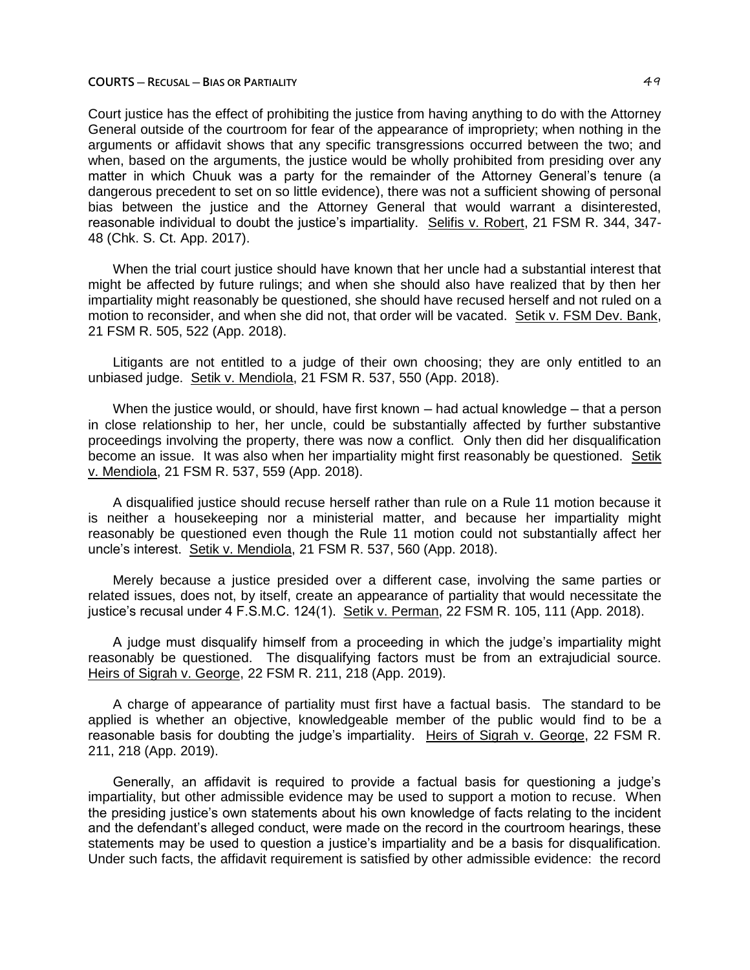Court justice has the effect of prohibiting the justice from having anything to do with the Attorney General outside of the courtroom for fear of the appearance of impropriety; when nothing in the arguments or affidavit shows that any specific transgressions occurred between the two; and when, based on the arguments, the justice would be wholly prohibited from presiding over any matter in which Chuuk was a party for the remainder of the Attorney General's tenure (a dangerous precedent to set on so little evidence), there was not a sufficient showing of personal bias between the justice and the Attorney General that would warrant a disinterested, reasonable individual to doubt the justice's impartiality. Selifis v. Robert, 21 FSM R. 344, 347- 48 (Chk. S. Ct. App. 2017).

When the trial court justice should have known that her uncle had a substantial interest that might be affected by future rulings; and when she should also have realized that by then her impartiality might reasonably be questioned, she should have recused herself and not ruled on a motion to reconsider, and when she did not, that order will be vacated. Setik v. FSM Dev. Bank, 21 FSM R. 505, 522 (App. 2018).

Litigants are not entitled to a judge of their own choosing; they are only entitled to an unbiased judge. Setik v. Mendiola, 21 FSM R. 537, 550 (App. 2018).

When the justice would, or should, have first known — had actual knowledge — that a person in close relationship to her, her uncle, could be substantially affected by further substantive proceedings involving the property, there was now a conflict. Only then did her disqualification become an issue. It was also when her impartiality might first reasonably be questioned. Setik v. Mendiola, 21 FSM R. 537, 559 (App. 2018).

A disqualified justice should recuse herself rather than rule on a Rule 11 motion because it is neither a housekeeping nor a ministerial matter, and because her impartiality might reasonably be questioned even though the Rule 11 motion could not substantially affect her uncle's interest. Setik v. Mendiola, 21 FSM R. 537, 560 (App. 2018).

Merely because a justice presided over a different case, involving the same parties or related issues, does not, by itself, create an appearance of partiality that would necessitate the justice's recusal under 4 F.S.M.C. 124(1). Setik v. Perman, 22 FSM R. 105, 111 (App. 2018).

A judge must disqualify himself from a proceeding in which the judge's impartiality might reasonably be questioned. The disqualifying factors must be from an extrajudicial source. Heirs of Sigrah v. George, 22 FSM R. 211, 218 (App. 2019).

A charge of appearance of partiality must first have a factual basis. The standard to be applied is whether an objective, knowledgeable member of the public would find to be a reasonable basis for doubting the judge's impartiality. Heirs of Sigrah v. George, 22 FSM R. 211, 218 (App. 2019).

Generally, an affidavit is required to provide a factual basis for questioning a judge's impartiality, but other admissible evidence may be used to support a motion to recuse. When the presiding justice's own statements about his own knowledge of facts relating to the incident and the defendant's alleged conduct, were made on the record in the courtroom hearings, these statements may be used to question a justice's impartiality and be a basis for disqualification. Under such facts, the affidavit requirement is satisfied by other admissible evidence: the record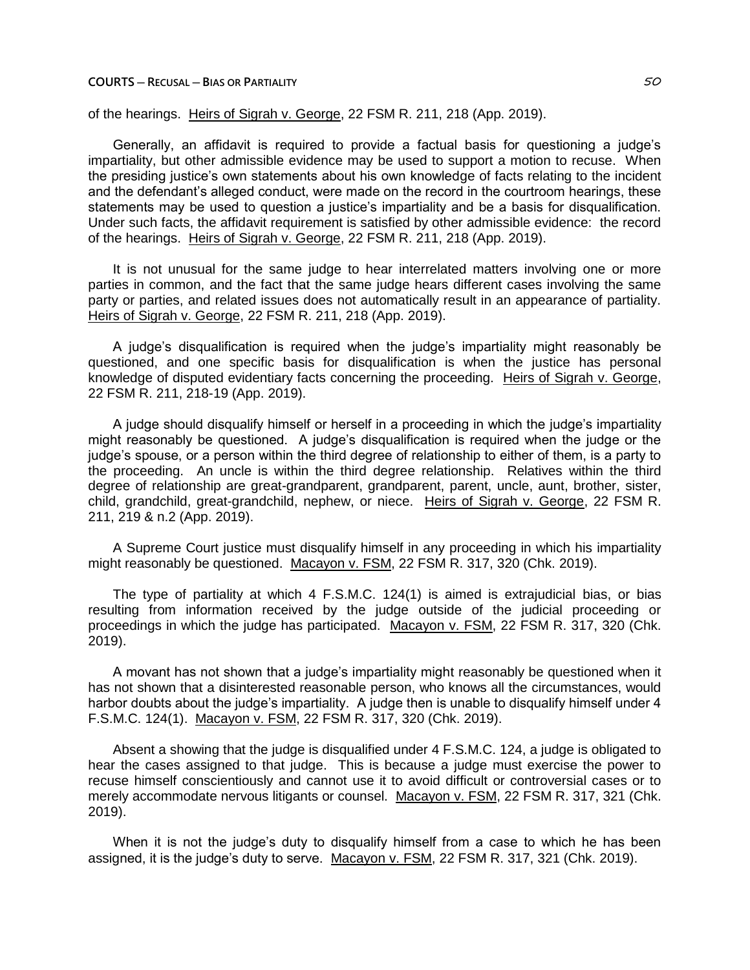# of the hearings. Heirs of Sigrah v. George, 22 FSM R. 211, 218 (App. 2019).

Generally, an affidavit is required to provide a factual basis for questioning a judge's impartiality, but other admissible evidence may be used to support a motion to recuse. When the presiding justice's own statements about his own knowledge of facts relating to the incident and the defendant's alleged conduct, were made on the record in the courtroom hearings, these statements may be used to question a justice's impartiality and be a basis for disqualification. Under such facts, the affidavit requirement is satisfied by other admissible evidence: the record of the hearings. Heirs of Sigrah v. George, 22 FSM R. 211, 218 (App. 2019).

It is not unusual for the same judge to hear interrelated matters involving one or more parties in common, and the fact that the same judge hears different cases involving the same party or parties, and related issues does not automatically result in an appearance of partiality. Heirs of Sigrah v. George, 22 FSM R. 211, 218 (App. 2019).

A judge's disqualification is required when the judge's impartiality might reasonably be questioned, and one specific basis for disqualification is when the justice has personal knowledge of disputed evidentiary facts concerning the proceeding. Heirs of Sigrah v. George, 22 FSM R. 211, 218-19 (App. 2019).

A judge should disqualify himself or herself in a proceeding in which the judge's impartiality might reasonably be questioned. A judge's disqualification is required when the judge or the judge's spouse, or a person within the third degree of relationship to either of them, is a party to the proceeding. An uncle is within the third degree relationship. Relatives within the third degree of relationship are great-grandparent, grandparent, parent, uncle, aunt, brother, sister, child, grandchild, great-grandchild, nephew, or niece. Heirs of Sigrah v. George, 22 FSM R. 211, 219 & n.2 (App. 2019).

A Supreme Court justice must disqualify himself in any proceeding in which his impartiality might reasonably be questioned. Macayon v. FSM, 22 FSM R. 317, 320 (Chk. 2019).

The type of partiality at which 4 F.S.M.C. 124(1) is aimed is extrajudicial bias, or bias resulting from information received by the judge outside of the judicial proceeding or proceedings in which the judge has participated. Macayon v. FSM, 22 FSM R. 317, 320 (Chk. 2019).

A movant has not shown that a judge's impartiality might reasonably be questioned when it has not shown that a disinterested reasonable person, who knows all the circumstances, would harbor doubts about the judge's impartiality. A judge then is unable to disqualify himself under 4 F.S.M.C. 124(1). Macayon v. FSM, 22 FSM R. 317, 320 (Chk. 2019).

Absent a showing that the judge is disqualified under 4 F.S.M.C. 124, a judge is obligated to hear the cases assigned to that judge. This is because a judge must exercise the power to recuse himself conscientiously and cannot use it to avoid difficult or controversial cases or to merely accommodate nervous litigants or counsel. Macayon v. FSM, 22 FSM R. 317, 321 (Chk. 2019).

When it is not the judge's duty to disqualify himself from a case to which he has been assigned, it is the judge's duty to serve. Macayon v. FSM, 22 FSM R. 317, 321 (Chk. 2019).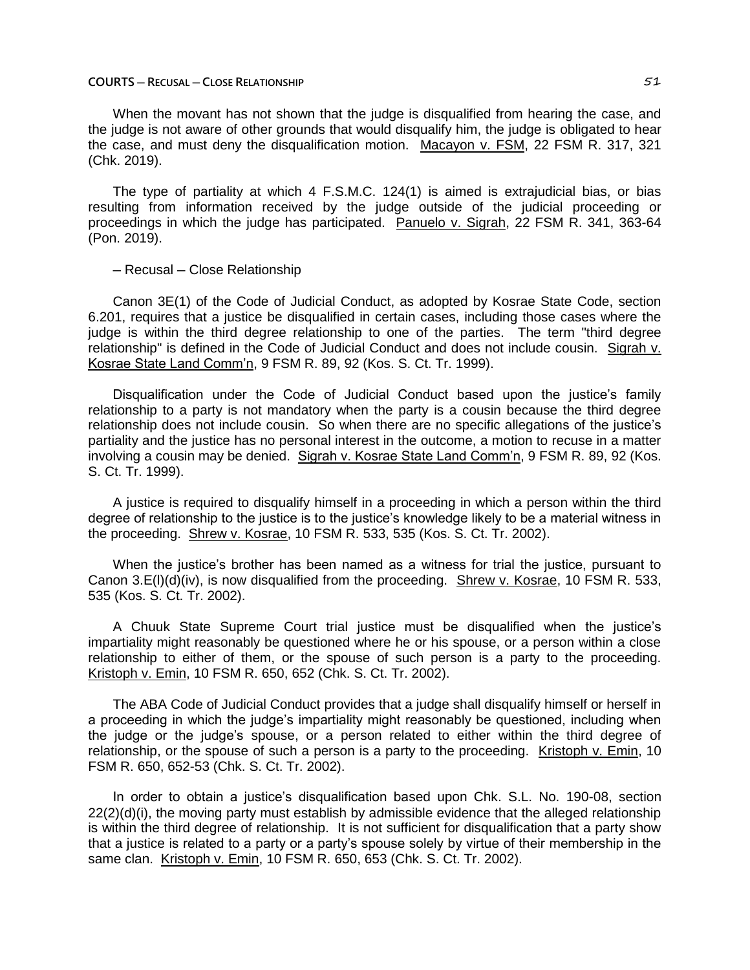#### **COURTS ─ RECUSAL ─ CLOSE RELATIONSHIP** 51

When the movant has not shown that the judge is disqualified from hearing the case, and the judge is not aware of other grounds that would disqualify him, the judge is obligated to hear the case, and must deny the disqualification motion. Macayon v. FSM, 22 FSM R. 317, 321 (Chk. 2019).

The type of partiality at which 4 F.S.M.C. 124(1) is aimed is extrajudicial bias, or bias resulting from information received by the judge outside of the judicial proceeding or proceedings in which the judge has participated. Panuelo v. Sigrah, 22 FSM R. 341, 363-64 (Pon. 2019).

# ─ Recusal ─ Close Relationship

Canon 3E(1) of the Code of Judicial Conduct, as adopted by Kosrae State Code, section 6.201, requires that a justice be disqualified in certain cases, including those cases where the judge is within the third degree relationship to one of the parties. The term "third degree relationship" is defined in the Code of Judicial Conduct and does not include cousin. Sigrah v. Kosrae State Land Comm'n, 9 FSM R. 89, 92 (Kos. S. Ct. Tr. 1999).

Disqualification under the Code of Judicial Conduct based upon the justice's family relationship to a party is not mandatory when the party is a cousin because the third degree relationship does not include cousin. So when there are no specific allegations of the justice's partiality and the justice has no personal interest in the outcome, a motion to recuse in a matter involving a cousin may be denied. Sigrah v. Kosrae State Land Comm'n, 9 FSM R. 89, 92 (Kos. S. Ct. Tr. 1999).

A justice is required to disqualify himself in a proceeding in which a person within the third degree of relationship to the justice is to the justice's knowledge likely to be a material witness in the proceeding. Shrew v. Kosrae, 10 FSM R. 533, 535 (Kos. S. Ct. Tr. 2002).

When the justice's brother has been named as a witness for trial the justice, pursuant to Canon 3.E(l)(d)(iv), is now disqualified from the proceeding. Shrew v. Kosrae, 10 FSM R. 533, 535 (Kos. S. Ct. Tr. 2002).

A Chuuk State Supreme Court trial justice must be disqualified when the justice's impartiality might reasonably be questioned where he or his spouse, or a person within a close relationship to either of them, or the spouse of such person is a party to the proceeding. Kristoph v. Emin, 10 FSM R. 650, 652 (Chk. S. Ct. Tr. 2002).

The ABA Code of Judicial Conduct provides that a judge shall disqualify himself or herself in a proceeding in which the judge's impartiality might reasonably be questioned, including when the judge or the judge's spouse, or a person related to either within the third degree of relationship, or the spouse of such a person is a party to the proceeding. Kristoph v. Emin, 10 FSM R. 650, 652-53 (Chk. S. Ct. Tr. 2002).

In order to obtain a justice's disqualification based upon Chk. S.L. No. 190-08, section  $22(2)(d)(i)$ , the moving party must establish by admissible evidence that the alleged relationship is within the third degree of relationship. It is not sufficient for disqualification that a party show that a justice is related to a party or a party's spouse solely by virtue of their membership in the same clan. Kristoph v. Emin, 10 FSM R. 650, 653 (Chk. S. Ct. Tr. 2002).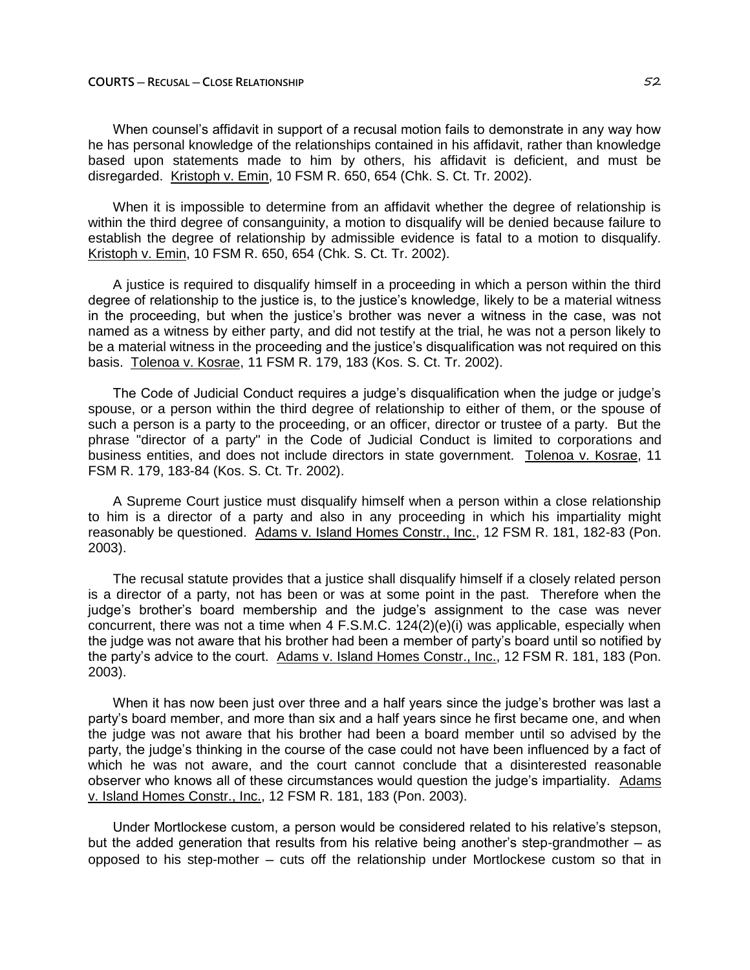When counsel's affidavit in support of a recusal motion fails to demonstrate in any way how he has personal knowledge of the relationships contained in his affidavit, rather than knowledge based upon statements made to him by others, his affidavit is deficient, and must be disregarded. Kristoph v. Emin, 10 FSM R. 650, 654 (Chk. S. Ct. Tr. 2002).

When it is impossible to determine from an affidavit whether the degree of relationship is within the third degree of consanguinity, a motion to disqualify will be denied because failure to establish the degree of relationship by admissible evidence is fatal to a motion to disqualify. Kristoph v. Emin, 10 FSM R. 650, 654 (Chk. S. Ct. Tr. 2002).

A justice is required to disqualify himself in a proceeding in which a person within the third degree of relationship to the justice is, to the justice's knowledge, likely to be a material witness in the proceeding, but when the justice's brother was never a witness in the case, was not named as a witness by either party, and did not testify at the trial, he was not a person likely to be a material witness in the proceeding and the justice's disqualification was not required on this basis. Tolenoa v. Kosrae, 11 FSM R. 179, 183 (Kos. S. Ct. Tr. 2002).

The Code of Judicial Conduct requires a judge's disqualification when the judge or judge's spouse, or a person within the third degree of relationship to either of them, or the spouse of such a person is a party to the proceeding, or an officer, director or trustee of a party. But the phrase "director of a party" in the Code of Judicial Conduct is limited to corporations and business entities, and does not include directors in state government. Tolenoa v. Kosrae, 11 FSM R. 179, 183-84 (Kos. S. Ct. Tr. 2002).

A Supreme Court justice must disqualify himself when a person within a close relationship to him is a director of a party and also in any proceeding in which his impartiality might reasonably be questioned. Adams v. Island Homes Constr., Inc., 12 FSM R. 181, 182-83 (Pon. 2003).

The recusal statute provides that a justice shall disqualify himself if a closely related person is a director of a party, not has been or was at some point in the past. Therefore when the judge's brother's board membership and the judge's assignment to the case was never concurrent, there was not a time when  $4$  F.S.M.C.  $124(2)(e)(i)$  was applicable, especially when the judge was not aware that his brother had been a member of party's board until so notified by the party's advice to the court. Adams v. Island Homes Constr., Inc., 12 FSM R. 181, 183 (Pon. 2003).

When it has now been just over three and a half years since the judge's brother was last a party's board member, and more than six and a half years since he first became one, and when the judge was not aware that his brother had been a board member until so advised by the party, the judge's thinking in the course of the case could not have been influenced by a fact of which he was not aware, and the court cannot conclude that a disinterested reasonable observer who knows all of these circumstances would question the judge's impartiality. Adams v. Island Homes Constr., Inc., 12 FSM R. 181, 183 (Pon. 2003).

Under Mortlockese custom, a person would be considered related to his relative's stepson, but the added generation that results from his relative being another's step-grandmother  $-$  as opposed to his step-mother ─ cuts off the relationship under Mortlockese custom so that in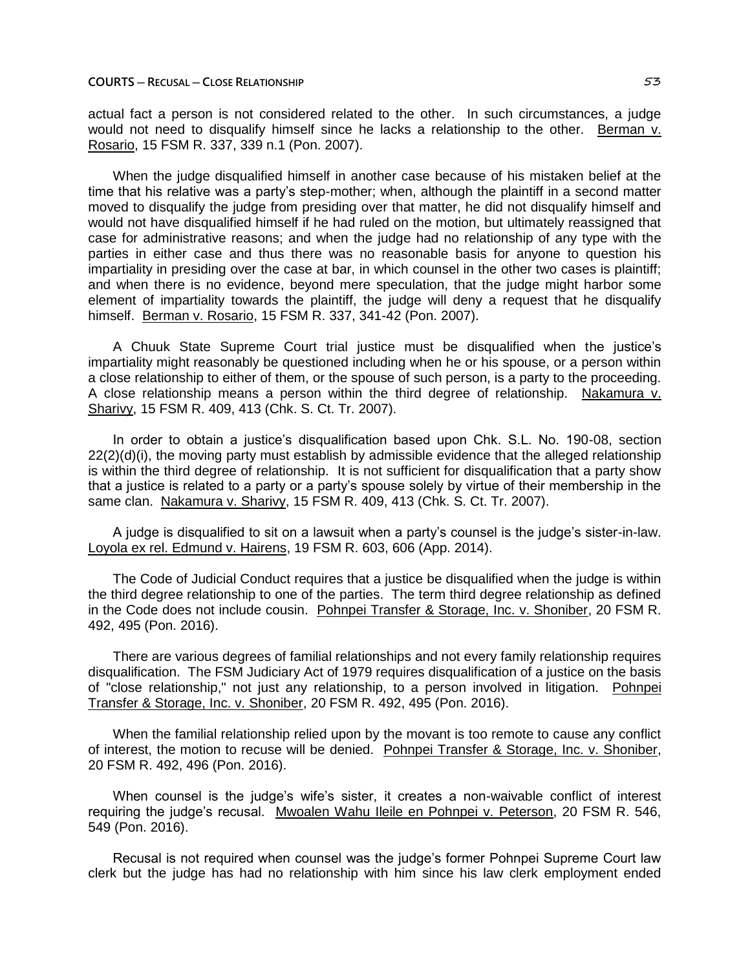actual fact a person is not considered related to the other. In such circumstances, a judge would not need to disqualify himself since he lacks a relationship to the other. Berman v. Rosario, 15 FSM R. 337, 339 n.1 (Pon. 2007).

When the judge disqualified himself in another case because of his mistaken belief at the time that his relative was a party's step-mother; when, although the plaintiff in a second matter moved to disqualify the judge from presiding over that matter, he did not disqualify himself and would not have disqualified himself if he had ruled on the motion, but ultimately reassigned that case for administrative reasons; and when the judge had no relationship of any type with the parties in either case and thus there was no reasonable basis for anyone to question his impartiality in presiding over the case at bar, in which counsel in the other two cases is plaintiff; and when there is no evidence, beyond mere speculation, that the judge might harbor some element of impartiality towards the plaintiff, the judge will deny a request that he disqualify himself. Berman v. Rosario, 15 FSM R. 337, 341-42 (Pon. 2007).

A Chuuk State Supreme Court trial justice must be disqualified when the justice's impartiality might reasonably be questioned including when he or his spouse, or a person within a close relationship to either of them, or the spouse of such person, is a party to the proceeding. A close relationship means a person within the third degree of relationship. Nakamura v. Sharivy, 15 FSM R. 409, 413 (Chk. S. Ct. Tr. 2007).

In order to obtain a justice's disqualification based upon Chk. S.L. No. 190-08, section 22(2)(d)(i), the moving party must establish by admissible evidence that the alleged relationship is within the third degree of relationship. It is not sufficient for disqualification that a party show that a justice is related to a party or a party's spouse solely by virtue of their membership in the same clan. Nakamura v. Sharivy, 15 FSM R. 409, 413 (Chk. S. Ct. Tr. 2007).

A judge is disqualified to sit on a lawsuit when a party's counsel is the judge's sister-in-law. Loyola ex rel. Edmund v. Hairens, 19 FSM R. 603, 606 (App. 2014).

The Code of Judicial Conduct requires that a justice be disqualified when the judge is within the third degree relationship to one of the parties. The term third degree relationship as defined in the Code does not include cousin. Pohnpei Transfer & Storage, Inc. v. Shoniber, 20 FSM R. 492, 495 (Pon. 2016).

There are various degrees of familial relationships and not every family relationship requires disqualification. The FSM Judiciary Act of 1979 requires disqualification of a justice on the basis of "close relationship," not just any relationship, to a person involved in litigation. Pohnpei Transfer & Storage, Inc. v. Shoniber, 20 FSM R. 492, 495 (Pon. 2016).

When the familial relationship relied upon by the movant is too remote to cause any conflict of interest, the motion to recuse will be denied. Pohnpei Transfer & Storage, Inc. v. Shoniber, 20 FSM R. 492, 496 (Pon. 2016).

When counsel is the judge's wife's sister, it creates a non-waivable conflict of interest requiring the judge's recusal. Mwoalen Wahu Ileile en Pohnpei v. Peterson, 20 FSM R. 546, 549 (Pon. 2016).

Recusal is not required when counsel was the judge's former Pohnpei Supreme Court law clerk but the judge has had no relationship with him since his law clerk employment ended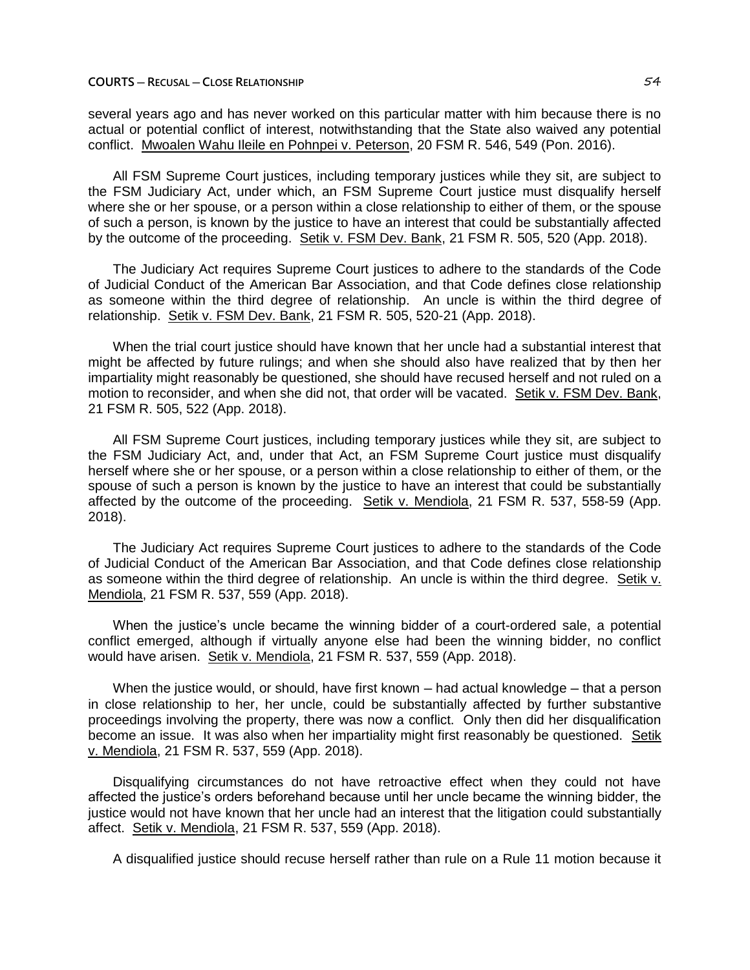# **COURTS ─ RECUSAL ─ CLOSE RELATIONSHIP** 54

several years ago and has never worked on this particular matter with him because there is no actual or potential conflict of interest, notwithstanding that the State also waived any potential conflict. Mwoalen Wahu Ileile en Pohnpei v. Peterson, 20 FSM R. 546, 549 (Pon. 2016).

All FSM Supreme Court justices, including temporary justices while they sit, are subject to the FSM Judiciary Act, under which, an FSM Supreme Court justice must disqualify herself where she or her spouse, or a person within a close relationship to either of them, or the spouse of such a person, is known by the justice to have an interest that could be substantially affected by the outcome of the proceeding. Setik v. FSM Dev. Bank, 21 FSM R. 505, 520 (App. 2018).

The Judiciary Act requires Supreme Court justices to adhere to the standards of the Code of Judicial Conduct of the American Bar Association, and that Code defines close relationship as someone within the third degree of relationship. An uncle is within the third degree of relationship. Setik v. FSM Dev. Bank, 21 FSM R. 505, 520-21 (App. 2018).

When the trial court justice should have known that her uncle had a substantial interest that might be affected by future rulings; and when she should also have realized that by then her impartiality might reasonably be questioned, she should have recused herself and not ruled on a motion to reconsider, and when she did not, that order will be vacated. Setik v. FSM Dev. Bank, 21 FSM R. 505, 522 (App. 2018).

All FSM Supreme Court justices, including temporary justices while they sit, are subject to the FSM Judiciary Act, and, under that Act, an FSM Supreme Court justice must disqualify herself where she or her spouse, or a person within a close relationship to either of them, or the spouse of such a person is known by the justice to have an interest that could be substantially affected by the outcome of the proceeding. Setik v. Mendiola, 21 FSM R. 537, 558-59 (App. 2018).

The Judiciary Act requires Supreme Court justices to adhere to the standards of the Code of Judicial Conduct of the American Bar Association, and that Code defines close relationship as someone within the third degree of relationship. An uncle is within the third degree. Setik v. Mendiola, 21 FSM R. 537, 559 (App. 2018).

When the justice's uncle became the winning bidder of a court-ordered sale, a potential conflict emerged, although if virtually anyone else had been the winning bidder, no conflict would have arisen. Setik v. Mendiola, 21 FSM R. 537, 559 (App. 2018).

When the justice would, or should, have first known — had actual knowledge — that a person in close relationship to her, her uncle, could be substantially affected by further substantive proceedings involving the property, there was now a conflict. Only then did her disqualification become an issue. It was also when her impartiality might first reasonably be questioned. Setik v. Mendiola, 21 FSM R. 537, 559 (App. 2018).

Disqualifying circumstances do not have retroactive effect when they could not have affected the justice's orders beforehand because until her uncle became the winning bidder, the justice would not have known that her uncle had an interest that the litigation could substantially affect. Setik v. Mendiola, 21 FSM R. 537, 559 (App. 2018).

A disqualified justice should recuse herself rather than rule on a Rule 11 motion because it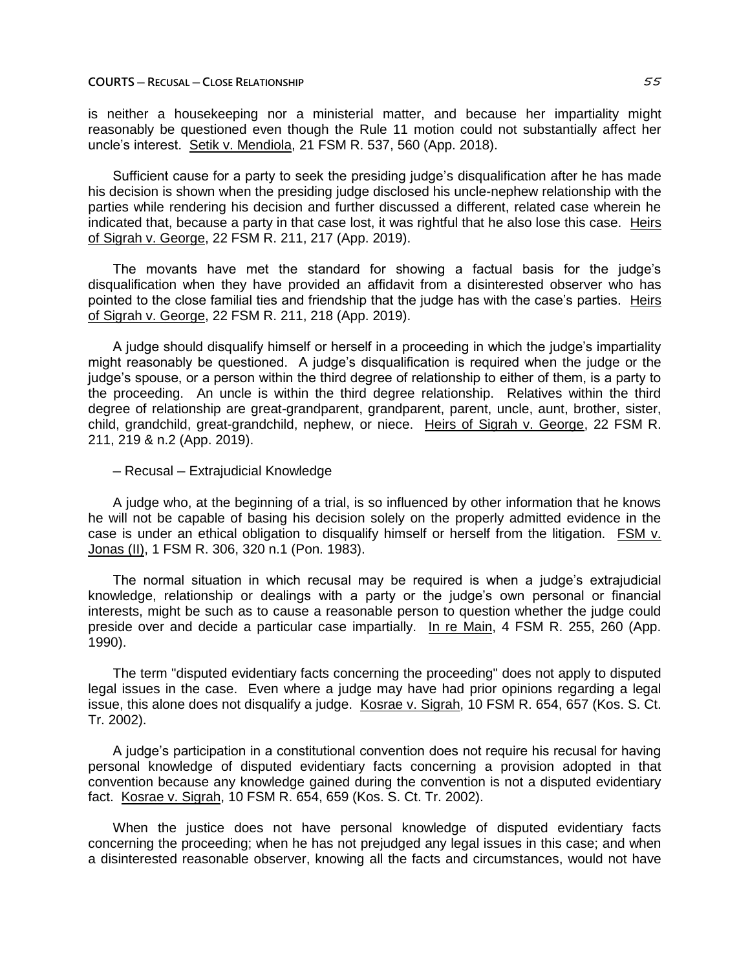# **COURTS ─ RECUSAL ─ CLOSE RELATIONSHIP** 55

is neither a housekeeping nor a ministerial matter, and because her impartiality might reasonably be questioned even though the Rule 11 motion could not substantially affect her uncle's interest. Setik v. Mendiola, 21 FSM R. 537, 560 (App. 2018).

Sufficient cause for a party to seek the presiding judge's disqualification after he has made his decision is shown when the presiding judge disclosed his uncle-nephew relationship with the parties while rendering his decision and further discussed a different, related case wherein he indicated that, because a party in that case lost, it was rightful that he also lose this case. Heirs of Sigrah v. George, 22 FSM R. 211, 217 (App. 2019).

The movants have met the standard for showing a factual basis for the judge's disqualification when they have provided an affidavit from a disinterested observer who has pointed to the close familial ties and friendship that the judge has with the case's parties. Heirs of Sigrah v. George, 22 FSM R. 211, 218 (App. 2019).

A judge should disqualify himself or herself in a proceeding in which the judge's impartiality might reasonably be questioned. A judge's disqualification is required when the judge or the judge's spouse, or a person within the third degree of relationship to either of them, is a party to the proceeding. An uncle is within the third degree relationship. Relatives within the third degree of relationship are great-grandparent, grandparent, parent, uncle, aunt, brother, sister, child, grandchild, great-grandchild, nephew, or niece. Heirs of Sigrah v. George, 22 FSM R. 211, 219 & n.2 (App. 2019).

# ─ Recusal ─ Extrajudicial Knowledge

A judge who, at the beginning of a trial, is so influenced by other information that he knows he will not be capable of basing his decision solely on the properly admitted evidence in the case is under an ethical obligation to disqualify himself or herself from the litigation. FSM v. Jonas (II), 1 FSM R. 306, 320 n.1 (Pon. 1983).

The normal situation in which recusal may be required is when a judge's extrajudicial knowledge, relationship or dealings with a party or the judge's own personal or financial interests, might be such as to cause a reasonable person to question whether the judge could preside over and decide a particular case impartially. In re Main, 4 FSM R. 255, 260 (App. 1990).

The term "disputed evidentiary facts concerning the proceeding" does not apply to disputed legal issues in the case. Even where a judge may have had prior opinions regarding a legal issue, this alone does not disqualify a judge. Kosrae v. Sigrah, 10 FSM R. 654, 657 (Kos. S. Ct. Tr. 2002).

A judge's participation in a constitutional convention does not require his recusal for having personal knowledge of disputed evidentiary facts concerning a provision adopted in that convention because any knowledge gained during the convention is not a disputed evidentiary fact. Kosrae v. Sigrah, 10 FSM R. 654, 659 (Kos. S. Ct. Tr. 2002).

When the justice does not have personal knowledge of disputed evidentiary facts concerning the proceeding; when he has not prejudged any legal issues in this case; and when a disinterested reasonable observer, knowing all the facts and circumstances, would not have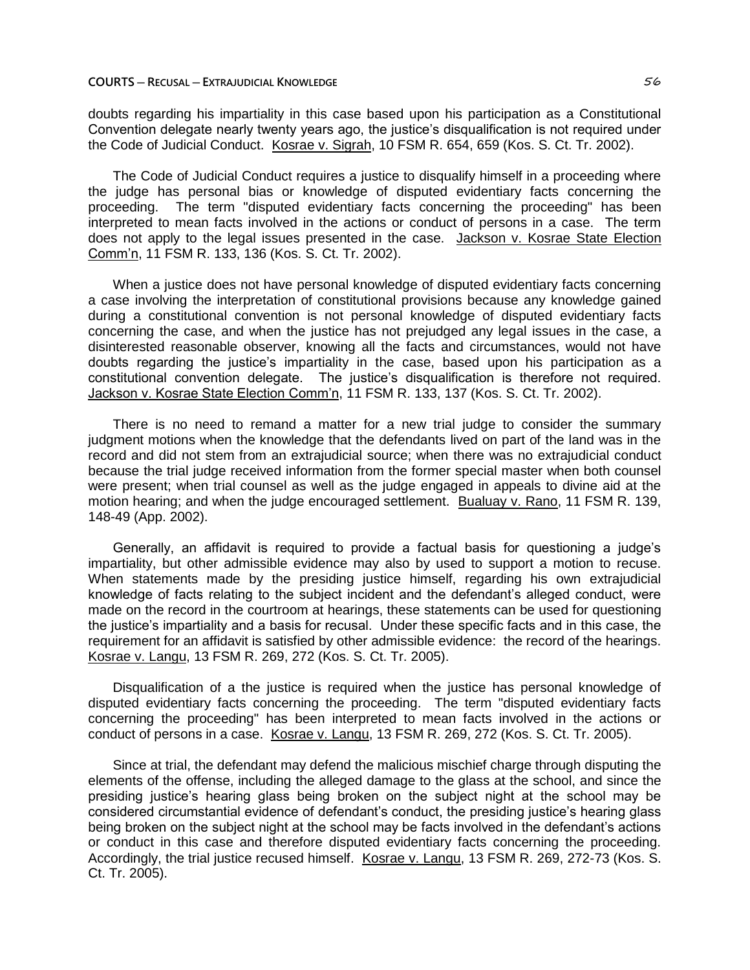#### **COURTS ─ RECUSAL ─ EXTRAJUDICIAL KNOWLEDGE** 56

doubts regarding his impartiality in this case based upon his participation as a Constitutional Convention delegate nearly twenty years ago, the justice's disqualification is not required under the Code of Judicial Conduct. Kosrae v. Sigrah, 10 FSM R. 654, 659 (Kos. S. Ct. Tr. 2002).

The Code of Judicial Conduct requires a justice to disqualify himself in a proceeding where the judge has personal bias or knowledge of disputed evidentiary facts concerning the proceeding. The term "disputed evidentiary facts concerning the proceeding" has been interpreted to mean facts involved in the actions or conduct of persons in a case. The term does not apply to the legal issues presented in the case. Jackson v. Kosrae State Election Comm'n, 11 FSM R. 133, 136 (Kos. S. Ct. Tr. 2002).

When a justice does not have personal knowledge of disputed evidentiary facts concerning a case involving the interpretation of constitutional provisions because any knowledge gained during a constitutional convention is not personal knowledge of disputed evidentiary facts concerning the case, and when the justice has not prejudged any legal issues in the case, a disinterested reasonable observer, knowing all the facts and circumstances, would not have doubts regarding the justice's impartiality in the case, based upon his participation as a constitutional convention delegate. The justice's disqualification is therefore not required. Jackson v. Kosrae State Election Comm'n, 11 FSM R. 133, 137 (Kos. S. Ct. Tr. 2002).

There is no need to remand a matter for a new trial judge to consider the summary judgment motions when the knowledge that the defendants lived on part of the land was in the record and did not stem from an extrajudicial source; when there was no extrajudicial conduct because the trial judge received information from the former special master when both counsel were present; when trial counsel as well as the judge engaged in appeals to divine aid at the motion hearing; and when the judge encouraged settlement. Bualuay v. Rano, 11 FSM R. 139, 148-49 (App. 2002).

Generally, an affidavit is required to provide a factual basis for questioning a judge's impartiality, but other admissible evidence may also by used to support a motion to recuse. When statements made by the presiding justice himself, regarding his own extrajudicial knowledge of facts relating to the subject incident and the defendant's alleged conduct, were made on the record in the courtroom at hearings, these statements can be used for questioning the justice's impartiality and a basis for recusal. Under these specific facts and in this case, the requirement for an affidavit is satisfied by other admissible evidence: the record of the hearings. Kosrae v. Langu, 13 FSM R. 269, 272 (Kos. S. Ct. Tr. 2005).

Disqualification of a the justice is required when the justice has personal knowledge of disputed evidentiary facts concerning the proceeding. The term "disputed evidentiary facts concerning the proceeding" has been interpreted to mean facts involved in the actions or conduct of persons in a case. Kosrae v. Langu, 13 FSM R. 269, 272 (Kos. S. Ct. Tr. 2005).

Since at trial, the defendant may defend the malicious mischief charge through disputing the elements of the offense, including the alleged damage to the glass at the school, and since the presiding justice's hearing glass being broken on the subject night at the school may be considered circumstantial evidence of defendant's conduct, the presiding justice's hearing glass being broken on the subject night at the school may be facts involved in the defendant's actions or conduct in this case and therefore disputed evidentiary facts concerning the proceeding. Accordingly, the trial justice recused himself. Kosrae v. Langu, 13 FSM R. 269, 272-73 (Kos. S. Ct. Tr. 2005).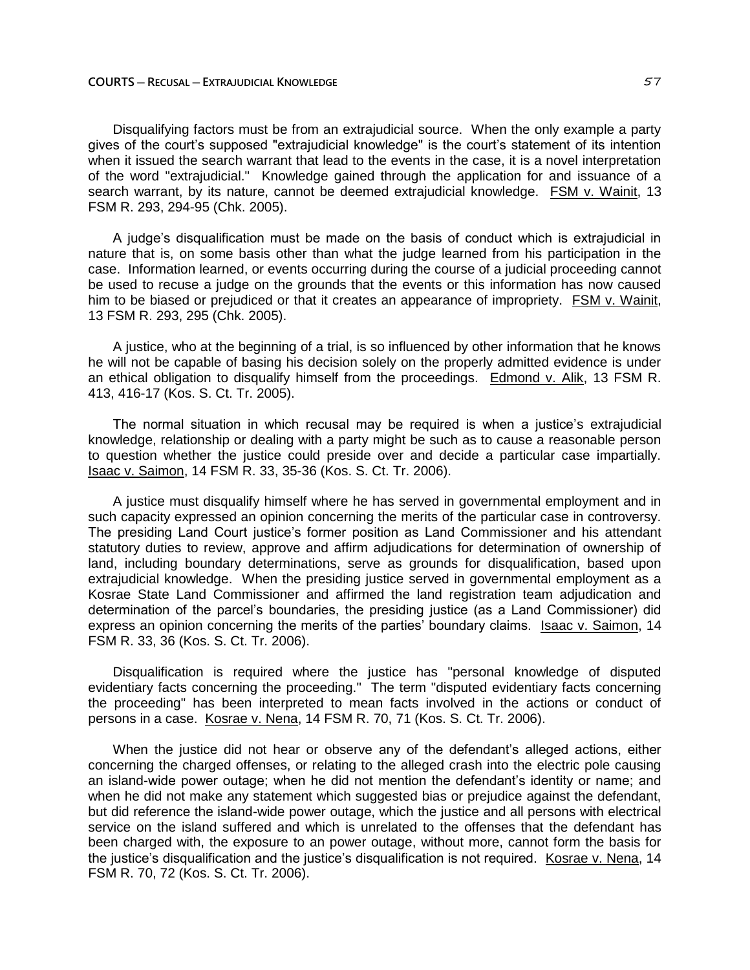Disqualifying factors must be from an extrajudicial source. When the only example a party gives of the court's supposed "extrajudicial knowledge" is the court's statement of its intention when it issued the search warrant that lead to the events in the case, it is a novel interpretation of the word "extrajudicial." Knowledge gained through the application for and issuance of a search warrant, by its nature, cannot be deemed extrajudicial knowledge. FSM v. Wainit, 13 FSM R. 293, 294-95 (Chk. 2005).

A judge's disqualification must be made on the basis of conduct which is extrajudicial in nature that is, on some basis other than what the judge learned from his participation in the case. Information learned, or events occurring during the course of a judicial proceeding cannot be used to recuse a judge on the grounds that the events or this information has now caused him to be biased or prejudiced or that it creates an appearance of impropriety. FSM v. Wainit, 13 FSM R. 293, 295 (Chk. 2005).

A justice, who at the beginning of a trial, is so influenced by other information that he knows he will not be capable of basing his decision solely on the properly admitted evidence is under an ethical obligation to disqualify himself from the proceedings. Edmond v. Alik, 13 FSM R. 413, 416-17 (Kos. S. Ct. Tr. 2005).

The normal situation in which recusal may be required is when a justice's extrajudicial knowledge, relationship or dealing with a party might be such as to cause a reasonable person to question whether the justice could preside over and decide a particular case impartially. Isaac v. Saimon, 14 FSM R. 33, 35-36 (Kos. S. Ct. Tr. 2006).

A justice must disqualify himself where he has served in governmental employment and in such capacity expressed an opinion concerning the merits of the particular case in controversy. The presiding Land Court justice's former position as Land Commissioner and his attendant statutory duties to review, approve and affirm adjudications for determination of ownership of land, including boundary determinations, serve as grounds for disqualification, based upon extrajudicial knowledge. When the presiding justice served in governmental employment as a Kosrae State Land Commissioner and affirmed the land registration team adjudication and determination of the parcel's boundaries, the presiding justice (as a Land Commissioner) did express an opinion concerning the merits of the parties' boundary claims. Isaac v. Saimon, 14 FSM R. 33, 36 (Kos. S. Ct. Tr. 2006).

Disqualification is required where the justice has "personal knowledge of disputed evidentiary facts concerning the proceeding." The term "disputed evidentiary facts concerning the proceeding" has been interpreted to mean facts involved in the actions or conduct of persons in a case. Kosrae v. Nena, 14 FSM R. 70, 71 (Kos. S. Ct. Tr. 2006).

When the justice did not hear or observe any of the defendant's alleged actions, either concerning the charged offenses, or relating to the alleged crash into the electric pole causing an island-wide power outage; when he did not mention the defendant's identity or name; and when he did not make any statement which suggested bias or prejudice against the defendant, but did reference the island-wide power outage, which the justice and all persons with electrical service on the island suffered and which is unrelated to the offenses that the defendant has been charged with, the exposure to an power outage, without more, cannot form the basis for the justice's disqualification and the justice's disqualification is not required. Kosrae v. Nena, 14 FSM R. 70, 72 (Kos. S. Ct. Tr. 2006).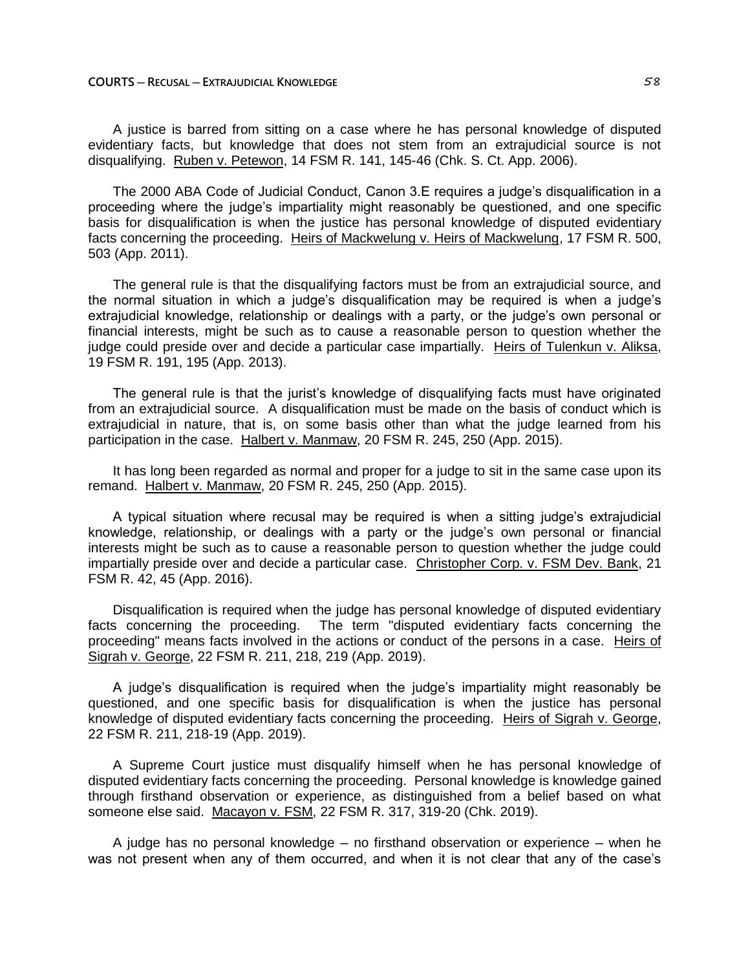A justice is barred from sitting on a case where he has personal knowledge of disputed evidentiary facts, but knowledge that does not stem from an extrajudicial source is not disqualifying. Ruben v. Petewon, 14 FSM R. 141, 145-46 (Chk. S. Ct. App. 2006).

The 2000 ABA Code of Judicial Conduct, Canon 3.E requires a judge's disqualification in a proceeding where the judge's impartiality might reasonably be questioned, and one specific basis for disqualification is when the justice has personal knowledge of disputed evidentiary facts concerning the proceeding. Heirs of Mackwelung v. Heirs of Mackwelung, 17 FSM R. 500, 503 (App. 2011).

The general rule is that the disqualifying factors must be from an extrajudicial source, and the normal situation in which a judge's disqualification may be required is when a judge's extrajudicial knowledge, relationship or dealings with a party, or the judge's own personal or financial interests, might be such as to cause a reasonable person to question whether the judge could preside over and decide a particular case impartially. Heirs of Tulenkun v. Aliksa, 19 FSM R. 191, 195 (App. 2013).

The general rule is that the jurist's knowledge of disqualifying facts must have originated from an extrajudicial source. A disqualification must be made on the basis of conduct which is extrajudicial in nature, that is, on some basis other than what the judge learned from his participation in the case. Halbert v. Manmaw, 20 FSM R. 245, 250 (App. 2015).

It has long been regarded as normal and proper for a judge to sit in the same case upon its remand. Halbert v. Manmaw, 20 FSM R. 245, 250 (App. 2015).

A typical situation where recusal may be required is when a sitting judge's extrajudicial knowledge, relationship, or dealings with a party or the judge's own personal or financial interests might be such as to cause a reasonable person to question whether the judge could impartially preside over and decide a particular case. Christopher Corp. v. FSM Dev. Bank, 21 FSM R. 42, 45 (App. 2016).

Disqualification is required when the judge has personal knowledge of disputed evidentiary facts concerning the proceeding. The term "disputed evidentiary facts concerning the proceeding" means facts involved in the actions or conduct of the persons in a case. Heirs of Sigrah v. George, 22 FSM R. 211, 218, 219 (App. 2019).

A judge's disqualification is required when the judge's impartiality might reasonably be questioned, and one specific basis for disqualification is when the justice has personal knowledge of disputed evidentiary facts concerning the proceeding. Heirs of Sigrah v. George, 22 FSM R. 211, 218-19 (App. 2019).

A Supreme Court justice must disqualify himself when he has personal knowledge of disputed evidentiary facts concerning the proceeding. Personal knowledge is knowledge gained through firsthand observation or experience, as distinguished from a belief based on what someone else said. Macayon v. FSM, 22 FSM R. 317, 319-20 (Chk. 2019).

A judge has no personal knowledge  $-$  no firsthand observation or experience  $-$  when he was not present when any of them occurred, and when it is not clear that any of the case's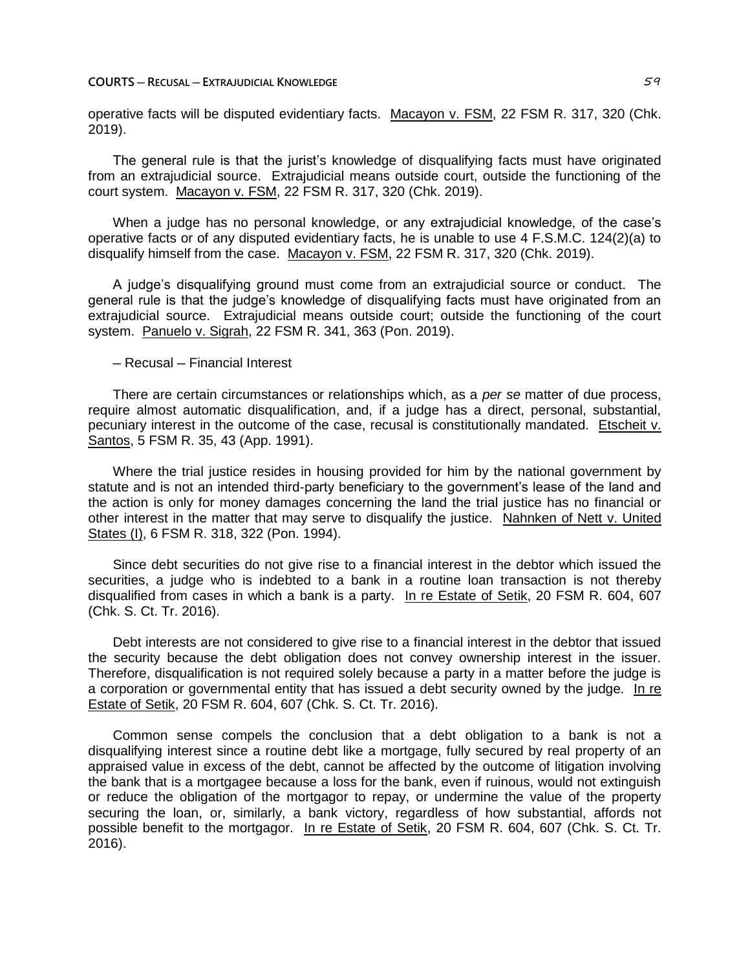#### **COURTS ─ RECUSAL ─ EXTRAJUDICIAL KNOWLEDGE** 59

operative facts will be disputed evidentiary facts. Macayon v. FSM, 22 FSM R. 317, 320 (Chk. 2019).

The general rule is that the jurist's knowledge of disqualifying facts must have originated from an extrajudicial source. Extrajudicial means outside court, outside the functioning of the court system. Macayon v. FSM, 22 FSM R. 317, 320 (Chk. 2019).

When a judge has no personal knowledge, or any extrajudicial knowledge, of the case's operative facts or of any disputed evidentiary facts, he is unable to use 4 F.S.M.C. 124(2)(a) to disqualify himself from the case. Macayon v. FSM, 22 FSM R. 317, 320 (Chk. 2019).

A judge's disqualifying ground must come from an extrajudicial source or conduct. The general rule is that the judge's knowledge of disqualifying facts must have originated from an extrajudicial source. Extrajudicial means outside court; outside the functioning of the court system. Panuelo v. Sigrah, 22 FSM R. 341, 363 (Pon. 2019).

# ─ Recusal ─ Financial Interest

There are certain circumstances or relationships which, as a *per se* matter of due process, require almost automatic disqualification, and, if a judge has a direct, personal, substantial, pecuniary interest in the outcome of the case, recusal is constitutionally mandated. Etscheit v. Santos, 5 FSM R. 35, 43 (App. 1991).

Where the trial justice resides in housing provided for him by the national government by statute and is not an intended third-party beneficiary to the government's lease of the land and the action is only for money damages concerning the land the trial justice has no financial or other interest in the matter that may serve to disqualify the justice. Nahnken of Nett v. United States (I), 6 FSM R. 318, 322 (Pon. 1994).

Since debt securities do not give rise to a financial interest in the debtor which issued the securities, a judge who is indebted to a bank in a routine loan transaction is not thereby disqualified from cases in which a bank is a party. In re Estate of Setik, 20 FSM R. 604, 607 (Chk. S. Ct. Tr. 2016).

Debt interests are not considered to give rise to a financial interest in the debtor that issued the security because the debt obligation does not convey ownership interest in the issuer. Therefore, disqualification is not required solely because a party in a matter before the judge is a corporation or governmental entity that has issued a debt security owned by the judge. In re Estate of Setik, 20 FSM R. 604, 607 (Chk. S. Ct. Tr. 2016).

Common sense compels the conclusion that a debt obligation to a bank is not a disqualifying interest since a routine debt like a mortgage, fully secured by real property of an appraised value in excess of the debt, cannot be affected by the outcome of litigation involving the bank that is a mortgagee because a loss for the bank, even if ruinous, would not extinguish or reduce the obligation of the mortgagor to repay, or undermine the value of the property securing the loan, or, similarly, a bank victory, regardless of how substantial, affords not possible benefit to the mortgagor. In re Estate of Setik, 20 FSM R. 604, 607 (Chk. S. Ct. Tr. 2016).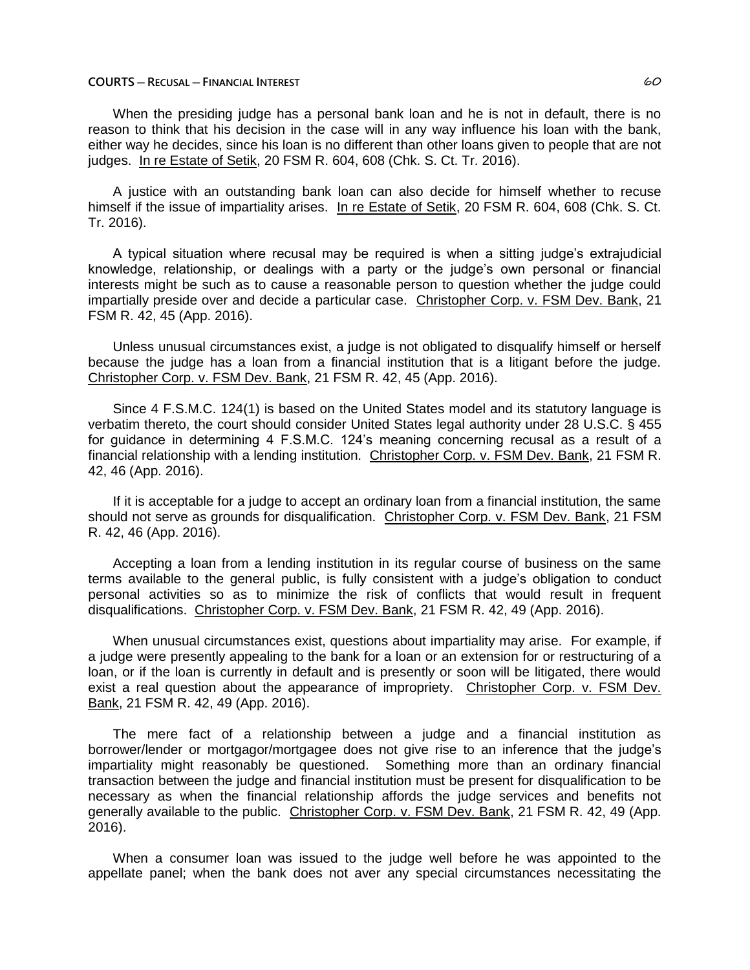#### **COURTS ─ RECUSAL ─ FINANCIAL INTEREST** 60

When the presiding judge has a personal bank loan and he is not in default, there is no reason to think that his decision in the case will in any way influence his loan with the bank, either way he decides, since his loan is no different than other loans given to people that are not judges. In re Estate of Setik, 20 FSM R. 604, 608 (Chk. S. Ct. Tr. 2016).

A justice with an outstanding bank loan can also decide for himself whether to recuse himself if the issue of impartiality arises. In re Estate of Setik, 20 FSM R. 604, 608 (Chk. S. Ct. Tr. 2016).

A typical situation where recusal may be required is when a sitting judge's extrajudicial knowledge, relationship, or dealings with a party or the judge's own personal or financial interests might be such as to cause a reasonable person to question whether the judge could impartially preside over and decide a particular case. Christopher Corp. v. FSM Dev. Bank, 21 FSM R. 42, 45 (App. 2016).

Unless unusual circumstances exist, a judge is not obligated to disqualify himself or herself because the judge has a loan from a financial institution that is a litigant before the judge. Christopher Corp. v. FSM Dev. Bank, 21 FSM R. 42, 45 (App. 2016).

Since 4 F.S.M.C. 124(1) is based on the United States model and its statutory language is verbatim thereto, the court should consider United States legal authority under 28 U.S.C. § 455 for guidance in determining 4 F.S.M.C. 124's meaning concerning recusal as a result of a financial relationship with a lending institution. Christopher Corp. v. FSM Dev. Bank, 21 FSM R. 42, 46 (App. 2016).

If it is acceptable for a judge to accept an ordinary loan from a financial institution, the same should not serve as grounds for disqualification. Christopher Corp. v. FSM Dev. Bank, 21 FSM R. 42, 46 (App. 2016).

Accepting a loan from a lending institution in its regular course of business on the same terms available to the general public, is fully consistent with a judge's obligation to conduct personal activities so as to minimize the risk of conflicts that would result in frequent disqualifications. Christopher Corp. v. FSM Dev. Bank, 21 FSM R. 42, 49 (App. 2016).

When unusual circumstances exist, questions about impartiality may arise. For example, if a judge were presently appealing to the bank for a loan or an extension for or restructuring of a loan, or if the loan is currently in default and is presently or soon will be litigated, there would exist a real question about the appearance of impropriety. Christopher Corp. v. FSM Dev. Bank, 21 FSM R. 42, 49 (App. 2016).

The mere fact of a relationship between a judge and a financial institution as borrower/lender or mortgagor/mortgagee does not give rise to an inference that the judge's impartiality might reasonably be questioned. Something more than an ordinary financial transaction between the judge and financial institution must be present for disqualification to be necessary as when the financial relationship affords the judge services and benefits not generally available to the public. Christopher Corp. v. FSM Dev. Bank, 21 FSM R. 42, 49 (App. 2016).

When a consumer loan was issued to the judge well before he was appointed to the appellate panel; when the bank does not aver any special circumstances necessitating the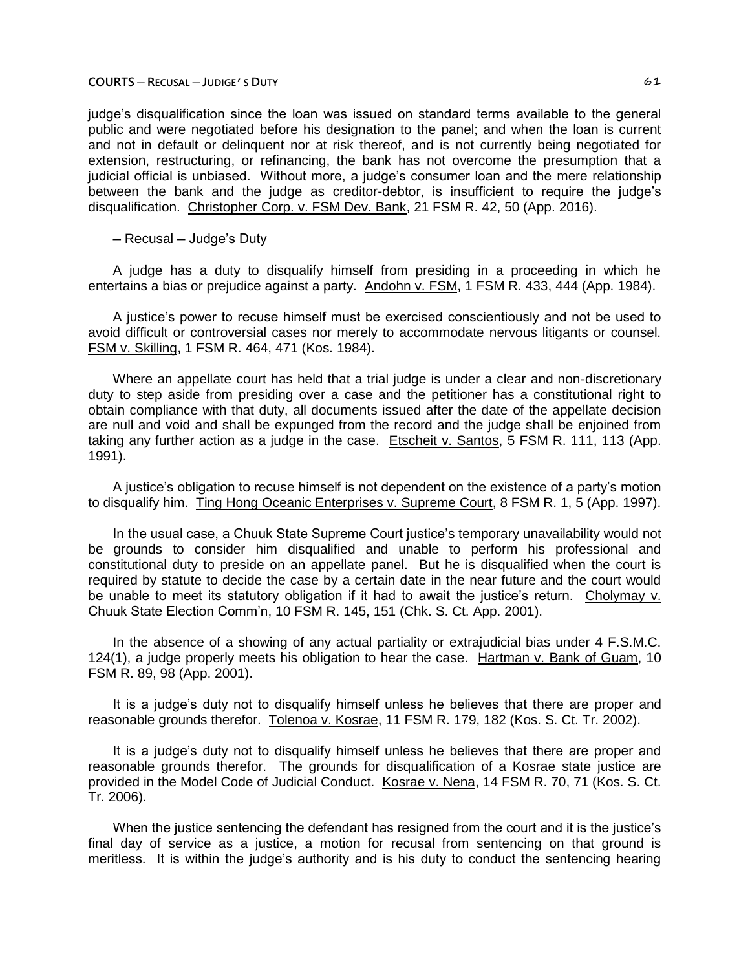#### **COURTS ─ RECUSAL ─ JUDIGE'S DUTY** 61

judge's disqualification since the loan was issued on standard terms available to the general public and were negotiated before his designation to the panel; and when the loan is current and not in default or delinquent nor at risk thereof, and is not currently being negotiated for extension, restructuring, or refinancing, the bank has not overcome the presumption that a judicial official is unbiased. Without more, a judge's consumer loan and the mere relationship between the bank and the judge as creditor-debtor, is insufficient to require the judge's disqualification. Christopher Corp. v. FSM Dev. Bank, 21 FSM R. 42, 50 (App. 2016).

─ Recusal ─ Judge's Duty

A judge has a duty to disqualify himself from presiding in a proceeding in which he entertains a bias or prejudice against a party. Andohn v. FSM, 1 FSM R. 433, 444 (App. 1984).

A justice's power to recuse himself must be exercised conscientiously and not be used to avoid difficult or controversial cases nor merely to accommodate nervous litigants or counsel. FSM v. Skilling, 1 FSM R. 464, 471 (Kos. 1984).

Where an appellate court has held that a trial judge is under a clear and non-discretionary duty to step aside from presiding over a case and the petitioner has a constitutional right to obtain compliance with that duty, all documents issued after the date of the appellate decision are null and void and shall be expunged from the record and the judge shall be enjoined from taking any further action as a judge in the case. Etscheit v. Santos, 5 FSM R. 111, 113 (App. 1991).

A justice's obligation to recuse himself is not dependent on the existence of a party's motion to disqualify him. Ting Hong Oceanic Enterprises v. Supreme Court, 8 FSM R. 1, 5 (App. 1997).

In the usual case, a Chuuk State Supreme Court justice's temporary unavailability would not be grounds to consider him disqualified and unable to perform his professional and constitutional duty to preside on an appellate panel. But he is disqualified when the court is required by statute to decide the case by a certain date in the near future and the court would be unable to meet its statutory obligation if it had to await the justice's return. Cholymay v. Chuuk State Election Comm'n, 10 FSM R. 145, 151 (Chk. S. Ct. App. 2001).

In the absence of a showing of any actual partiality or extrajudicial bias under 4 F.S.M.C. 124(1), a judge properly meets his obligation to hear the case. Hartman v. Bank of Guam, 10 FSM R. 89, 98 (App. 2001).

It is a judge's duty not to disqualify himself unless he believes that there are proper and reasonable grounds therefor. Tolenoa v. Kosrae, 11 FSM R. 179, 182 (Kos. S. Ct. Tr. 2002).

It is a judge's duty not to disqualify himself unless he believes that there are proper and reasonable grounds therefor. The grounds for disqualification of a Kosrae state justice are provided in the Model Code of Judicial Conduct. Kosrae v. Nena, 14 FSM R. 70, 71 (Kos. S. Ct. Tr. 2006).

When the justice sentencing the defendant has resigned from the court and it is the justice's final day of service as a justice, a motion for recusal from sentencing on that ground is meritless. It is within the judge's authority and is his duty to conduct the sentencing hearing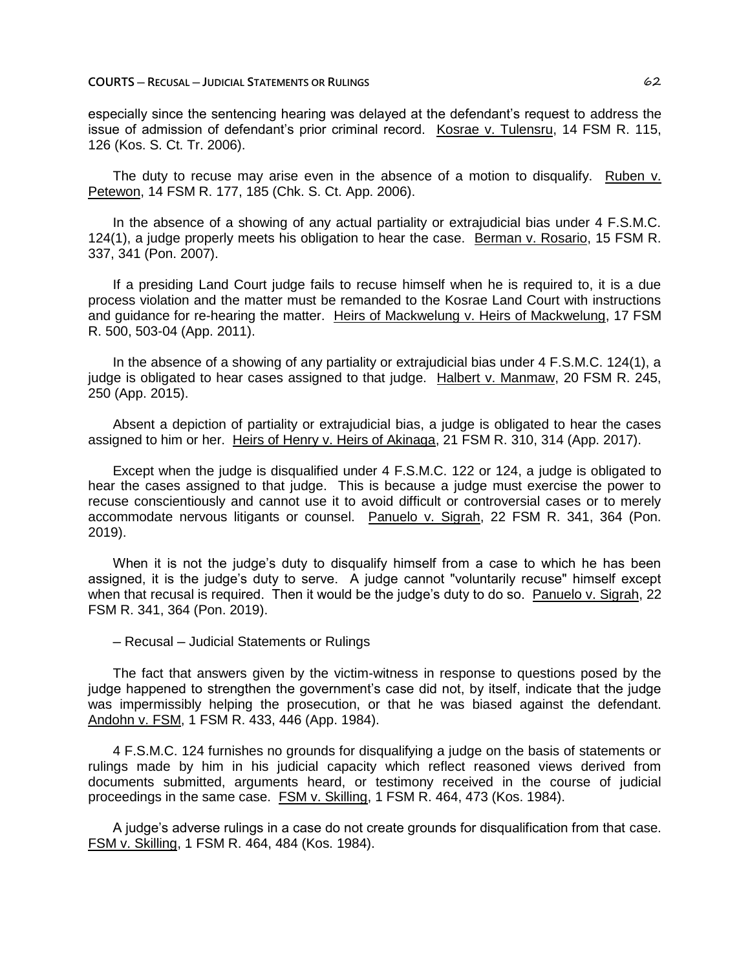**COURTS ─ RECUSAL ─ JUDICIAL STATEMENTS OR RULINGS** 62

especially since the sentencing hearing was delayed at the defendant's request to address the issue of admission of defendant's prior criminal record. Kosrae v. Tulensru, 14 FSM R. 115, 126 (Kos. S. Ct. Tr. 2006).

The duty to recuse may arise even in the absence of a motion to disqualify. Ruben v. Petewon, 14 FSM R. 177, 185 (Chk. S. Ct. App. 2006).

In the absence of a showing of any actual partiality or extrajudicial bias under 4 F.S.M.C. 124(1), a judge properly meets his obligation to hear the case. Berman v. Rosario, 15 FSM R. 337, 341 (Pon. 2007).

If a presiding Land Court judge fails to recuse himself when he is required to, it is a due process violation and the matter must be remanded to the Kosrae Land Court with instructions and guidance for re-hearing the matter. Heirs of Mackwelung v. Heirs of Mackwelung, 17 FSM R. 500, 503-04 (App. 2011).

In the absence of a showing of any partiality or extrajudicial bias under 4 F.S.M.C. 124(1), a judge is obligated to hear cases assigned to that judge. Halbert v. Manmaw, 20 FSM R. 245, 250 (App. 2015).

Absent a depiction of partiality or extrajudicial bias, a judge is obligated to hear the cases assigned to him or her. Heirs of Henry v. Heirs of Akinaga, 21 FSM R. 310, 314 (App. 2017).

Except when the judge is disqualified under 4 F.S.M.C. 122 or 124, a judge is obligated to hear the cases assigned to that judge. This is because a judge must exercise the power to recuse conscientiously and cannot use it to avoid difficult or controversial cases or to merely accommodate nervous litigants or counsel. Panuelo v. Sigrah, 22 FSM R. 341, 364 (Pon. 2019).

When it is not the judge's duty to disqualify himself from a case to which he has been assigned, it is the judge's duty to serve. A judge cannot "voluntarily recuse" himself except when that recusal is required. Then it would be the judge's duty to do so. Panuelo v. Sigrah, 22 FSM R. 341, 364 (Pon. 2019).

─ Recusal ─ Judicial Statements or Rulings

The fact that answers given by the victim-witness in response to questions posed by the judge happened to strengthen the government's case did not, by itself, indicate that the judge was impermissibly helping the prosecution, or that he was biased against the defendant. Andohn v. FSM, 1 FSM R. 433, 446 (App. 1984).

4 F.S.M.C. 124 furnishes no grounds for disqualifying a judge on the basis of statements or rulings made by him in his judicial capacity which reflect reasoned views derived from documents submitted, arguments heard, or testimony received in the course of judicial proceedings in the same case. FSM v. Skilling, 1 FSM R. 464, 473 (Kos. 1984).

A judge's adverse rulings in a case do not create grounds for disqualification from that case. FSM v. Skilling, 1 FSM R. 464, 484 (Kos. 1984).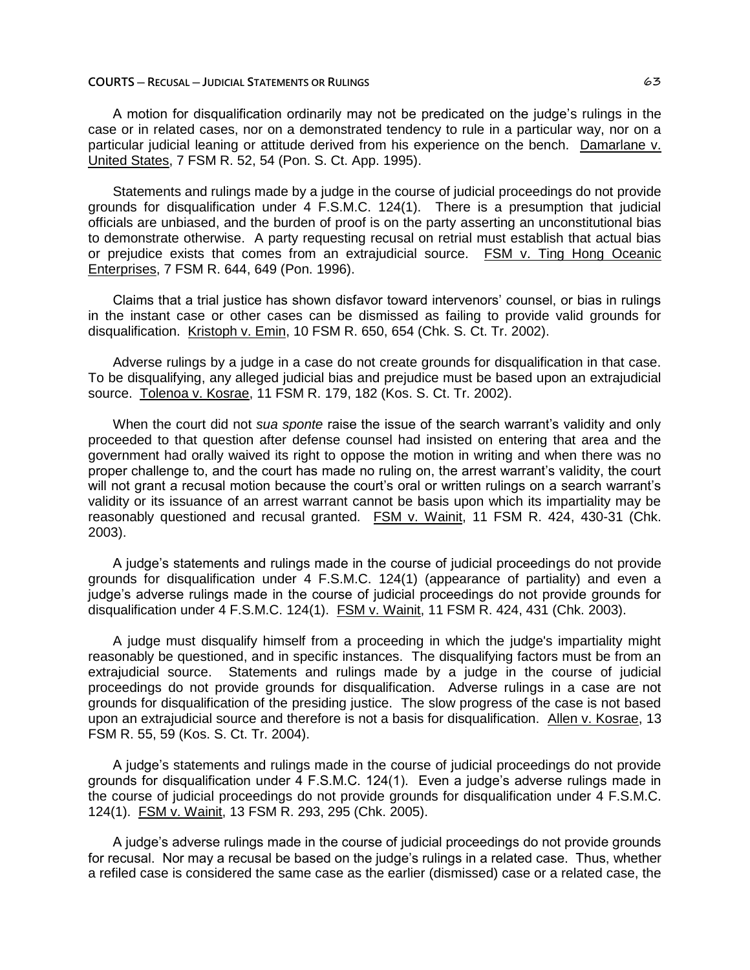#### **COURTS ─ RECUSAL ─ JUDICIAL STATEMENTS OR RULINGS** 63

A motion for disqualification ordinarily may not be predicated on the judge's rulings in the case or in related cases, nor on a demonstrated tendency to rule in a particular way, nor on a particular judicial leaning or attitude derived from his experience on the bench. Damarlane v. United States, 7 FSM R. 52, 54 (Pon. S. Ct. App. 1995).

Statements and rulings made by a judge in the course of judicial proceedings do not provide grounds for disqualification under 4 F.S.M.C. 124(1). There is a presumption that judicial officials are unbiased, and the burden of proof is on the party asserting an unconstitutional bias to demonstrate otherwise. A party requesting recusal on retrial must establish that actual bias or prejudice exists that comes from an extrajudicial source. FSM v. Ting Hong Oceanic Enterprises, 7 FSM R. 644, 649 (Pon. 1996).

Claims that a trial justice has shown disfavor toward intervenors' counsel, or bias in rulings in the instant case or other cases can be dismissed as failing to provide valid grounds for disqualification. Kristoph v. Emin, 10 FSM R. 650, 654 (Chk. S. Ct. Tr. 2002).

Adverse rulings by a judge in a case do not create grounds for disqualification in that case. To be disqualifying, any alleged judicial bias and prejudice must be based upon an extrajudicial source. Tolenoa v. Kosrae, 11 FSM R. 179, 182 (Kos. S. Ct. Tr. 2002).

When the court did not *sua sponte* raise the issue of the search warrant's validity and only proceeded to that question after defense counsel had insisted on entering that area and the government had orally waived its right to oppose the motion in writing and when there was no proper challenge to, and the court has made no ruling on, the arrest warrant's validity, the court will not grant a recusal motion because the court's oral or written rulings on a search warrant's validity or its issuance of an arrest warrant cannot be basis upon which its impartiality may be reasonably questioned and recusal granted. FSM v. Wainit, 11 FSM R. 424, 430-31 (Chk. 2003).

A judge's statements and rulings made in the course of judicial proceedings do not provide grounds for disqualification under 4 F.S.M.C. 124(1) (appearance of partiality) and even a judge's adverse rulings made in the course of judicial proceedings do not provide grounds for disqualification under 4 F.S.M.C. 124(1). FSM v. Wainit, 11 FSM R. 424, 431 (Chk. 2003).

A judge must disqualify himself from a proceeding in which the judge's impartiality might reasonably be questioned, and in specific instances. The disqualifying factors must be from an extrajudicial source. Statements and rulings made by a judge in the course of judicial proceedings do not provide grounds for disqualification. Adverse rulings in a case are not grounds for disqualification of the presiding justice. The slow progress of the case is not based upon an extrajudicial source and therefore is not a basis for disqualification. Allen v. Kosrae, 13 FSM R. 55, 59 (Kos. S. Ct. Tr. 2004).

A judge's statements and rulings made in the course of judicial proceedings do not provide grounds for disqualification under 4 F.S.M.C. 124(1). Even a judge's adverse rulings made in the course of judicial proceedings do not provide grounds for disqualification under 4 F.S.M.C. 124(1). FSM v. Wainit, 13 FSM R. 293, 295 (Chk. 2005).

A judge's adverse rulings made in the course of judicial proceedings do not provide grounds for recusal. Nor may a recusal be based on the judge's rulings in a related case. Thus, whether a refiled case is considered the same case as the earlier (dismissed) case or a related case, the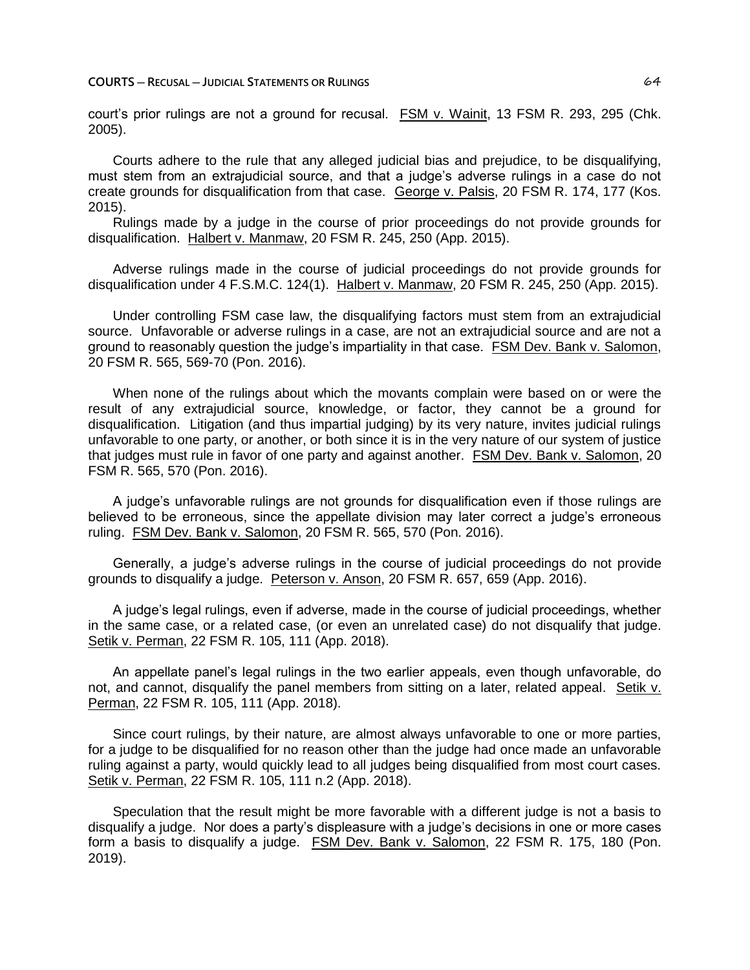court's prior rulings are not a ground for recusal. FSM v. Wainit, 13 FSM R. 293, 295 (Chk. 2005).

Courts adhere to the rule that any alleged judicial bias and prejudice, to be disqualifying, must stem from an extrajudicial source, and that a judge's adverse rulings in a case do not create grounds for disqualification from that case. George v. Palsis, 20 FSM R. 174, 177 (Kos. 2015).

Rulings made by a judge in the course of prior proceedings do not provide grounds for disqualification. Halbert v. Manmaw, 20 FSM R. 245, 250 (App. 2015).

Adverse rulings made in the course of judicial proceedings do not provide grounds for disqualification under 4 F.S.M.C. 124(1). Halbert v. Manmaw, 20 FSM R. 245, 250 (App. 2015).

Under controlling FSM case law, the disqualifying factors must stem from an extrajudicial source. Unfavorable or adverse rulings in a case, are not an extrajudicial source and are not a ground to reasonably question the judge's impartiality in that case. FSM Dev. Bank v. Salomon, 20 FSM R. 565, 569-70 (Pon. 2016).

When none of the rulings about which the movants complain were based on or were the result of any extrajudicial source, knowledge, or factor, they cannot be a ground for disqualification. Litigation (and thus impartial judging) by its very nature, invites judicial rulings unfavorable to one party, or another, or both since it is in the very nature of our system of justice that judges must rule in favor of one party and against another. FSM Dev. Bank v. Salomon, 20 FSM R. 565, 570 (Pon. 2016).

A judge's unfavorable rulings are not grounds for disqualification even if those rulings are believed to be erroneous, since the appellate division may later correct a judge's erroneous ruling. FSM Dev. Bank v. Salomon, 20 FSM R. 565, 570 (Pon. 2016).

Generally, a judge's adverse rulings in the course of judicial proceedings do not provide grounds to disqualify a judge. Peterson v. Anson, 20 FSM R. 657, 659 (App. 2016).

A judge's legal rulings, even if adverse, made in the course of judicial proceedings, whether in the same case, or a related case, (or even an unrelated case) do not disqualify that judge. Setik v. Perman, 22 FSM R. 105, 111 (App. 2018).

An appellate panel's legal rulings in the two earlier appeals, even though unfavorable, do not, and cannot, disqualify the panel members from sitting on a later, related appeal. Setik v. Perman, 22 FSM R. 105, 111 (App. 2018).

Since court rulings, by their nature, are almost always unfavorable to one or more parties, for a judge to be disqualified for no reason other than the judge had once made an unfavorable ruling against a party, would quickly lead to all judges being disqualified from most court cases. Setik v. Perman, 22 FSM R. 105, 111 n.2 (App. 2018).

Speculation that the result might be more favorable with a different judge is not a basis to disqualify a judge. Nor does a party's displeasure with a judge's decisions in one or more cases form a basis to disqualify a judge. FSM Dev. Bank v. Salomon, 22 FSM R. 175, 180 (Pon. 2019).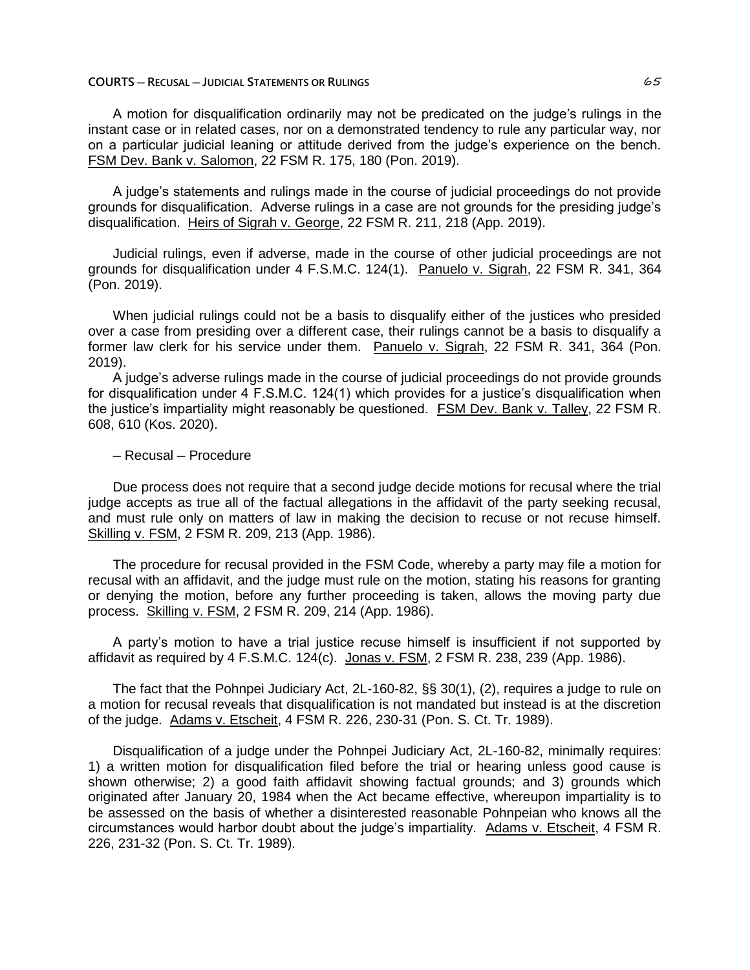#### **COURTS ─ RECUSAL ─ JUDICIAL STATEMENTS OR RULINGS** 65

A motion for disqualification ordinarily may not be predicated on the judge's rulings in the instant case or in related cases, nor on a demonstrated tendency to rule any particular way, nor on a particular judicial leaning or attitude derived from the judge's experience on the bench. FSM Dev. Bank v. Salomon, 22 FSM R. 175, 180 (Pon. 2019).

A judge's statements and rulings made in the course of judicial proceedings do not provide grounds for disqualification. Adverse rulings in a case are not grounds for the presiding judge's disqualification. Heirs of Sigrah v. George, 22 FSM R. 211, 218 (App. 2019).

Judicial rulings, even if adverse, made in the course of other judicial proceedings are not grounds for disqualification under 4 F.S.M.C. 124(1). Panuelo v. Sigrah, 22 FSM R. 341, 364 (Pon. 2019).

When judicial rulings could not be a basis to disqualify either of the justices who presided over a case from presiding over a different case, their rulings cannot be a basis to disqualify a former law clerk for his service under them. Panuelo v. Sigrah, 22 FSM R. 341, 364 (Pon. 2019).

A judge's adverse rulings made in the course of judicial proceedings do not provide grounds for disqualification under 4 F.S.M.C. 124(1) which provides for a justice's disqualification when the justice's impartiality might reasonably be questioned. FSM Dev. Bank v. Talley, 22 FSM R. 608, 610 (Kos. 2020).

─ Recusal ─ Procedure

Due process does not require that a second judge decide motions for recusal where the trial judge accepts as true all of the factual allegations in the affidavit of the party seeking recusal, and must rule only on matters of law in making the decision to recuse or not recuse himself. Skilling v. FSM, 2 FSM R. 209, 213 (App. 1986).

The procedure for recusal provided in the FSM Code, whereby a party may file a motion for recusal with an affidavit, and the judge must rule on the motion, stating his reasons for granting or denying the motion, before any further proceeding is taken, allows the moving party due process. Skilling v. FSM, 2 FSM R. 209, 214 (App. 1986).

A party's motion to have a trial justice recuse himself is insufficient if not supported by affidavit as required by 4 F.S.M.C. 124(c). Jonas v. FSM, 2 FSM R. 238, 239 (App. 1986).

The fact that the Pohnpei Judiciary Act, 2L-160-82, §§ 30(1), (2), requires a judge to rule on a motion for recusal reveals that disqualification is not mandated but instead is at the discretion of the judge. Adams v. Etscheit, 4 FSM R. 226, 230-31 (Pon. S. Ct. Tr. 1989).

Disqualification of a judge under the Pohnpei Judiciary Act, 2L-160-82, minimally requires: 1) a written motion for disqualification filed before the trial or hearing unless good cause is shown otherwise; 2) a good faith affidavit showing factual grounds; and 3) grounds which originated after January 20, 1984 when the Act became effective, whereupon impartiality is to be assessed on the basis of whether a disinterested reasonable Pohnpeian who knows all the circumstances would harbor doubt about the judge's impartiality. Adams v. Etscheit, 4 FSM R. 226, 231-32 (Pon. S. Ct. Tr. 1989).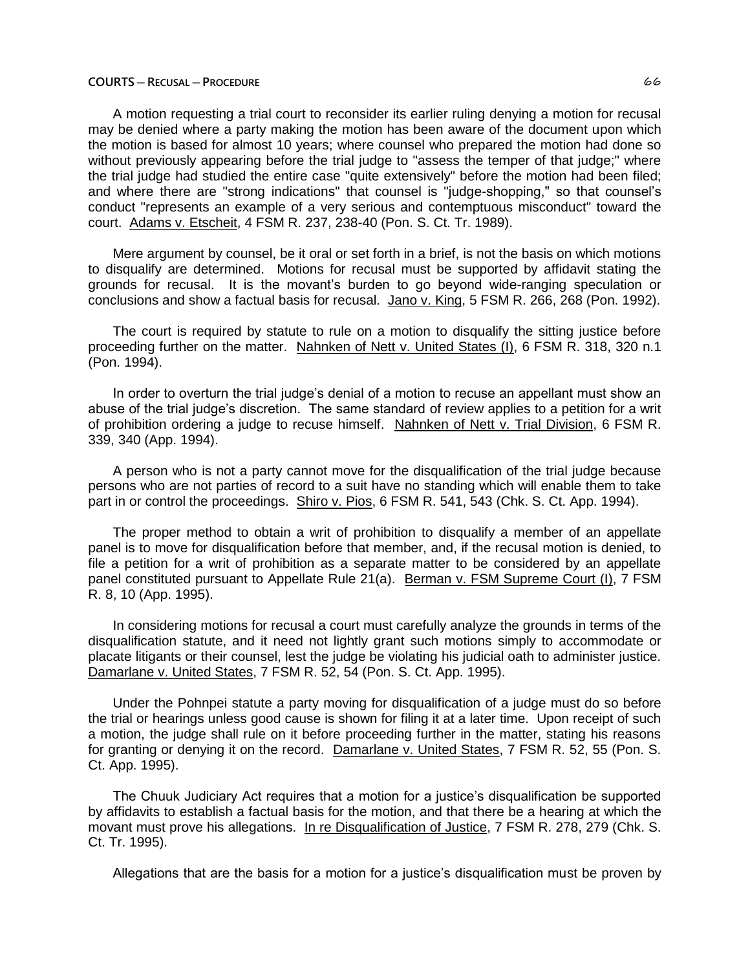### **COURTS ─ RECUSAL ─ PROCEDURE** 66

A motion requesting a trial court to reconsider its earlier ruling denying a motion for recusal may be denied where a party making the motion has been aware of the document upon which the motion is based for almost 10 years; where counsel who prepared the motion had done so without previously appearing before the trial judge to "assess the temper of that judge;" where the trial judge had studied the entire case "quite extensively" before the motion had been filed; and where there are "strong indications" that counsel is "judge-shopping," so that counsel's conduct "represents an example of a very serious and contemptuous misconduct" toward the court. Adams v. Etscheit, 4 FSM R. 237, 238-40 (Pon. S. Ct. Tr. 1989).

Mere argument by counsel, be it oral or set forth in a brief, is not the basis on which motions to disqualify are determined. Motions for recusal must be supported by affidavit stating the grounds for recusal. It is the movant's burden to go beyond wide-ranging speculation or conclusions and show a factual basis for recusal. Jano v. King, 5 FSM R. 266, 268 (Pon. 1992).

The court is required by statute to rule on a motion to disqualify the sitting justice before proceeding further on the matter. Nahnken of Nett v. United States (I), 6 FSM R. 318, 320 n.1 (Pon. 1994).

In order to overturn the trial judge's denial of a motion to recuse an appellant must show an abuse of the trial judge's discretion. The same standard of review applies to a petition for a writ of prohibition ordering a judge to recuse himself. Nahnken of Nett v. Trial Division, 6 FSM R. 339, 340 (App. 1994).

A person who is not a party cannot move for the disqualification of the trial judge because persons who are not parties of record to a suit have no standing which will enable them to take part in or control the proceedings. Shiro v. Pios, 6 FSM R. 541, 543 (Chk. S. Ct. App. 1994).

The proper method to obtain a writ of prohibition to disqualify a member of an appellate panel is to move for disqualification before that member, and, if the recusal motion is denied, to file a petition for a writ of prohibition as a separate matter to be considered by an appellate panel constituted pursuant to Appellate Rule 21(a). Berman v. FSM Supreme Court (I), 7 FSM R. 8, 10 (App. 1995).

In considering motions for recusal a court must carefully analyze the grounds in terms of the disqualification statute, and it need not lightly grant such motions simply to accommodate or placate litigants or their counsel, lest the judge be violating his judicial oath to administer justice. Damarlane v. United States, 7 FSM R. 52, 54 (Pon. S. Ct. App. 1995).

Under the Pohnpei statute a party moving for disqualification of a judge must do so before the trial or hearings unless good cause is shown for filing it at a later time. Upon receipt of such a motion, the judge shall rule on it before proceeding further in the matter, stating his reasons for granting or denying it on the record. Damarlane v. United States, 7 FSM R. 52, 55 (Pon. S. Ct. App. 1995).

The Chuuk Judiciary Act requires that a motion for a justice's disqualification be supported by affidavits to establish a factual basis for the motion, and that there be a hearing at which the movant must prove his allegations. In re Disqualification of Justice, 7 FSM R. 278, 279 (Chk. S. Ct. Tr. 1995).

Allegations that are the basis for a motion for a justice's disqualification must be proven by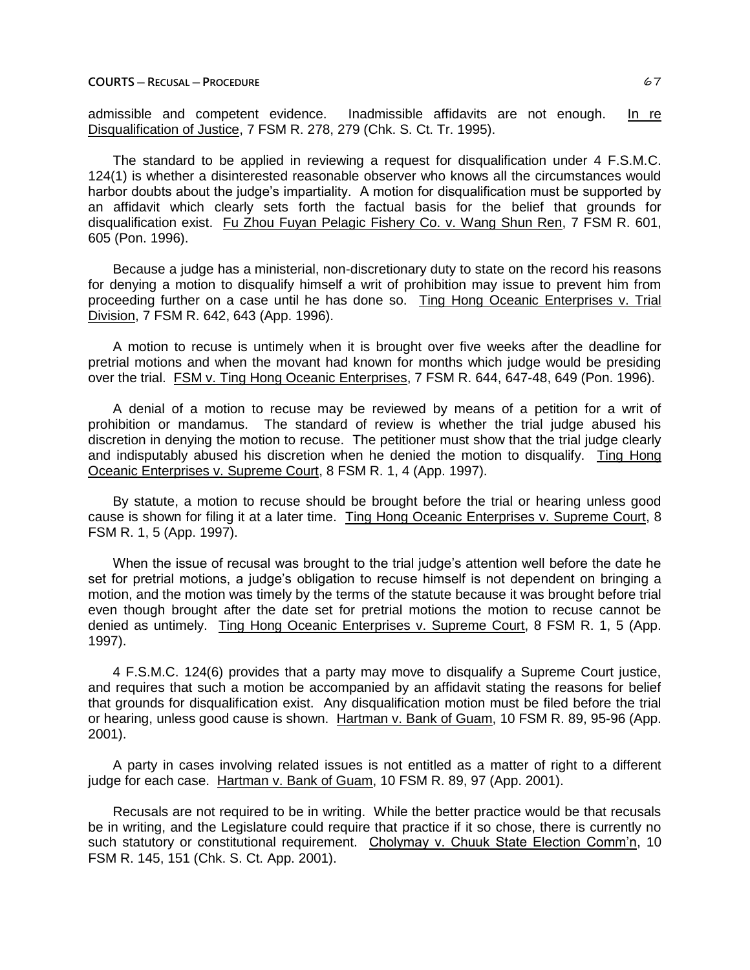admissible and competent evidence. Inadmissible affidavits are not enough. In re Disqualification of Justice, 7 FSM R. 278, 279 (Chk. S. Ct. Tr. 1995).

The standard to be applied in reviewing a request for disqualification under 4 F.S.M.C. 124(1) is whether a disinterested reasonable observer who knows all the circumstances would harbor doubts about the judge's impartiality. A motion for disqualification must be supported by an affidavit which clearly sets forth the factual basis for the belief that grounds for disqualification exist. Fu Zhou Fuyan Pelagic Fishery Co. v. Wang Shun Ren, 7 FSM R. 601, 605 (Pon. 1996).

Because a judge has a ministerial, non-discretionary duty to state on the record his reasons for denying a motion to disqualify himself a writ of prohibition may issue to prevent him from proceeding further on a case until he has done so. Ting Hong Oceanic Enterprises v. Trial Division, 7 FSM R. 642, 643 (App. 1996).

A motion to recuse is untimely when it is brought over five weeks after the deadline for pretrial motions and when the movant had known for months which judge would be presiding over the trial. FSM v. Ting Hong Oceanic Enterprises, 7 FSM R. 644, 647-48, 649 (Pon. 1996).

A denial of a motion to recuse may be reviewed by means of a petition for a writ of prohibition or mandamus. The standard of review is whether the trial judge abused his discretion in denying the motion to recuse. The petitioner must show that the trial judge clearly and indisputably abused his discretion when he denied the motion to disqualify. Ting Hong Oceanic Enterprises v. Supreme Court, 8 FSM R. 1, 4 (App. 1997).

By statute, a motion to recuse should be brought before the trial or hearing unless good cause is shown for filing it at a later time. Ting Hong Oceanic Enterprises v. Supreme Court, 8 FSM R. 1, 5 (App. 1997).

When the issue of recusal was brought to the trial judge's attention well before the date he set for pretrial motions, a judge's obligation to recuse himself is not dependent on bringing a motion, and the motion was timely by the terms of the statute because it was brought before trial even though brought after the date set for pretrial motions the motion to recuse cannot be denied as untimely. Ting Hong Oceanic Enterprises v. Supreme Court, 8 FSM R. 1, 5 (App. 1997).

4 F.S.M.C. 124(6) provides that a party may move to disqualify a Supreme Court justice, and requires that such a motion be accompanied by an affidavit stating the reasons for belief that grounds for disqualification exist. Any disqualification motion must be filed before the trial or hearing, unless good cause is shown. Hartman v. Bank of Guam, 10 FSM R. 89, 95-96 (App. 2001).

A party in cases involving related issues is not entitled as a matter of right to a different judge for each case. Hartman v. Bank of Guam, 10 FSM R. 89, 97 (App. 2001).

Recusals are not required to be in writing. While the better practice would be that recusals be in writing, and the Legislature could require that practice if it so chose, there is currently no such statutory or constitutional requirement. Cholymay v. Chuuk State Election Comm'n, 10 FSM R. 145, 151 (Chk. S. Ct. App. 2001).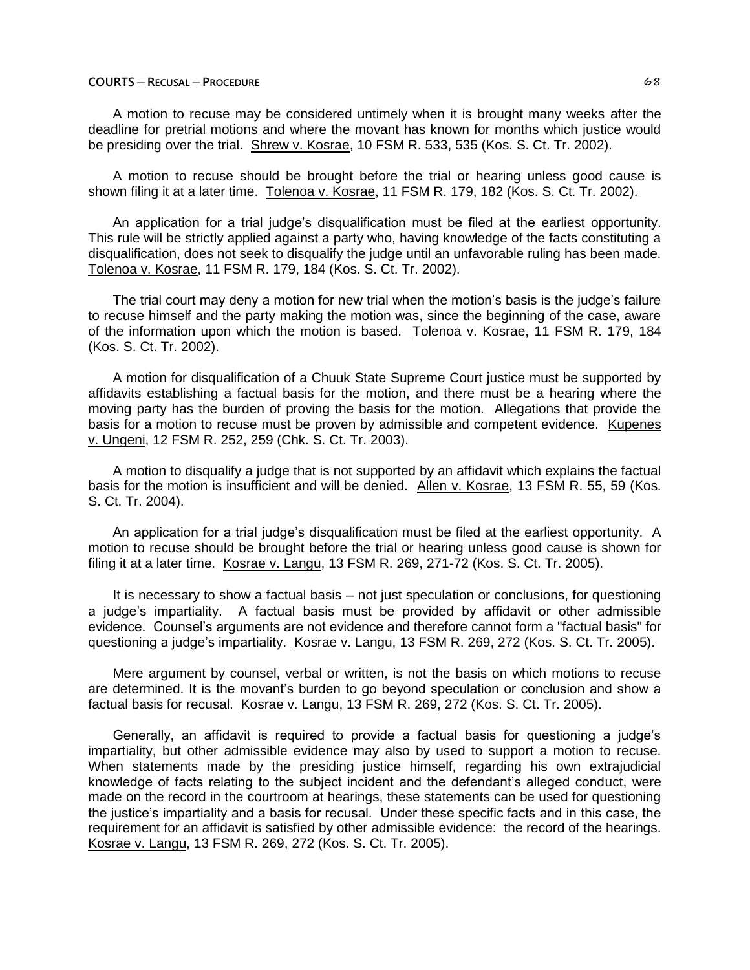# **COURTS ─ RECUSAL ─ PROCEDURE** 68

A motion to recuse may be considered untimely when it is brought many weeks after the deadline for pretrial motions and where the movant has known for months which justice would be presiding over the trial. Shrew v. Kosrae, 10 FSM R. 533, 535 (Kos. S. Ct. Tr. 2002).

A motion to recuse should be brought before the trial or hearing unless good cause is shown filing it at a later time. Tolenoa v. Kosrae, 11 FSM R. 179, 182 (Kos. S. Ct. Tr. 2002).

An application for a trial judge's disqualification must be filed at the earliest opportunity. This rule will be strictly applied against a party who, having knowledge of the facts constituting a disqualification, does not seek to disqualify the judge until an unfavorable ruling has been made. Tolenoa v. Kosrae, 11 FSM R. 179, 184 (Kos. S. Ct. Tr. 2002).

The trial court may deny a motion for new trial when the motion's basis is the judge's failure to recuse himself and the party making the motion was, since the beginning of the case, aware of the information upon which the motion is based. Tolenoa v. Kosrae, 11 FSM R. 179, 184 (Kos. S. Ct. Tr. 2002).

A motion for disqualification of a Chuuk State Supreme Court justice must be supported by affidavits establishing a factual basis for the motion, and there must be a hearing where the moving party has the burden of proving the basis for the motion. Allegations that provide the basis for a motion to recuse must be proven by admissible and competent evidence. Kupenes v. Ungeni, 12 FSM R. 252, 259 (Chk. S. Ct. Tr. 2003).

A motion to disqualify a judge that is not supported by an affidavit which explains the factual basis for the motion is insufficient and will be denied. Allen v. Kosrae, 13 FSM R. 55, 59 (Kos. S. Ct. Tr. 2004).

An application for a trial judge's disqualification must be filed at the earliest opportunity. A motion to recuse should be brought before the trial or hearing unless good cause is shown for filing it at a later time. Kosrae v. Langu, 13 FSM R. 269, 271-72 (Kos. S. Ct. Tr. 2005).

It is necessary to show a factual basis — not just speculation or conclusions, for questioning a judge's impartiality. A factual basis must be provided by affidavit or other admissible evidence. Counsel's arguments are not evidence and therefore cannot form a "factual basis" for questioning a judge's impartiality. Kosrae v. Langu, 13 FSM R. 269, 272 (Kos. S. Ct. Tr. 2005).

Mere argument by counsel, verbal or written, is not the basis on which motions to recuse are determined. It is the movant's burden to go beyond speculation or conclusion and show a factual basis for recusal. Kosrae v. Langu, 13 FSM R. 269, 272 (Kos. S. Ct. Tr. 2005).

Generally, an affidavit is required to provide a factual basis for questioning a judge's impartiality, but other admissible evidence may also by used to support a motion to recuse. When statements made by the presiding justice himself, regarding his own extrajudicial knowledge of facts relating to the subject incident and the defendant's alleged conduct, were made on the record in the courtroom at hearings, these statements can be used for questioning the justice's impartiality and a basis for recusal. Under these specific facts and in this case, the requirement for an affidavit is satisfied by other admissible evidence: the record of the hearings. Kosrae v. Langu, 13 FSM R. 269, 272 (Kos. S. Ct. Tr. 2005).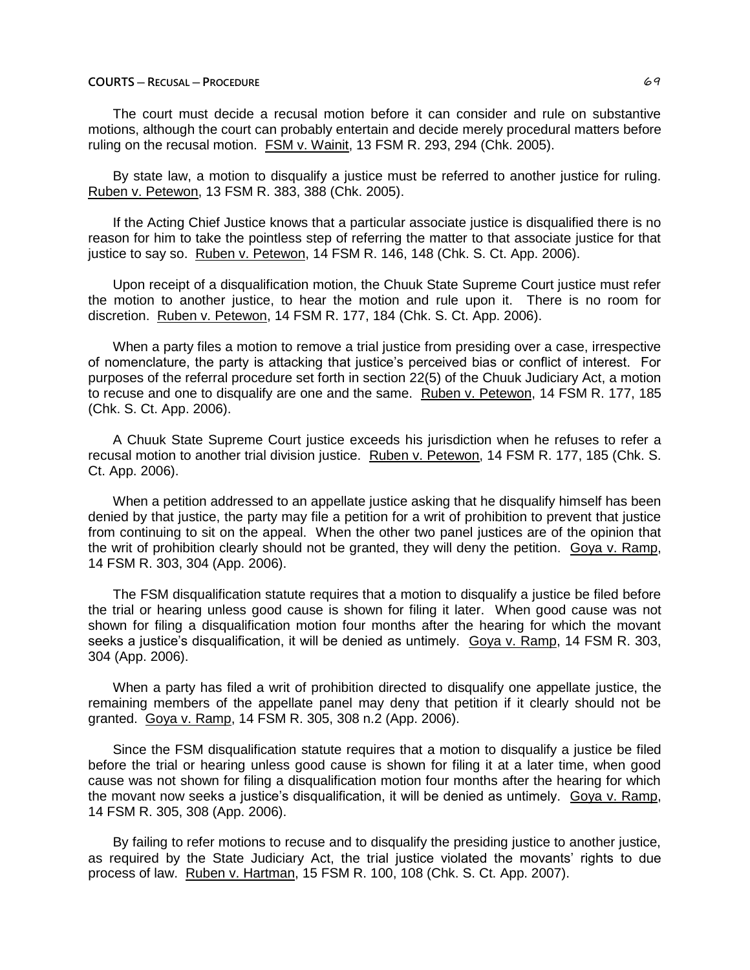# **COURTS ─ RECUSAL ─ PROCEDURE** 69

The court must decide a recusal motion before it can consider and rule on substantive motions, although the court can probably entertain and decide merely procedural matters before ruling on the recusal motion. FSM v. Wainit, 13 FSM R. 293, 294 (Chk. 2005).

By state law, a motion to disqualify a justice must be referred to another justice for ruling. Ruben v. Petewon, 13 FSM R. 383, 388 (Chk. 2005).

If the Acting Chief Justice knows that a particular associate justice is disqualified there is no reason for him to take the pointless step of referring the matter to that associate justice for that justice to say so. Ruben v. Petewon, 14 FSM R. 146, 148 (Chk. S. Ct. App. 2006).

Upon receipt of a disqualification motion, the Chuuk State Supreme Court justice must refer the motion to another justice, to hear the motion and rule upon it. There is no room for discretion. Ruben v. Petewon, 14 FSM R. 177, 184 (Chk. S. Ct. App. 2006).

When a party files a motion to remove a trial justice from presiding over a case, irrespective of nomenclature, the party is attacking that justice's perceived bias or conflict of interest. For purposes of the referral procedure set forth in section 22(5) of the Chuuk Judiciary Act, a motion to recuse and one to disqualify are one and the same. Ruben v. Petewon, 14 FSM R. 177, 185 (Chk. S. Ct. App. 2006).

A Chuuk State Supreme Court justice exceeds his jurisdiction when he refuses to refer a recusal motion to another trial division justice. Ruben v. Petewon, 14 FSM R. 177, 185 (Chk. S. Ct. App. 2006).

When a petition addressed to an appellate justice asking that he disqualify himself has been denied by that justice, the party may file a petition for a writ of prohibition to prevent that justice from continuing to sit on the appeal. When the other two panel justices are of the opinion that the writ of prohibition clearly should not be granted, they will deny the petition. Goya v. Ramp, 14 FSM R. 303, 304 (App. 2006).

The FSM disqualification statute requires that a motion to disqualify a justice be filed before the trial or hearing unless good cause is shown for filing it later. When good cause was not shown for filing a disqualification motion four months after the hearing for which the movant seeks a justice's disqualification, it will be denied as untimely. Goya v. Ramp, 14 FSM R. 303, 304 (App. 2006).

When a party has filed a writ of prohibition directed to disqualify one appellate justice, the remaining members of the appellate panel may deny that petition if it clearly should not be granted. Goya v. Ramp, 14 FSM R. 305, 308 n.2 (App. 2006).

Since the FSM disqualification statute requires that a motion to disqualify a justice be filed before the trial or hearing unless good cause is shown for filing it at a later time, when good cause was not shown for filing a disqualification motion four months after the hearing for which the movant now seeks a justice's disqualification, it will be denied as untimely. Goya v. Ramp, 14 FSM R. 305, 308 (App. 2006).

By failing to refer motions to recuse and to disqualify the presiding justice to another justice, as required by the State Judiciary Act, the trial justice violated the movants' rights to due process of law. Ruben v. Hartman, 15 FSM R. 100, 108 (Chk. S. Ct. App. 2007).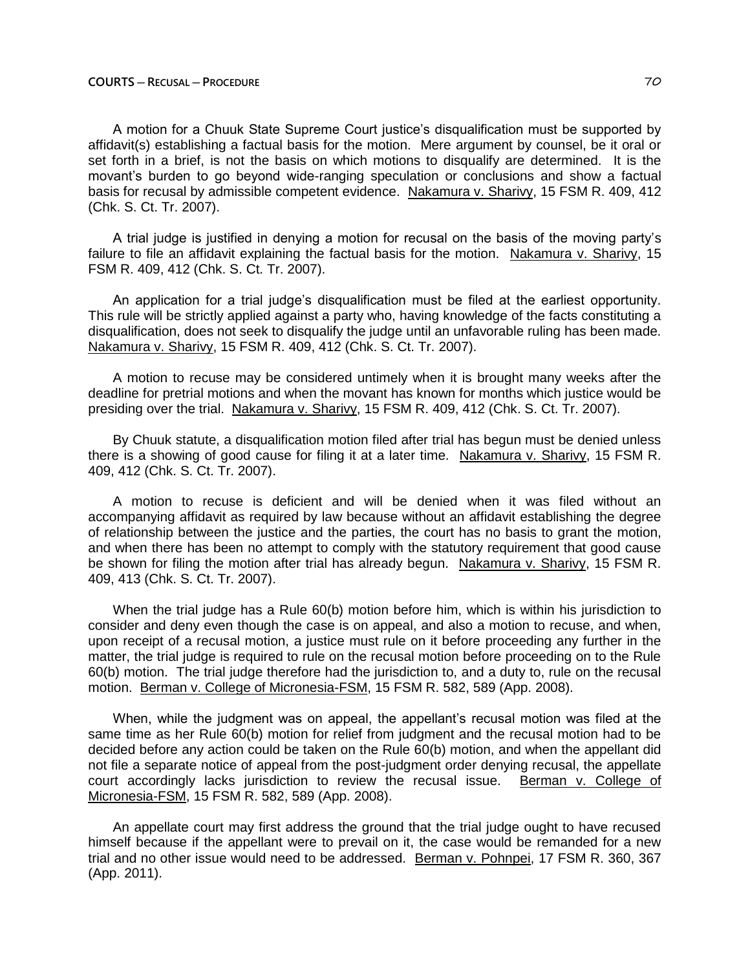A motion for a Chuuk State Supreme Court justice's disqualification must be supported by affidavit(s) establishing a factual basis for the motion. Mere argument by counsel, be it oral or set forth in a brief, is not the basis on which motions to disqualify are determined. It is the movant's burden to go beyond wide-ranging speculation or conclusions and show a factual basis for recusal by admissible competent evidence. Nakamura v. Sharivy, 15 FSM R. 409, 412 (Chk. S. Ct. Tr. 2007).

A trial judge is justified in denying a motion for recusal on the basis of the moving party's failure to file an affidavit explaining the factual basis for the motion. Nakamura v. Sharivy, 15 FSM R. 409, 412 (Chk. S. Ct. Tr. 2007).

An application for a trial judge's disqualification must be filed at the earliest opportunity. This rule will be strictly applied against a party who, having knowledge of the facts constituting a disqualification, does not seek to disqualify the judge until an unfavorable ruling has been made. Nakamura v. Sharivy, 15 FSM R. 409, 412 (Chk. S. Ct. Tr. 2007).

A motion to recuse may be considered untimely when it is brought many weeks after the deadline for pretrial motions and when the movant has known for months which justice would be presiding over the trial. Nakamura v. Sharivy, 15 FSM R. 409, 412 (Chk. S. Ct. Tr. 2007).

By Chuuk statute, a disqualification motion filed after trial has begun must be denied unless there is a showing of good cause for filing it at a later time. Nakamura v. Sharivy, 15 FSM R. 409, 412 (Chk. S. Ct. Tr. 2007).

A motion to recuse is deficient and will be denied when it was filed without an accompanying affidavit as required by law because without an affidavit establishing the degree of relationship between the justice and the parties, the court has no basis to grant the motion, and when there has been no attempt to comply with the statutory requirement that good cause be shown for filing the motion after trial has already begun. Nakamura v. Sharivy, 15 FSM R. 409, 413 (Chk. S. Ct. Tr. 2007).

When the trial judge has a Rule 60(b) motion before him, which is within his jurisdiction to consider and deny even though the case is on appeal, and also a motion to recuse, and when, upon receipt of a recusal motion, a justice must rule on it before proceeding any further in the matter, the trial judge is required to rule on the recusal motion before proceeding on to the Rule 60(b) motion. The trial judge therefore had the jurisdiction to, and a duty to, rule on the recusal motion. Berman v. College of Micronesia-FSM, 15 FSM R. 582, 589 (App. 2008).

When, while the judgment was on appeal, the appellant's recusal motion was filed at the same time as her Rule 60(b) motion for relief from judgment and the recusal motion had to be decided before any action could be taken on the Rule 60(b) motion, and when the appellant did not file a separate notice of appeal from the post-judgment order denying recusal, the appellate court accordingly lacks jurisdiction to review the recusal issue. Berman v. College of Micronesia-FSM, 15 FSM R. 582, 589 (App. 2008).

An appellate court may first address the ground that the trial judge ought to have recused himself because if the appellant were to prevail on it, the case would be remanded for a new trial and no other issue would need to be addressed. Berman v. Pohnpei, 17 FSM R. 360, 367 (App. 2011).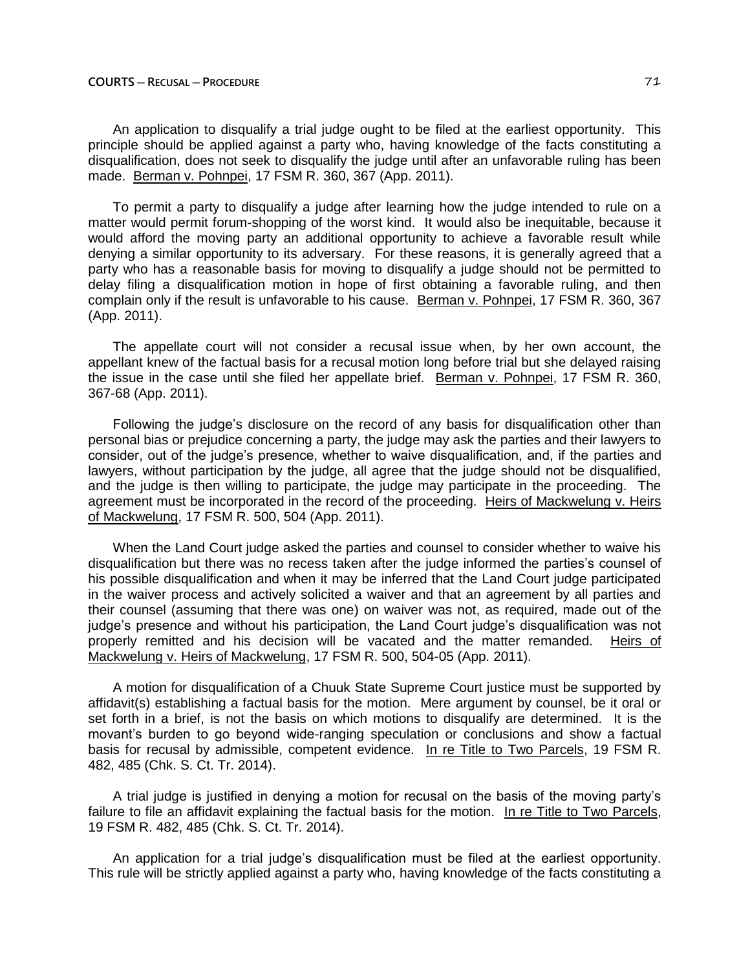#### **COURTS ─ RECUSAL ─ PROCEDURE** 71

An application to disqualify a trial judge ought to be filed at the earliest opportunity. This principle should be applied against a party who, having knowledge of the facts constituting a disqualification, does not seek to disqualify the judge until after an unfavorable ruling has been made. Berman v. Pohnpei, 17 FSM R. 360, 367 (App. 2011).

To permit a party to disqualify a judge after learning how the judge intended to rule on a matter would permit forum-shopping of the worst kind. It would also be inequitable, because it would afford the moving party an additional opportunity to achieve a favorable result while denying a similar opportunity to its adversary. For these reasons, it is generally agreed that a party who has a reasonable basis for moving to disqualify a judge should not be permitted to delay filing a disqualification motion in hope of first obtaining a favorable ruling, and then complain only if the result is unfavorable to his cause. Berman v. Pohnpei, 17 FSM R. 360, 367 (App. 2011).

The appellate court will not consider a recusal issue when, by her own account, the appellant knew of the factual basis for a recusal motion long before trial but she delayed raising the issue in the case until she filed her appellate brief. Berman v. Pohnpei, 17 FSM R. 360, 367-68 (App. 2011).

Following the judge's disclosure on the record of any basis for disqualification other than personal bias or prejudice concerning a party, the judge may ask the parties and their lawyers to consider, out of the judge's presence, whether to waive disqualification, and, if the parties and lawyers, without participation by the judge, all agree that the judge should not be disqualified, and the judge is then willing to participate, the judge may participate in the proceeding. The agreement must be incorporated in the record of the proceeding. Heirs of Mackwelung v. Heirs of Mackwelung, 17 FSM R. 500, 504 (App. 2011).

When the Land Court judge asked the parties and counsel to consider whether to waive his disqualification but there was no recess taken after the judge informed the parties's counsel of his possible disqualification and when it may be inferred that the Land Court judge participated in the waiver process and actively solicited a waiver and that an agreement by all parties and their counsel (assuming that there was one) on waiver was not, as required, made out of the judge's presence and without his participation, the Land Court judge's disqualification was not properly remitted and his decision will be vacated and the matter remanded. Heirs of Mackwelung v. Heirs of Mackwelung, 17 FSM R. 500, 504-05 (App. 2011).

A motion for disqualification of a Chuuk State Supreme Court justice must be supported by affidavit(s) establishing a factual basis for the motion. Mere argument by counsel, be it oral or set forth in a brief, is not the basis on which motions to disqualify are determined. It is the movant's burden to go beyond wide-ranging speculation or conclusions and show a factual basis for recusal by admissible, competent evidence. In re Title to Two Parcels, 19 FSM R. 482, 485 (Chk. S. Ct. Tr. 2014).

A trial judge is justified in denying a motion for recusal on the basis of the moving party's failure to file an affidavit explaining the factual basis for the motion. In re Title to Two Parcels, 19 FSM R. 482, 485 (Chk. S. Ct. Tr. 2014).

An application for a trial judge's disqualification must be filed at the earliest opportunity. This rule will be strictly applied against a party who, having knowledge of the facts constituting a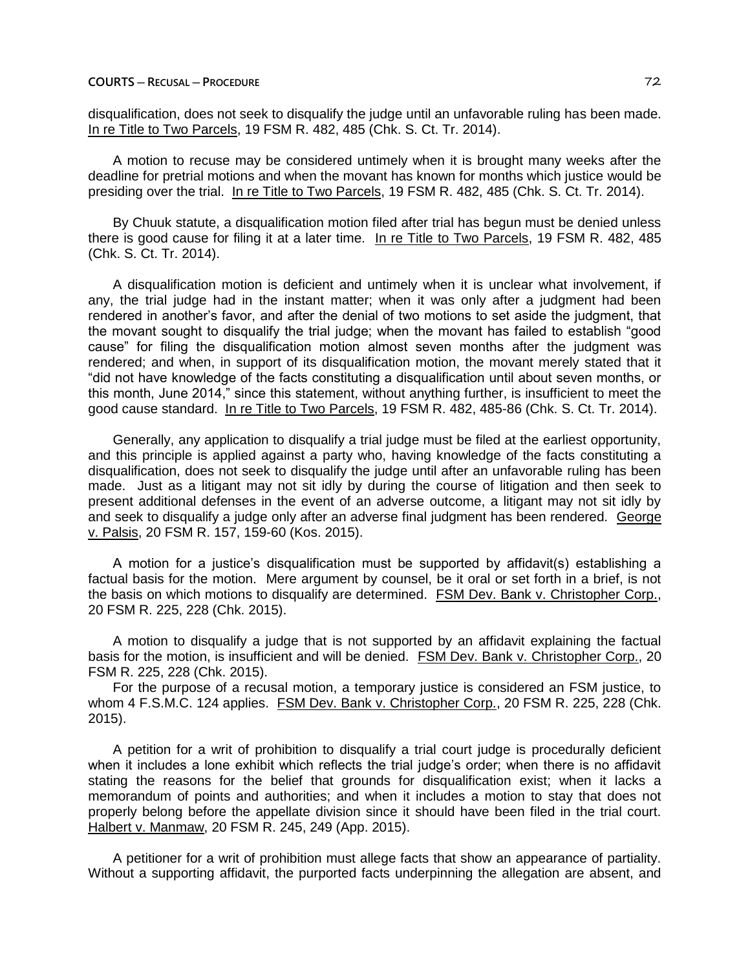# **COURTS ─ RECUSAL ─ PROCEDURE** 72

disqualification, does not seek to disqualify the judge until an unfavorable ruling has been made. In re Title to Two Parcels, 19 FSM R. 482, 485 (Chk. S. Ct. Tr. 2014).

A motion to recuse may be considered untimely when it is brought many weeks after the deadline for pretrial motions and when the movant has known for months which justice would be presiding over the trial. In re Title to Two Parcels, 19 FSM R. 482, 485 (Chk. S. Ct. Tr. 2014).

By Chuuk statute, a disqualification motion filed after trial has begun must be denied unless there is good cause for filing it at a later time. In re Title to Two Parcels, 19 FSM R. 482, 485 (Chk. S. Ct. Tr. 2014).

A disqualification motion is deficient and untimely when it is unclear what involvement, if any, the trial judge had in the instant matter; when it was only after a judgment had been rendered in another's favor, and after the denial of two motions to set aside the judgment, that the movant sought to disqualify the trial judge; when the movant has failed to establish "good cause" for filing the disqualification motion almost seven months after the judgment was rendered; and when, in support of its disqualification motion, the movant merely stated that it "did not have knowledge of the facts constituting a disqualification until about seven months, or this month, June 2014," since this statement, without anything further, is insufficient to meet the good cause standard. In re Title to Two Parcels, 19 FSM R. 482, 485-86 (Chk. S. Ct. Tr. 2014).

Generally, any application to disqualify a trial judge must be filed at the earliest opportunity, and this principle is applied against a party who, having knowledge of the facts constituting a disqualification, does not seek to disqualify the judge until after an unfavorable ruling has been made. Just as a litigant may not sit idly by during the course of litigation and then seek to present additional defenses in the event of an adverse outcome, a litigant may not sit idly by and seek to disqualify a judge only after an adverse final judgment has been rendered. George v. Palsis, 20 FSM R. 157, 159-60 (Kos. 2015).

A motion for a justice's disqualification must be supported by affidavit(s) establishing a factual basis for the motion. Mere argument by counsel, be it oral or set forth in a brief, is not the basis on which motions to disqualify are determined. FSM Dev. Bank v. Christopher Corp., 20 FSM R. 225, 228 (Chk. 2015).

A motion to disqualify a judge that is not supported by an affidavit explaining the factual basis for the motion, is insufficient and will be denied. FSM Dev. Bank v. Christopher Corp., 20 FSM R. 225, 228 (Chk. 2015).

For the purpose of a recusal motion, a temporary justice is considered an FSM justice, to whom 4 F.S.M.C. 124 applies. FSM Dev. Bank v. Christopher Corp., 20 FSM R. 225, 228 (Chk. 2015).

A petition for a writ of prohibition to disqualify a trial court judge is procedurally deficient when it includes a lone exhibit which reflects the trial judge's order; when there is no affidavit stating the reasons for the belief that grounds for disqualification exist; when it lacks a memorandum of points and authorities; and when it includes a motion to stay that does not properly belong before the appellate division since it should have been filed in the trial court. Halbert v. Manmaw, 20 FSM R. 245, 249 (App. 2015).

A petitioner for a writ of prohibition must allege facts that show an appearance of partiality. Without a supporting affidavit, the purported facts underpinning the allegation are absent, and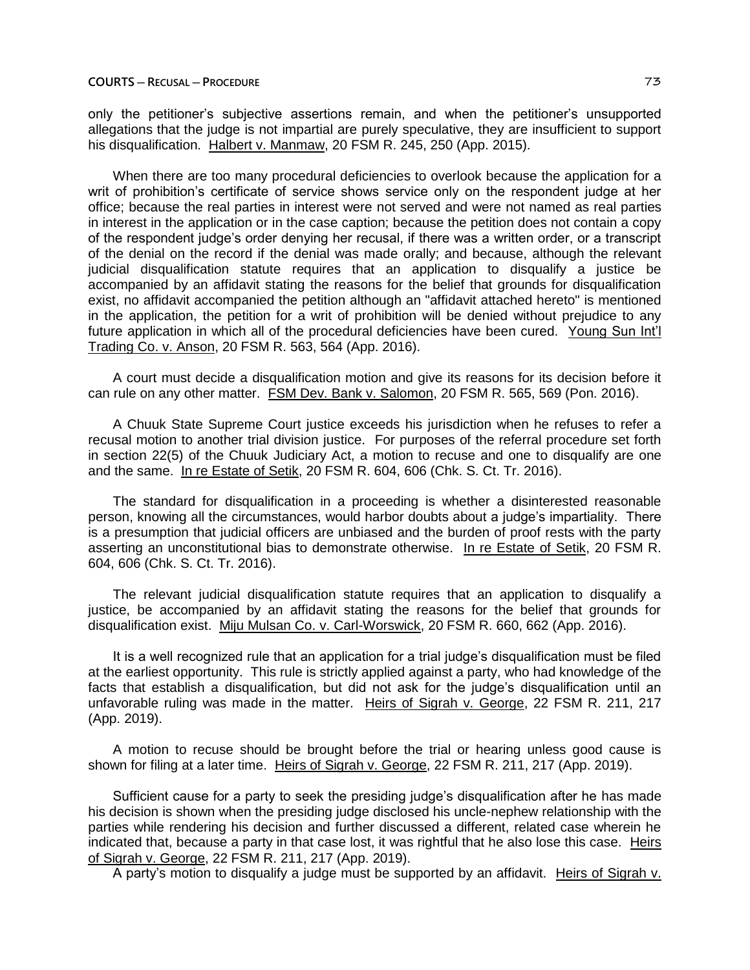only the petitioner's subjective assertions remain, and when the petitioner's unsupported allegations that the judge is not impartial are purely speculative, they are insufficient to support his disqualification. Halbert v. Manmaw, 20 FSM R. 245, 250 (App. 2015).

When there are too many procedural deficiencies to overlook because the application for a writ of prohibition's certificate of service shows service only on the respondent judge at her office; because the real parties in interest were not served and were not named as real parties in interest in the application or in the case caption; because the petition does not contain a copy of the respondent judge's order denying her recusal, if there was a written order, or a transcript of the denial on the record if the denial was made orally; and because, although the relevant judicial disqualification statute requires that an application to disqualify a justice be accompanied by an affidavit stating the reasons for the belief that grounds for disqualification exist, no affidavit accompanied the petition although an "affidavit attached hereto" is mentioned in the application, the petition for a writ of prohibition will be denied without prejudice to any future application in which all of the procedural deficiencies have been cured. Young Sun Int'l Trading Co. v. Anson, 20 FSM R. 563, 564 (App. 2016).

A court must decide a disqualification motion and give its reasons for its decision before it can rule on any other matter. FSM Dev. Bank v. Salomon, 20 FSM R. 565, 569 (Pon. 2016).

A Chuuk State Supreme Court justice exceeds his jurisdiction when he refuses to refer a recusal motion to another trial division justice. For purposes of the referral procedure set forth in section 22(5) of the Chuuk Judiciary Act, a motion to recuse and one to disqualify are one and the same. In re Estate of Setik, 20 FSM R. 604, 606 (Chk. S. Ct. Tr. 2016).

The standard for disqualification in a proceeding is whether a disinterested reasonable person, knowing all the circumstances, would harbor doubts about a judge's impartiality. There is a presumption that judicial officers are unbiased and the burden of proof rests with the party asserting an unconstitutional bias to demonstrate otherwise. In re Estate of Setik, 20 FSM R. 604, 606 (Chk. S. Ct. Tr. 2016).

The relevant judicial disqualification statute requires that an application to disqualify a justice, be accompanied by an affidavit stating the reasons for the belief that grounds for disqualification exist. Miju Mulsan Co. v. Carl-Worswick, 20 FSM R. 660, 662 (App. 2016).

It is a well recognized rule that an application for a trial judge's disqualification must be filed at the earliest opportunity. This rule is strictly applied against a party, who had knowledge of the facts that establish a disqualification, but did not ask for the judge's disqualification until an unfavorable ruling was made in the matter. Heirs of Sigrah v. George, 22 FSM R. 211, 217 (App. 2019).

A motion to recuse should be brought before the trial or hearing unless good cause is shown for filing at a later time. Heirs of Sigrah v. George, 22 FSM R. 211, 217 (App. 2019).

Sufficient cause for a party to seek the presiding judge's disqualification after he has made his decision is shown when the presiding judge disclosed his uncle-nephew relationship with the parties while rendering his decision and further discussed a different, related case wherein he indicated that, because a party in that case lost, it was rightful that he also lose this case. Heirs of Sigrah v. George, 22 FSM R. 211, 217 (App. 2019).

A party's motion to disqualify a judge must be supported by an affidavit. Heirs of Sigrah v.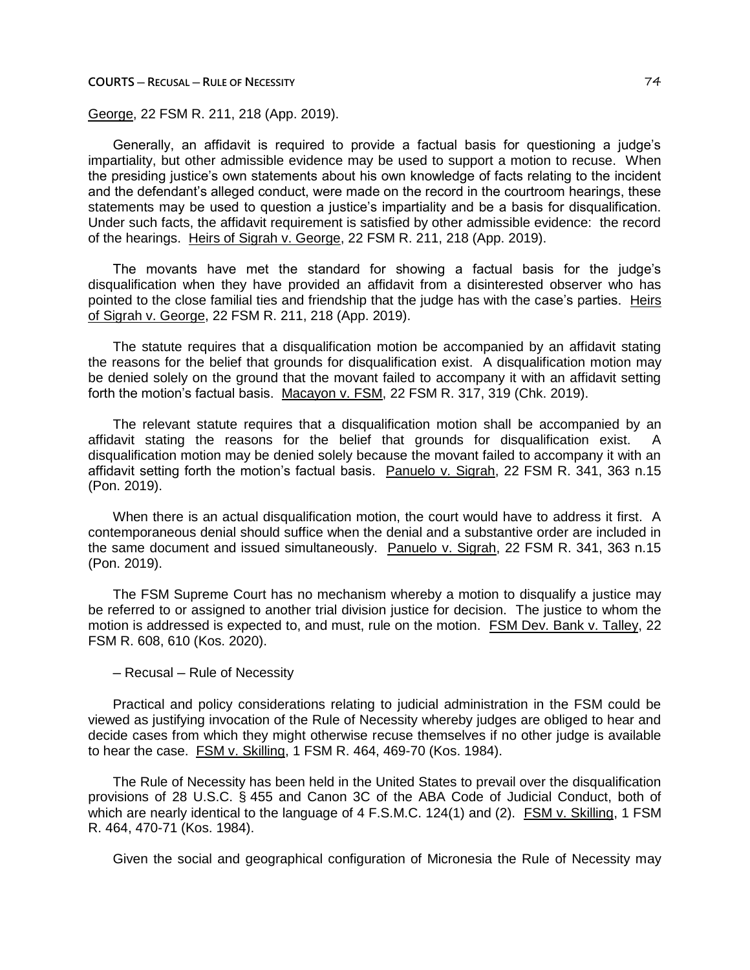**COURTS ─ RECUSAL ─ RULE OF NECESSITY** 74

George, 22 FSM R. 211, 218 (App. 2019).

Generally, an affidavit is required to provide a factual basis for questioning a judge's impartiality, but other admissible evidence may be used to support a motion to recuse. When the presiding justice's own statements about his own knowledge of facts relating to the incident and the defendant's alleged conduct, were made on the record in the courtroom hearings, these statements may be used to question a justice's impartiality and be a basis for disqualification. Under such facts, the affidavit requirement is satisfied by other admissible evidence: the record of the hearings. Heirs of Sigrah v. George, 22 FSM R. 211, 218 (App. 2019).

The movants have met the standard for showing a factual basis for the judge's disqualification when they have provided an affidavit from a disinterested observer who has pointed to the close familial ties and friendship that the judge has with the case's parties. Heirs of Sigrah v. George, 22 FSM R. 211, 218 (App. 2019).

The statute requires that a disqualification motion be accompanied by an affidavit stating the reasons for the belief that grounds for disqualification exist. A disqualification motion may be denied solely on the ground that the movant failed to accompany it with an affidavit setting forth the motion's factual basis. Macayon v. FSM, 22 FSM R. 317, 319 (Chk. 2019).

The relevant statute requires that a disqualification motion shall be accompanied by an affidavit stating the reasons for the belief that grounds for disqualification exist. A disqualification motion may be denied solely because the movant failed to accompany it with an affidavit setting forth the motion's factual basis. Panuelo v. Sigrah, 22 FSM R. 341, 363 n.15 (Pon. 2019).

When there is an actual disqualification motion, the court would have to address it first. A contemporaneous denial should suffice when the denial and a substantive order are included in the same document and issued simultaneously. Panuelo v. Sigrah, 22 FSM R. 341, 363 n.15 (Pon. 2019).

The FSM Supreme Court has no mechanism whereby a motion to disqualify a justice may be referred to or assigned to another trial division justice for decision. The justice to whom the motion is addressed is expected to, and must, rule on the motion. FSM Dev. Bank v. Talley, 22 FSM R. 608, 610 (Kos. 2020).

─ Recusal ─ Rule of Necessity

Practical and policy considerations relating to judicial administration in the FSM could be viewed as justifying invocation of the Rule of Necessity whereby judges are obliged to hear and decide cases from which they might otherwise recuse themselves if no other judge is available to hear the case. FSM v. Skilling, 1 FSM R. 464, 469-70 (Kos. 1984).

The Rule of Necessity has been held in the United States to prevail over the disqualification provisions of 28 U.S.C. § 455 and Canon 3C of the ABA Code of Judicial Conduct, both of which are nearly identical to the language of 4 F.S.M.C. 124(1) and (2). FSM v. Skilling, 1 FSM R. 464, 470-71 (Kos. 1984).

Given the social and geographical configuration of Micronesia the Rule of Necessity may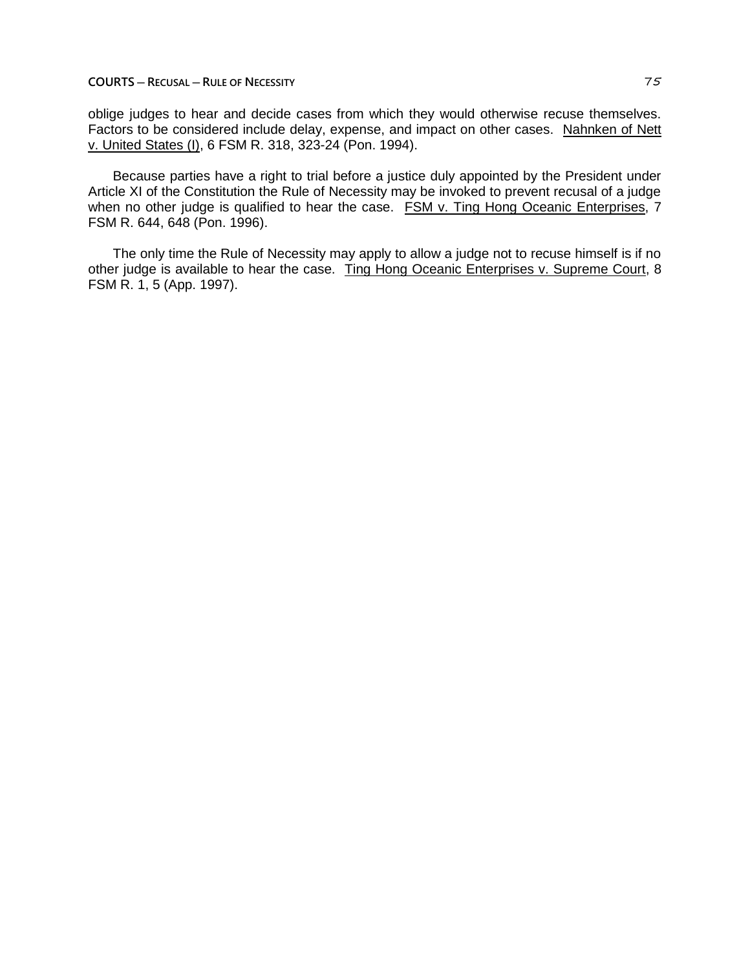**COURTS ─ RECUSAL ─ RULE OF NECESSITY** 75

oblige judges to hear and decide cases from which they would otherwise recuse themselves. Factors to be considered include delay, expense, and impact on other cases. Nahnken of Nett v. United States (I), 6 FSM R. 318, 323-24 (Pon. 1994).

Because parties have a right to trial before a justice duly appointed by the President under Article XI of the Constitution the Rule of Necessity may be invoked to prevent recusal of a judge when no other judge is qualified to hear the case. FSM v. Ting Hong Oceanic Enterprises, 7 FSM R. 644, 648 (Pon. 1996).

The only time the Rule of Necessity may apply to allow a judge not to recuse himself is if no other judge is available to hear the case. Ting Hong Oceanic Enterprises v. Supreme Court, 8 FSM R. 1, 5 (App. 1997).